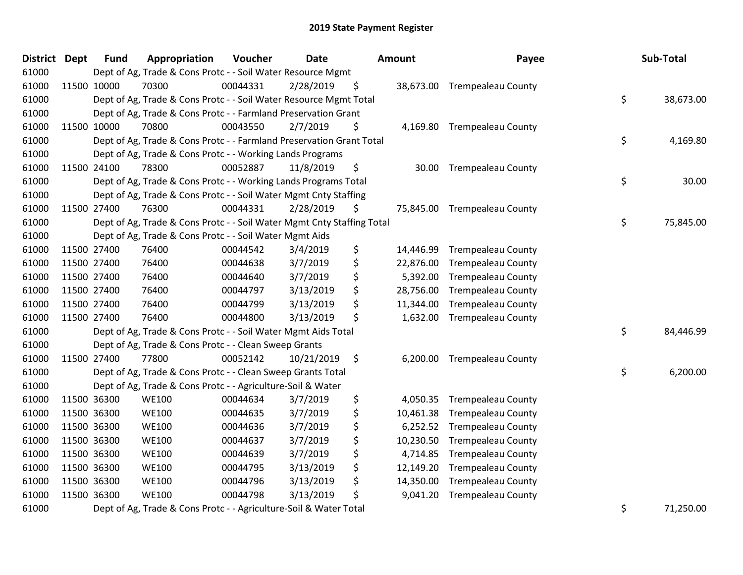| <b>District</b> | <b>Dept</b> | <b>Fund</b> | Appropriation                                                          | Voucher  | <b>Date</b> |     | Amount    | Payee                        | Sub-Total       |
|-----------------|-------------|-------------|------------------------------------------------------------------------|----------|-------------|-----|-----------|------------------------------|-----------------|
| 61000           |             |             | Dept of Ag, Trade & Cons Protc - - Soil Water Resource Mgmt            |          |             |     |           |                              |                 |
| 61000           | 11500 10000 |             | 70300                                                                  | 00044331 | 2/28/2019   | \$  |           | 38,673.00 Trempealeau County |                 |
| 61000           |             |             | Dept of Ag, Trade & Cons Protc - - Soil Water Resource Mgmt Total      |          |             |     |           |                              | \$<br>38,673.00 |
| 61000           |             |             | Dept of Ag, Trade & Cons Protc - - Farmland Preservation Grant         |          |             |     |           |                              |                 |
| 61000           |             | 11500 10000 | 70800                                                                  | 00043550 | 2/7/2019    | \$, |           | 4,169.80 Trempealeau County  |                 |
| 61000           |             |             | Dept of Ag, Trade & Cons Protc - - Farmland Preservation Grant Total   |          |             |     |           |                              | \$<br>4,169.80  |
| 61000           |             |             | Dept of Ag, Trade & Cons Protc - - Working Lands Programs              |          |             |     |           |                              |                 |
| 61000           | 11500 24100 |             | 78300                                                                  | 00052887 | 11/8/2019   | \$  | 30.00     | <b>Trempealeau County</b>    |                 |
| 61000           |             |             | Dept of Ag, Trade & Cons Protc - - Working Lands Programs Total        |          |             |     |           |                              | \$<br>30.00     |
| 61000           |             |             | Dept of Ag, Trade & Cons Protc - - Soil Water Mgmt Cnty Staffing       |          |             |     |           |                              |                 |
| 61000           |             | 11500 27400 | 76300                                                                  | 00044331 | 2/28/2019   | \$  |           | 75,845.00 Trempealeau County |                 |
| 61000           |             |             | Dept of Ag, Trade & Cons Protc - - Soil Water Mgmt Cnty Staffing Total |          |             |     |           |                              | \$<br>75,845.00 |
| 61000           |             |             | Dept of Ag, Trade & Cons Protc - - Soil Water Mgmt Aids                |          |             |     |           |                              |                 |
| 61000           | 11500 27400 |             | 76400                                                                  | 00044542 | 3/4/2019    | \$  | 14,446.99 | <b>Trempealeau County</b>    |                 |
| 61000           | 11500 27400 |             | 76400                                                                  | 00044638 | 3/7/2019    | \$  | 22,876.00 | <b>Trempealeau County</b>    |                 |
| 61000           | 11500 27400 |             | 76400                                                                  | 00044640 | 3/7/2019    | \$  | 5,392.00  | <b>Trempealeau County</b>    |                 |
| 61000           | 11500 27400 |             | 76400                                                                  | 00044797 | 3/13/2019   | \$  | 28,756.00 | <b>Trempealeau County</b>    |                 |
| 61000           | 11500 27400 |             | 76400                                                                  | 00044799 | 3/13/2019   | \$  | 11,344.00 | <b>Trempealeau County</b>    |                 |
| 61000           | 11500 27400 |             | 76400                                                                  | 00044800 | 3/13/2019   | \$  | 1,632.00  | <b>Trempealeau County</b>    |                 |
| 61000           |             |             | Dept of Ag, Trade & Cons Protc - - Soil Water Mgmt Aids Total          |          |             |     |           |                              | \$<br>84,446.99 |
| 61000           |             |             | Dept of Ag, Trade & Cons Protc - - Clean Sweep Grants                  |          |             |     |           |                              |                 |
| 61000           |             | 11500 27400 | 77800                                                                  | 00052142 | 10/21/2019  | \$  | 6,200.00  | <b>Trempealeau County</b>    |                 |
| 61000           |             |             | Dept of Ag, Trade & Cons Protc - - Clean Sweep Grants Total            |          |             |     |           |                              | \$<br>6,200.00  |
| 61000           |             |             | Dept of Ag, Trade & Cons Protc - - Agriculture-Soil & Water            |          |             |     |           |                              |                 |
| 61000           | 11500 36300 |             | <b>WE100</b>                                                           | 00044634 | 3/7/2019    | \$  | 4,050.35  | <b>Trempealeau County</b>    |                 |
| 61000           | 11500 36300 |             | <b>WE100</b>                                                           | 00044635 | 3/7/2019    | \$  | 10,461.38 | <b>Trempealeau County</b>    |                 |
| 61000           | 11500 36300 |             | <b>WE100</b>                                                           | 00044636 | 3/7/2019    | \$  | 6,252.52  | <b>Trempealeau County</b>    |                 |
| 61000           | 11500 36300 |             | <b>WE100</b>                                                           | 00044637 | 3/7/2019    | \$  | 10,230.50 | <b>Trempealeau County</b>    |                 |
| 61000           | 11500 36300 |             | <b>WE100</b>                                                           | 00044639 | 3/7/2019    | \$  | 4,714.85  | <b>Trempealeau County</b>    |                 |
| 61000           | 11500 36300 |             | <b>WE100</b>                                                           | 00044795 | 3/13/2019   | \$  | 12,149.20 | <b>Trempealeau County</b>    |                 |
| 61000           | 11500 36300 |             | <b>WE100</b>                                                           | 00044796 | 3/13/2019   | \$  | 14,350.00 | <b>Trempealeau County</b>    |                 |
| 61000           | 11500 36300 |             | <b>WE100</b>                                                           | 00044798 | 3/13/2019   | \$  | 9,041.20  | <b>Trempealeau County</b>    |                 |
| 61000           |             |             | Dept of Ag, Trade & Cons Protc - - Agriculture-Soil & Water Total      |          |             |     |           |                              | \$<br>71,250.00 |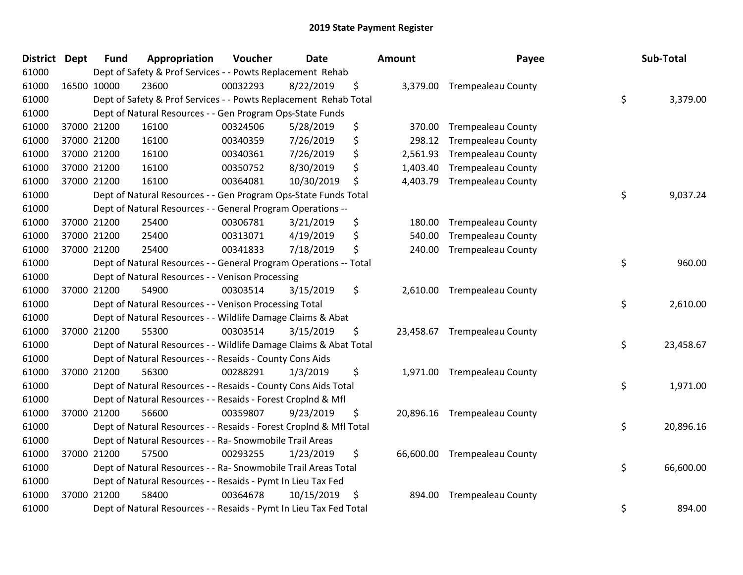| <b>District</b> | <b>Dept</b> | <b>Fund</b> | Appropriation                                                      | Voucher  | <b>Date</b> | Amount         | Payee                        | Sub-Total       |
|-----------------|-------------|-------------|--------------------------------------------------------------------|----------|-------------|----------------|------------------------------|-----------------|
| 61000           |             |             | Dept of Safety & Prof Services - - Powts Replacement Rehab         |          |             |                |                              |                 |
| 61000           |             | 16500 10000 | 23600                                                              | 00032293 | 8/22/2019   | \$             | 3,379.00 Trempealeau County  |                 |
| 61000           |             |             | Dept of Safety & Prof Services - - Powts Replacement Rehab Total   |          |             |                |                              | \$<br>3,379.00  |
| 61000           |             |             | Dept of Natural Resources - - Gen Program Ops-State Funds          |          |             |                |                              |                 |
| 61000           |             | 37000 21200 | 16100                                                              | 00324506 | 5/28/2019   | \$<br>370.00   | <b>Trempealeau County</b>    |                 |
| 61000           |             | 37000 21200 | 16100                                                              | 00340359 | 7/26/2019   | \$<br>298.12   | <b>Trempealeau County</b>    |                 |
| 61000           |             | 37000 21200 | 16100                                                              | 00340361 | 7/26/2019   | \$<br>2,561.93 | <b>Trempealeau County</b>    |                 |
| 61000           |             | 37000 21200 | 16100                                                              | 00350752 | 8/30/2019   | \$<br>1,403.40 | <b>Trempealeau County</b>    |                 |
| 61000           |             | 37000 21200 | 16100                                                              | 00364081 | 10/30/2019  | \$<br>4,403.79 | <b>Trempealeau County</b>    |                 |
| 61000           |             |             | Dept of Natural Resources - - Gen Program Ops-State Funds Total    |          |             |                |                              | \$<br>9,037.24  |
| 61000           |             |             | Dept of Natural Resources - - General Program Operations --        |          |             |                |                              |                 |
| 61000           |             | 37000 21200 | 25400                                                              | 00306781 | 3/21/2019   | \$<br>180.00   | <b>Trempealeau County</b>    |                 |
| 61000           |             | 37000 21200 | 25400                                                              | 00313071 | 4/19/2019   | \$<br>540.00   | <b>Trempealeau County</b>    |                 |
| 61000           |             | 37000 21200 | 25400                                                              | 00341833 | 7/18/2019   | \$<br>240.00   | <b>Trempealeau County</b>    |                 |
| 61000           |             |             | Dept of Natural Resources - - General Program Operations -- Total  |          |             |                |                              | \$<br>960.00    |
| 61000           |             |             | Dept of Natural Resources - - Venison Processing                   |          |             |                |                              |                 |
| 61000           |             | 37000 21200 | 54900                                                              | 00303514 | 3/15/2019   | \$<br>2,610.00 | <b>Trempealeau County</b>    |                 |
| 61000           |             |             | Dept of Natural Resources - - Venison Processing Total             |          |             |                |                              | \$<br>2,610.00  |
| 61000           |             |             | Dept of Natural Resources - - Wildlife Damage Claims & Abat        |          |             |                |                              |                 |
| 61000           |             | 37000 21200 | 55300                                                              | 00303514 | 3/15/2019   | \$             | 23,458.67 Trempealeau County |                 |
| 61000           |             |             | Dept of Natural Resources - - Wildlife Damage Claims & Abat Total  |          |             |                |                              | \$<br>23,458.67 |
| 61000           |             |             | Dept of Natural Resources - - Resaids - County Cons Aids           |          |             |                |                              |                 |
| 61000           |             | 37000 21200 | 56300                                                              | 00288291 | 1/3/2019    | \$             | 1,971.00 Trempealeau County  |                 |
| 61000           |             |             | Dept of Natural Resources - - Resaids - County Cons Aids Total     |          |             |                |                              | \$<br>1,971.00  |
| 61000           |             |             | Dept of Natural Resources - - Resaids - Forest Croplnd & Mfl       |          |             |                |                              |                 |
| 61000           |             | 37000 21200 | 56600                                                              | 00359807 | 9/23/2019   | \$             | 20,896.16 Trempealeau County |                 |
| 61000           |             |             | Dept of Natural Resources - - Resaids - Forest CropInd & Mfl Total |          |             |                |                              | \$<br>20,896.16 |
| 61000           |             |             | Dept of Natural Resources - - Ra- Snowmobile Trail Areas           |          |             |                |                              |                 |
| 61000           |             | 37000 21200 | 57500                                                              | 00293255 | 1/23/2019   | \$             | 66,600.00 Trempealeau County |                 |
| 61000           |             |             | Dept of Natural Resources - - Ra- Snowmobile Trail Areas Total     |          |             |                |                              | \$<br>66,600.00 |
| 61000           |             |             | Dept of Natural Resources - - Resaids - Pymt In Lieu Tax Fed       |          |             |                |                              |                 |
| 61000           |             | 37000 21200 | 58400                                                              | 00364678 | 10/15/2019  | \$<br>894.00   | <b>Trempealeau County</b>    |                 |
| 61000           |             |             | Dept of Natural Resources - - Resaids - Pymt In Lieu Tax Fed Total |          |             |                |                              | \$<br>894.00    |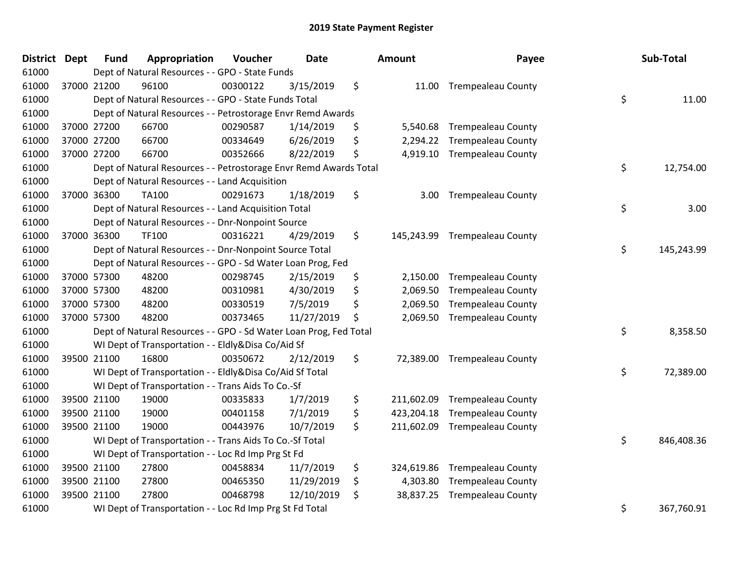| <b>District</b> | <b>Dept</b> | <b>Fund</b> | Appropriation                                                     | Voucher  | <b>Date</b> | <b>Amount</b>    | Payee                         | Sub-Total        |
|-----------------|-------------|-------------|-------------------------------------------------------------------|----------|-------------|------------------|-------------------------------|------------------|
| 61000           |             |             | Dept of Natural Resources - - GPO - State Funds                   |          |             |                  |                               |                  |
| 61000           | 37000 21200 |             | 96100                                                             | 00300122 | 3/15/2019   | \$               | 11.00 Trempealeau County      |                  |
| 61000           |             |             | Dept of Natural Resources - - GPO - State Funds Total             |          |             |                  |                               | \$<br>11.00      |
| 61000           |             |             | Dept of Natural Resources - - Petrostorage Envr Remd Awards       |          |             |                  |                               |                  |
| 61000           | 37000 27200 |             | 66700                                                             | 00290587 | 1/14/2019   | \$<br>5,540.68   | <b>Trempealeau County</b>     |                  |
| 61000           | 37000 27200 |             | 66700                                                             | 00334649 | 6/26/2019   | \$<br>2,294.22   | <b>Trempealeau County</b>     |                  |
| 61000           | 37000 27200 |             | 66700                                                             | 00352666 | 8/22/2019   | \$               | 4,919.10 Trempealeau County   |                  |
| 61000           |             |             | Dept of Natural Resources - - Petrostorage Envr Remd Awards Total |          |             |                  |                               | \$<br>12,754.00  |
| 61000           |             |             | Dept of Natural Resources - - Land Acquisition                    |          |             |                  |                               |                  |
| 61000           | 37000 36300 |             | <b>TA100</b>                                                      | 00291673 | 1/18/2019   | \$<br>3.00       | <b>Trempealeau County</b>     |                  |
| 61000           |             |             | Dept of Natural Resources - - Land Acquisition Total              |          |             |                  |                               | \$<br>3.00       |
| 61000           |             |             | Dept of Natural Resources - - Dnr-Nonpoint Source                 |          |             |                  |                               |                  |
| 61000           | 37000 36300 |             | <b>TF100</b>                                                      | 00316221 | 4/29/2019   | \$               | 145,243.99 Trempealeau County |                  |
| 61000           |             |             | Dept of Natural Resources - - Dnr-Nonpoint Source Total           |          |             |                  |                               | \$<br>145,243.99 |
| 61000           |             |             | Dept of Natural Resources - - GPO - Sd Water Loan Prog, Fed       |          |             |                  |                               |                  |
| 61000           | 37000 57300 |             | 48200                                                             | 00298745 | 2/15/2019   | \$<br>2,150.00   | <b>Trempealeau County</b>     |                  |
| 61000           | 37000 57300 |             | 48200                                                             | 00310981 | 4/30/2019   | \$<br>2,069.50   | <b>Trempealeau County</b>     |                  |
| 61000           | 37000 57300 |             | 48200                                                             | 00330519 | 7/5/2019    | \$<br>2,069.50   | <b>Trempealeau County</b>     |                  |
| 61000           | 37000 57300 |             | 48200                                                             | 00373465 | 11/27/2019  | \$               | 2,069.50 Trempealeau County   |                  |
| 61000           |             |             | Dept of Natural Resources - - GPO - Sd Water Loan Prog, Fed Total |          |             |                  |                               | \$<br>8,358.50   |
| 61000           |             |             | WI Dept of Transportation - - Eldly&Disa Co/Aid Sf                |          |             |                  |                               |                  |
| 61000           | 39500 21100 |             | 16800                                                             | 00350672 | 2/12/2019   | \$               | 72,389.00 Trempealeau County  |                  |
| 61000           |             |             | WI Dept of Transportation - - Eldly&Disa Co/Aid Sf Total          |          |             |                  |                               | \$<br>72,389.00  |
| 61000           |             |             | WI Dept of Transportation - - Trans Aids To Co.-Sf                |          |             |                  |                               |                  |
| 61000           | 39500 21100 |             | 19000                                                             | 00335833 | 1/7/2019    | \$<br>211,602.09 | <b>Trempealeau County</b>     |                  |
| 61000           | 39500 21100 |             | 19000                                                             | 00401158 | 7/1/2019    | \$<br>423,204.18 | <b>Trempealeau County</b>     |                  |
| 61000           | 39500 21100 |             | 19000                                                             | 00443976 | 10/7/2019   | \$<br>211,602.09 | <b>Trempealeau County</b>     |                  |
| 61000           |             |             | WI Dept of Transportation - - Trans Aids To Co.-Sf Total          |          |             |                  |                               | \$<br>846,408.36 |
| 61000           |             |             | WI Dept of Transportation - - Loc Rd Imp Prg St Fd                |          |             |                  |                               |                  |
| 61000           | 39500 21100 |             | 27800                                                             | 00458834 | 11/7/2019   | \$<br>324,619.86 | <b>Trempealeau County</b>     |                  |
| 61000           | 39500 21100 |             | 27800                                                             | 00465350 | 11/29/2019  | \$<br>4,303.80   | <b>Trempealeau County</b>     |                  |
| 61000           | 39500 21100 |             | 27800                                                             | 00468798 | 12/10/2019  | \$<br>38,837.25  | <b>Trempealeau County</b>     |                  |
| 61000           |             |             | WI Dept of Transportation - - Loc Rd Imp Prg St Fd Total          |          |             |                  |                               | \$<br>367,760.91 |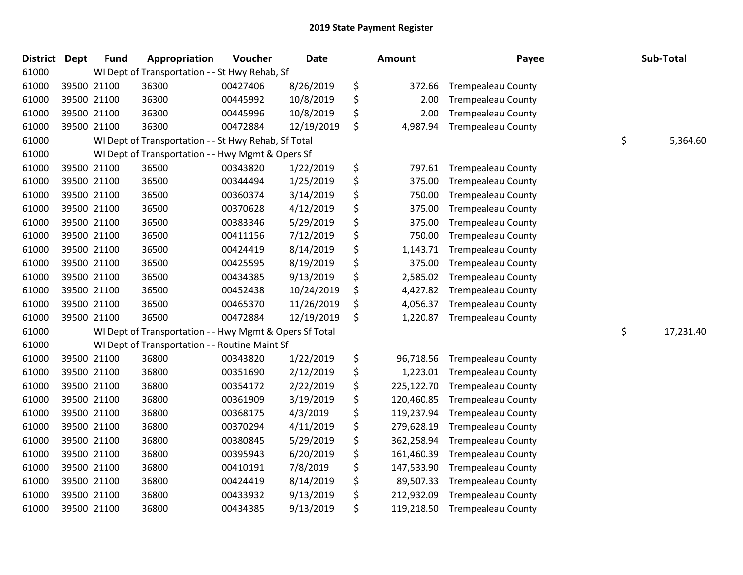| <b>District</b> | <b>Dept</b> | <b>Fund</b> | Appropriation                                           | Voucher  | Date       | <b>Amount</b>    | Payee                     | Sub-Total       |
|-----------------|-------------|-------------|---------------------------------------------------------|----------|------------|------------------|---------------------------|-----------------|
| 61000           |             |             | WI Dept of Transportation - - St Hwy Rehab, Sf          |          |            |                  |                           |                 |
| 61000           |             | 39500 21100 | 36300                                                   | 00427406 | 8/26/2019  | \$<br>372.66     | <b>Trempealeau County</b> |                 |
| 61000           | 39500 21100 |             | 36300                                                   | 00445992 | 10/8/2019  | \$<br>2.00       | <b>Trempealeau County</b> |                 |
| 61000           | 39500 21100 |             | 36300                                                   | 00445996 | 10/8/2019  | \$<br>2.00       | <b>Trempealeau County</b> |                 |
| 61000           | 39500 21100 |             | 36300                                                   | 00472884 | 12/19/2019 | \$<br>4,987.94   | <b>Trempealeau County</b> |                 |
| 61000           |             |             | WI Dept of Transportation - - St Hwy Rehab, Sf Total    |          |            |                  |                           | \$<br>5,364.60  |
| 61000           |             |             | WI Dept of Transportation - - Hwy Mgmt & Opers Sf       |          |            |                  |                           |                 |
| 61000           |             | 39500 21100 | 36500                                                   | 00343820 | 1/22/2019  | \$<br>797.61     | <b>Trempealeau County</b> |                 |
| 61000           |             | 39500 21100 | 36500                                                   | 00344494 | 1/25/2019  | \$<br>375.00     | <b>Trempealeau County</b> |                 |
| 61000           | 39500 21100 |             | 36500                                                   | 00360374 | 3/14/2019  | \$<br>750.00     | Trempealeau County        |                 |
| 61000           | 39500 21100 |             | 36500                                                   | 00370628 | 4/12/2019  | \$<br>375.00     | <b>Trempealeau County</b> |                 |
| 61000           | 39500 21100 |             | 36500                                                   | 00383346 | 5/29/2019  | \$<br>375.00     | <b>Trempealeau County</b> |                 |
| 61000           | 39500 21100 |             | 36500                                                   | 00411156 | 7/12/2019  | \$<br>750.00     | <b>Trempealeau County</b> |                 |
| 61000           | 39500 21100 |             | 36500                                                   | 00424419 | 8/14/2019  | \$<br>1,143.71   | <b>Trempealeau County</b> |                 |
| 61000           | 39500 21100 |             | 36500                                                   | 00425595 | 8/19/2019  | \$<br>375.00     | <b>Trempealeau County</b> |                 |
| 61000           | 39500 21100 |             | 36500                                                   | 00434385 | 9/13/2019  | \$<br>2,585.02   | <b>Trempealeau County</b> |                 |
| 61000           | 39500 21100 |             | 36500                                                   | 00452438 | 10/24/2019 | \$<br>4,427.82   | <b>Trempealeau County</b> |                 |
| 61000           | 39500 21100 |             | 36500                                                   | 00465370 | 11/26/2019 | \$<br>4,056.37   | <b>Trempealeau County</b> |                 |
| 61000           | 39500 21100 |             | 36500                                                   | 00472884 | 12/19/2019 | \$<br>1,220.87   | <b>Trempealeau County</b> |                 |
| 61000           |             |             | WI Dept of Transportation - - Hwy Mgmt & Opers Sf Total |          |            |                  |                           | \$<br>17,231.40 |
| 61000           |             |             | WI Dept of Transportation - - Routine Maint Sf          |          |            |                  |                           |                 |
| 61000           | 39500 21100 |             | 36800                                                   | 00343820 | 1/22/2019  | \$<br>96,718.56  | <b>Trempealeau County</b> |                 |
| 61000           | 39500 21100 |             | 36800                                                   | 00351690 | 2/12/2019  | \$<br>1,223.01   | <b>Trempealeau County</b> |                 |
| 61000           | 39500 21100 |             | 36800                                                   | 00354172 | 2/22/2019  | \$<br>225,122.70 | <b>Trempealeau County</b> |                 |
| 61000           | 39500 21100 |             | 36800                                                   | 00361909 | 3/19/2019  | \$<br>120,460.85 | <b>Trempealeau County</b> |                 |
| 61000           | 39500 21100 |             | 36800                                                   | 00368175 | 4/3/2019   | \$<br>119,237.94 | <b>Trempealeau County</b> |                 |
| 61000           | 39500 21100 |             | 36800                                                   | 00370294 | 4/11/2019  | \$<br>279,628.19 | <b>Trempealeau County</b> |                 |
| 61000           | 39500 21100 |             | 36800                                                   | 00380845 | 5/29/2019  | \$<br>362,258.94 | Trempealeau County        |                 |
| 61000           | 39500 21100 |             | 36800                                                   | 00395943 | 6/20/2019  | \$<br>161,460.39 | <b>Trempealeau County</b> |                 |
| 61000           | 39500 21100 |             | 36800                                                   | 00410191 | 7/8/2019   | \$<br>147,533.90 | <b>Trempealeau County</b> |                 |
| 61000           | 39500 21100 |             | 36800                                                   | 00424419 | 8/14/2019  | \$<br>89,507.33  | <b>Trempealeau County</b> |                 |
| 61000           | 39500 21100 |             | 36800                                                   | 00433932 | 9/13/2019  | \$<br>212,932.09 | <b>Trempealeau County</b> |                 |
| 61000           | 39500 21100 |             | 36800                                                   | 00434385 | 9/13/2019  | \$<br>119,218.50 | <b>Trempealeau County</b> |                 |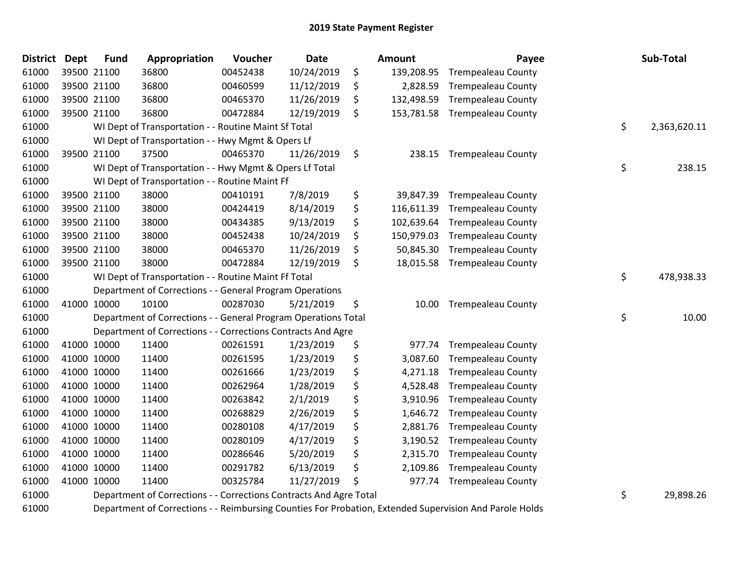| <b>District</b> | <b>Dept</b> | <b>Fund</b> | Appropriation                                                      | Voucher  | <b>Date</b> |     | Amount       | Payee                     | Sub-Total          |
|-----------------|-------------|-------------|--------------------------------------------------------------------|----------|-------------|-----|--------------|---------------------------|--------------------|
| 61000           |             | 39500 21100 | 36800                                                              | 00452438 | 10/24/2019  | \$  | 139,208.95   | <b>Trempealeau County</b> |                    |
| 61000           |             | 39500 21100 | 36800                                                              | 00460599 | 11/12/2019  | \$  | 2,828.59     | <b>Trempealeau County</b> |                    |
| 61000           |             | 39500 21100 | 36800                                                              | 00465370 | 11/26/2019  | \$, | 132,498.59   | <b>Trempealeau County</b> |                    |
| 61000           |             | 39500 21100 | 36800                                                              | 00472884 | 12/19/2019  | \$  | 153,781.58   | <b>Trempealeau County</b> |                    |
| 61000           |             |             | WI Dept of Transportation - - Routine Maint Sf Total               |          |             |     |              |                           | \$<br>2,363,620.11 |
| 61000           |             |             | WI Dept of Transportation - - Hwy Mgmt & Opers Lf                  |          |             |     |              |                           |                    |
| 61000           |             | 39500 21100 | 37500                                                              | 00465370 | 11/26/2019  | \$  | 238.15       | <b>Trempealeau County</b> |                    |
| 61000           |             |             | WI Dept of Transportation - - Hwy Mgmt & Opers Lf Total            |          |             |     |              |                           | \$<br>238.15       |
| 61000           |             |             | WI Dept of Transportation - - Routine Maint Ff                     |          |             |     |              |                           |                    |
| 61000           |             | 39500 21100 | 38000                                                              | 00410191 | 7/8/2019    | \$  | 39,847.39    | <b>Trempealeau County</b> |                    |
| 61000           |             | 39500 21100 | 38000                                                              | 00424419 | 8/14/2019   | \$  | 116,611.39   | <b>Trempealeau County</b> |                    |
| 61000           |             | 39500 21100 | 38000                                                              | 00434385 | 9/13/2019   | \$  | 102,639.64   | <b>Trempealeau County</b> |                    |
| 61000           |             | 39500 21100 | 38000                                                              | 00452438 | 10/24/2019  | \$  | 150,979.03   | <b>Trempealeau County</b> |                    |
| 61000           |             | 39500 21100 | 38000                                                              | 00465370 | 11/26/2019  | \$  | 50,845.30    | <b>Trempealeau County</b> |                    |
| 61000           |             | 39500 21100 | 38000                                                              | 00472884 | 12/19/2019  | S.  | 18,015.58    | <b>Trempealeau County</b> |                    |
| 61000           |             |             | WI Dept of Transportation - - Routine Maint Ff Total               |          |             |     |              |                           | \$<br>478,938.33   |
| 61000           |             |             | Department of Corrections - - General Program Operations           |          |             |     |              |                           |                    |
| 61000           |             | 41000 10000 | 10100                                                              | 00287030 | 5/21/2019   | \$  | 10.00        | <b>Trempealeau County</b> |                    |
| 61000           |             |             | Department of Corrections - - General Program Operations Total     |          |             |     |              |                           | \$<br>10.00        |
| 61000           |             |             | Department of Corrections - - Corrections Contracts And Agre       |          |             |     |              |                           |                    |
| 61000           |             | 41000 10000 | 11400                                                              | 00261591 | 1/23/2019   | \$  | 977.74       | <b>Trempealeau County</b> |                    |
| 61000           |             | 41000 10000 | 11400                                                              | 00261595 | 1/23/2019   | \$  | 3,087.60     | <b>Trempealeau County</b> |                    |
| 61000           |             | 41000 10000 | 11400                                                              | 00261666 | 1/23/2019   | \$  | 4,271.18     | <b>Trempealeau County</b> |                    |
| 61000           |             | 41000 10000 | 11400                                                              | 00262964 | 1/28/2019   | \$  | 4,528.48     | <b>Trempealeau County</b> |                    |
| 61000           |             | 41000 10000 | 11400                                                              | 00263842 | 2/1/2019    | \$  | 3,910.96     | <b>Trempealeau County</b> |                    |
| 61000           |             | 41000 10000 | 11400                                                              | 00268829 | 2/26/2019   | \$  | 1,646.72     | <b>Trempealeau County</b> |                    |
| 61000           | 41000 10000 |             | 11400                                                              | 00280108 | 4/17/2019   | \$  | 2,881.76     | <b>Trempealeau County</b> |                    |
| 61000           | 41000 10000 |             | 11400                                                              | 00280109 | 4/17/2019   | \$  | 3,190.52     | <b>Trempealeau County</b> |                    |
| 61000           | 41000 10000 |             | 11400                                                              | 00286646 | 5/20/2019   | \$  | 2,315.70     | <b>Trempealeau County</b> |                    |
| 61000           |             | 41000 10000 | 11400                                                              | 00291782 | 6/13/2019   | \$  | 2,109.86     | <b>Trempealeau County</b> |                    |
| 61000           |             | 41000 10000 | 11400                                                              | 00325784 | 11/27/2019  | \$  | 977.74       | <b>Trempealeau County</b> |                    |
| 61000           |             |             | Department of Corrections - - Corrections Contracts And Agre Total |          |             |     |              |                           | \$<br>29,898.26    |
|                 |             |             |                                                                    |          |             |     | $\mathbf{r}$ |                           |                    |

Department of Corrections - - Reimbursing Counties For Probation, Extended Supervision And Parole Holds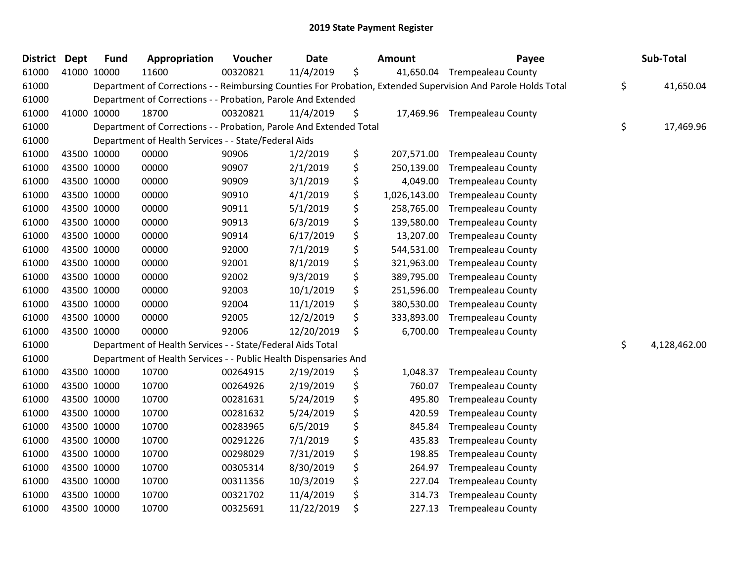| <b>District</b> | <b>Dept</b> | <b>Fund</b> | Appropriation                                                      | Voucher  | <b>Date</b> | <b>Amount</b>      | Payee                                                                                                         | Sub-Total          |
|-----------------|-------------|-------------|--------------------------------------------------------------------|----------|-------------|--------------------|---------------------------------------------------------------------------------------------------------------|--------------------|
| 61000           |             | 41000 10000 | 11600                                                              | 00320821 | 11/4/2019   | \$<br>41,650.04    | <b>Trempealeau County</b>                                                                                     |                    |
| 61000           |             |             |                                                                    |          |             |                    | Department of Corrections - - Reimbursing Counties For Probation, Extended Supervision And Parole Holds Total | \$<br>41,650.04    |
| 61000           |             |             | Department of Corrections - - Probation, Parole And Extended       |          |             |                    |                                                                                                               |                    |
| 61000           |             | 41000 10000 | 18700                                                              | 00320821 | 11/4/2019   | \$                 | 17,469.96 Trempealeau County                                                                                  |                    |
| 61000           |             |             | Department of Corrections - - Probation, Parole And Extended Total |          |             |                    |                                                                                                               | \$<br>17,469.96    |
| 61000           |             |             | Department of Health Services - - State/Federal Aids               |          |             |                    |                                                                                                               |                    |
| 61000           |             | 43500 10000 | 00000                                                              | 90906    | 1/2/2019    | \$<br>207,571.00   | <b>Trempealeau County</b>                                                                                     |                    |
| 61000           |             | 43500 10000 | 00000                                                              | 90907    | 2/1/2019    | \$<br>250,139.00   | <b>Trempealeau County</b>                                                                                     |                    |
| 61000           |             | 43500 10000 | 00000                                                              | 90909    | 3/1/2019    | \$<br>4,049.00     | <b>Trempealeau County</b>                                                                                     |                    |
| 61000           |             | 43500 10000 | 00000                                                              | 90910    | 4/1/2019    | \$<br>1,026,143.00 | <b>Trempealeau County</b>                                                                                     |                    |
| 61000           |             | 43500 10000 | 00000                                                              | 90911    | 5/1/2019    | \$<br>258,765.00   | <b>Trempealeau County</b>                                                                                     |                    |
| 61000           |             | 43500 10000 | 00000                                                              | 90913    | 6/3/2019    | \$<br>139,580.00   | <b>Trempealeau County</b>                                                                                     |                    |
| 61000           |             | 43500 10000 | 00000                                                              | 90914    | 6/17/2019   | \$<br>13,207.00    | <b>Trempealeau County</b>                                                                                     |                    |
| 61000           |             | 43500 10000 | 00000                                                              | 92000    | 7/1/2019    | \$<br>544,531.00   | <b>Trempealeau County</b>                                                                                     |                    |
| 61000           |             | 43500 10000 | 00000                                                              | 92001    | 8/1/2019    | \$<br>321,963.00   | <b>Trempealeau County</b>                                                                                     |                    |
| 61000           |             | 43500 10000 | 00000                                                              | 92002    | 9/3/2019    | \$<br>389,795.00   | <b>Trempealeau County</b>                                                                                     |                    |
| 61000           |             | 43500 10000 | 00000                                                              | 92003    | 10/1/2019   | \$<br>251,596.00   | <b>Trempealeau County</b>                                                                                     |                    |
| 61000           |             | 43500 10000 | 00000                                                              | 92004    | 11/1/2019   | \$<br>380,530.00   | <b>Trempealeau County</b>                                                                                     |                    |
| 61000           |             | 43500 10000 | 00000                                                              | 92005    | 12/2/2019   | \$<br>333,893.00   | <b>Trempealeau County</b>                                                                                     |                    |
| 61000           |             | 43500 10000 | 00000                                                              | 92006    | 12/20/2019  | \$<br>6,700.00     | <b>Trempealeau County</b>                                                                                     |                    |
| 61000           |             |             | Department of Health Services - - State/Federal Aids Total         |          |             |                    |                                                                                                               | \$<br>4,128,462.00 |
| 61000           |             |             | Department of Health Services - - Public Health Dispensaries And   |          |             |                    |                                                                                                               |                    |
| 61000           |             | 43500 10000 | 10700                                                              | 00264915 | 2/19/2019   | \$<br>1,048.37     | <b>Trempealeau County</b>                                                                                     |                    |
| 61000           |             | 43500 10000 | 10700                                                              | 00264926 | 2/19/2019   | \$<br>760.07       | <b>Trempealeau County</b>                                                                                     |                    |
| 61000           |             | 43500 10000 | 10700                                                              | 00281631 | 5/24/2019   | \$<br>495.80       | <b>Trempealeau County</b>                                                                                     |                    |
| 61000           |             | 43500 10000 | 10700                                                              | 00281632 | 5/24/2019   | \$<br>420.59       | Trempealeau County                                                                                            |                    |
| 61000           |             | 43500 10000 | 10700                                                              | 00283965 | 6/5/2019    | \$<br>845.84       | <b>Trempealeau County</b>                                                                                     |                    |
| 61000           |             | 43500 10000 | 10700                                                              | 00291226 | 7/1/2019    | \$<br>435.83       | <b>Trempealeau County</b>                                                                                     |                    |
| 61000           |             | 43500 10000 | 10700                                                              | 00298029 | 7/31/2019   | \$<br>198.85       | Trempealeau County                                                                                            |                    |
| 61000           |             | 43500 10000 | 10700                                                              | 00305314 | 8/30/2019   | \$<br>264.97       | <b>Trempealeau County</b>                                                                                     |                    |
| 61000           |             | 43500 10000 | 10700                                                              | 00311356 | 10/3/2019   | \$<br>227.04       | <b>Trempealeau County</b>                                                                                     |                    |
| 61000           |             | 43500 10000 | 10700                                                              | 00321702 | 11/4/2019   | \$<br>314.73       | <b>Trempealeau County</b>                                                                                     |                    |
| 61000           |             | 43500 10000 | 10700                                                              | 00325691 | 11/22/2019  | \$<br>227.13       | <b>Trempealeau County</b>                                                                                     |                    |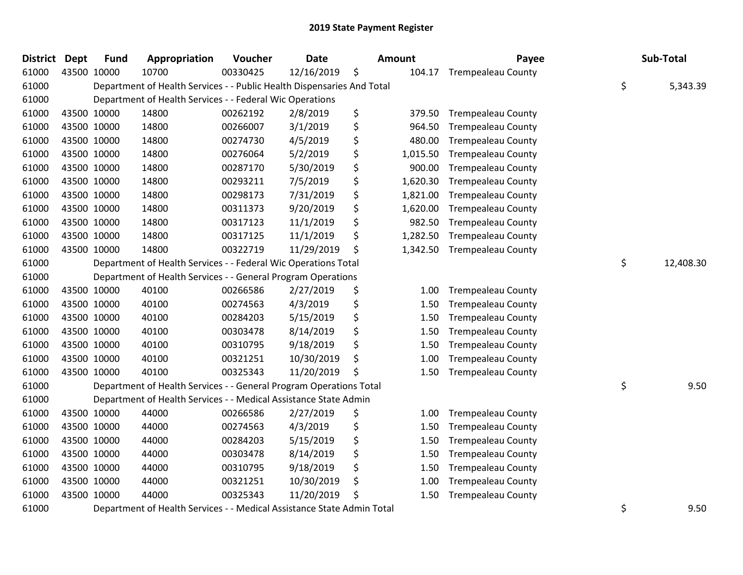| <b>District</b> | <b>Dept</b> | <b>Fund</b> | Appropriation                                                          | Voucher  | <b>Date</b> |    | <b>Amount</b> | Payee                     | Sub-Total       |
|-----------------|-------------|-------------|------------------------------------------------------------------------|----------|-------------|----|---------------|---------------------------|-----------------|
| 61000           |             | 43500 10000 | 10700                                                                  | 00330425 | 12/16/2019  | \$ | 104.17        | <b>Trempealeau County</b> |                 |
| 61000           |             |             | Department of Health Services - - Public Health Dispensaries And Total |          |             |    |               |                           | \$<br>5,343.39  |
| 61000           |             |             | Department of Health Services - - Federal Wic Operations               |          |             |    |               |                           |                 |
| 61000           |             | 43500 10000 | 14800                                                                  | 00262192 | 2/8/2019    | \$ | 379.50        | <b>Trempealeau County</b> |                 |
| 61000           |             | 43500 10000 | 14800                                                                  | 00266007 | 3/1/2019    | \$ | 964.50        | <b>Trempealeau County</b> |                 |
| 61000           |             | 43500 10000 | 14800                                                                  | 00274730 | 4/5/2019    | \$ | 480.00        | <b>Trempealeau County</b> |                 |
| 61000           |             | 43500 10000 | 14800                                                                  | 00276064 | 5/2/2019    | \$ | 1,015.50      | <b>Trempealeau County</b> |                 |
| 61000           |             | 43500 10000 | 14800                                                                  | 00287170 | 5/30/2019   | \$ | 900.00        | Trempealeau County        |                 |
| 61000           |             | 43500 10000 | 14800                                                                  | 00293211 | 7/5/2019    | \$ | 1,620.30      | <b>Trempealeau County</b> |                 |
| 61000           |             | 43500 10000 | 14800                                                                  | 00298173 | 7/31/2019   | \$ | 1,821.00      | <b>Trempealeau County</b> |                 |
| 61000           |             | 43500 10000 | 14800                                                                  | 00311373 | 9/20/2019   | \$ | 1,620.00      | <b>Trempealeau County</b> |                 |
| 61000           |             | 43500 10000 | 14800                                                                  | 00317123 | 11/1/2019   | \$ | 982.50        | <b>Trempealeau County</b> |                 |
| 61000           |             | 43500 10000 | 14800                                                                  | 00317125 | 11/1/2019   | \$ | 1,282.50      | <b>Trempealeau County</b> |                 |
| 61000           |             | 43500 10000 | 14800                                                                  | 00322719 | 11/29/2019  | \$ | 1,342.50      | <b>Trempealeau County</b> |                 |
| 61000           |             |             | Department of Health Services - - Federal Wic Operations Total         |          |             |    |               |                           | \$<br>12,408.30 |
| 61000           |             |             | Department of Health Services - - General Program Operations           |          |             |    |               |                           |                 |
| 61000           |             | 43500 10000 | 40100                                                                  | 00266586 | 2/27/2019   | \$ | 1.00          | <b>Trempealeau County</b> |                 |
| 61000           |             | 43500 10000 | 40100                                                                  | 00274563 | 4/3/2019    | \$ | 1.50          | <b>Trempealeau County</b> |                 |
| 61000           |             | 43500 10000 | 40100                                                                  | 00284203 | 5/15/2019   | \$ | 1.50          | <b>Trempealeau County</b> |                 |
| 61000           |             | 43500 10000 | 40100                                                                  | 00303478 | 8/14/2019   | \$ | 1.50          | <b>Trempealeau County</b> |                 |
| 61000           |             | 43500 10000 | 40100                                                                  | 00310795 | 9/18/2019   | \$ | 1.50          | <b>Trempealeau County</b> |                 |
| 61000           |             | 43500 10000 | 40100                                                                  | 00321251 | 10/30/2019  | \$ | 1.00          | Trempealeau County        |                 |
| 61000           |             | 43500 10000 | 40100                                                                  | 00325343 | 11/20/2019  | \$ | 1.50          | <b>Trempealeau County</b> |                 |
| 61000           |             |             | Department of Health Services - - General Program Operations Total     |          |             |    |               |                           | \$<br>9.50      |
| 61000           |             |             | Department of Health Services - - Medical Assistance State Admin       |          |             |    |               |                           |                 |
| 61000           |             | 43500 10000 | 44000                                                                  | 00266586 | 2/27/2019   | \$ | 1.00          | <b>Trempealeau County</b> |                 |
| 61000           |             | 43500 10000 | 44000                                                                  | 00274563 | 4/3/2019    | \$ | 1.50          | <b>Trempealeau County</b> |                 |
| 61000           |             | 43500 10000 | 44000                                                                  | 00284203 | 5/15/2019   | \$ | 1.50          | <b>Trempealeau County</b> |                 |
| 61000           |             | 43500 10000 | 44000                                                                  | 00303478 | 8/14/2019   | \$ | 1.50          | <b>Trempealeau County</b> |                 |
| 61000           |             | 43500 10000 | 44000                                                                  | 00310795 | 9/18/2019   | \$ | 1.50          | <b>Trempealeau County</b> |                 |
| 61000           |             | 43500 10000 | 44000                                                                  | 00321251 | 10/30/2019  | \$ | 1.00          | <b>Trempealeau County</b> |                 |
| 61000           |             | 43500 10000 | 44000                                                                  | 00325343 | 11/20/2019  | Ś  | 1.50          | <b>Trempealeau County</b> |                 |
| 61000           |             |             | Department of Health Services - - Medical Assistance State Admin Total |          |             |    |               |                           | \$<br>9.50      |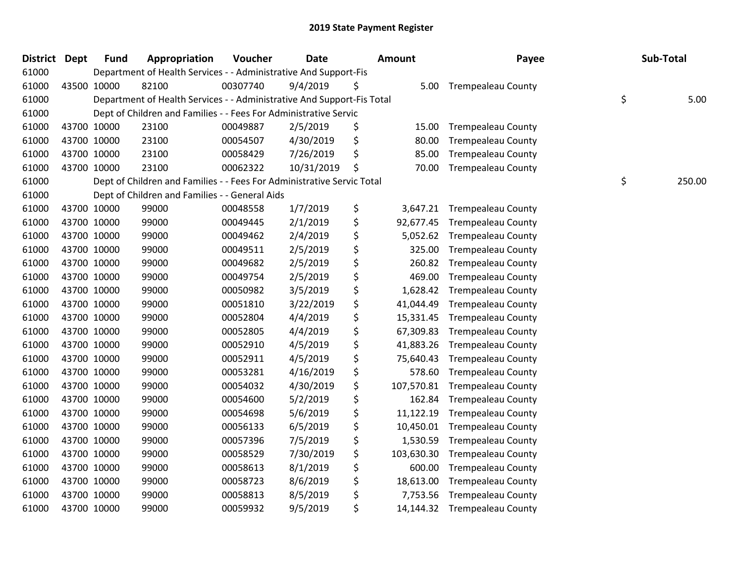| <b>District</b> | <b>Dept</b> | <b>Fund</b> | Appropriation                                                          | Voucher  | <b>Date</b> | <b>Amount</b>    | Payee                     | Sub-Total    |
|-----------------|-------------|-------------|------------------------------------------------------------------------|----------|-------------|------------------|---------------------------|--------------|
| 61000           |             |             | Department of Health Services - - Administrative And Support-Fis       |          |             |                  |                           |              |
| 61000           |             | 43500 10000 | 82100                                                                  | 00307740 | 9/4/2019    | \$<br>5.00       | <b>Trempealeau County</b> |              |
| 61000           |             |             | Department of Health Services - - Administrative And Support-Fis Total |          |             |                  |                           | \$<br>5.00   |
| 61000           |             |             | Dept of Children and Families - - Fees For Administrative Servic       |          |             |                  |                           |              |
| 61000           |             | 43700 10000 | 23100                                                                  | 00049887 | 2/5/2019    | \$<br>15.00      | <b>Trempealeau County</b> |              |
| 61000           |             | 43700 10000 | 23100                                                                  | 00054507 | 4/30/2019   | \$<br>80.00      | <b>Trempealeau County</b> |              |
| 61000           |             | 43700 10000 | 23100                                                                  | 00058429 | 7/26/2019   | \$<br>85.00      | <b>Trempealeau County</b> |              |
| 61000           |             | 43700 10000 | 23100                                                                  | 00062322 | 10/31/2019  | \$<br>70.00      | <b>Trempealeau County</b> |              |
| 61000           |             |             | Dept of Children and Families - - Fees For Administrative Servic Total |          |             |                  |                           | \$<br>250.00 |
| 61000           |             |             | Dept of Children and Families - - General Aids                         |          |             |                  |                           |              |
| 61000           |             | 43700 10000 | 99000                                                                  | 00048558 | 1/7/2019    | \$<br>3,647.21   | <b>Trempealeau County</b> |              |
| 61000           |             | 43700 10000 | 99000                                                                  | 00049445 | 2/1/2019    | \$<br>92,677.45  | <b>Trempealeau County</b> |              |
| 61000           |             | 43700 10000 | 99000                                                                  | 00049462 | 2/4/2019    | \$<br>5,052.62   | <b>Trempealeau County</b> |              |
| 61000           |             | 43700 10000 | 99000                                                                  | 00049511 | 2/5/2019    | \$<br>325.00     | <b>Trempealeau County</b> |              |
| 61000           |             | 43700 10000 | 99000                                                                  | 00049682 | 2/5/2019    | \$<br>260.82     | <b>Trempealeau County</b> |              |
| 61000           |             | 43700 10000 | 99000                                                                  | 00049754 | 2/5/2019    | \$<br>469.00     | <b>Trempealeau County</b> |              |
| 61000           |             | 43700 10000 | 99000                                                                  | 00050982 | 3/5/2019    | \$<br>1,628.42   | <b>Trempealeau County</b> |              |
| 61000           |             | 43700 10000 | 99000                                                                  | 00051810 | 3/22/2019   | \$<br>41,044.49  | <b>Trempealeau County</b> |              |
| 61000           |             | 43700 10000 | 99000                                                                  | 00052804 | 4/4/2019    | \$<br>15,331.45  | <b>Trempealeau County</b> |              |
| 61000           |             | 43700 10000 | 99000                                                                  | 00052805 | 4/4/2019    | \$<br>67,309.83  | <b>Trempealeau County</b> |              |
| 61000           |             | 43700 10000 | 99000                                                                  | 00052910 | 4/5/2019    | \$<br>41,883.26  | <b>Trempealeau County</b> |              |
| 61000           |             | 43700 10000 | 99000                                                                  | 00052911 | 4/5/2019    | \$<br>75,640.43  | <b>Trempealeau County</b> |              |
| 61000           |             | 43700 10000 | 99000                                                                  | 00053281 | 4/16/2019   | \$<br>578.60     | <b>Trempealeau County</b> |              |
| 61000           |             | 43700 10000 | 99000                                                                  | 00054032 | 4/30/2019   | \$<br>107,570.81 | <b>Trempealeau County</b> |              |
| 61000           |             | 43700 10000 | 99000                                                                  | 00054600 | 5/2/2019    | \$<br>162.84     | <b>Trempealeau County</b> |              |
| 61000           |             | 43700 10000 | 99000                                                                  | 00054698 | 5/6/2019    | \$<br>11,122.19  | <b>Trempealeau County</b> |              |
| 61000           |             | 43700 10000 | 99000                                                                  | 00056133 | 6/5/2019    | \$<br>10,450.01  | <b>Trempealeau County</b> |              |
| 61000           |             | 43700 10000 | 99000                                                                  | 00057396 | 7/5/2019    | \$<br>1,530.59   | <b>Trempealeau County</b> |              |
| 61000           |             | 43700 10000 | 99000                                                                  | 00058529 | 7/30/2019   | \$<br>103,630.30 | <b>Trempealeau County</b> |              |
| 61000           |             | 43700 10000 | 99000                                                                  | 00058613 | 8/1/2019    | \$<br>600.00     | <b>Trempealeau County</b> |              |
| 61000           |             | 43700 10000 | 99000                                                                  | 00058723 | 8/6/2019    | \$<br>18,613.00  | <b>Trempealeau County</b> |              |
| 61000           |             | 43700 10000 | 99000                                                                  | 00058813 | 8/5/2019    | \$<br>7,753.56   | <b>Trempealeau County</b> |              |
| 61000           |             | 43700 10000 | 99000                                                                  | 00059932 | 9/5/2019    | \$<br>14,144.32  | <b>Trempealeau County</b> |              |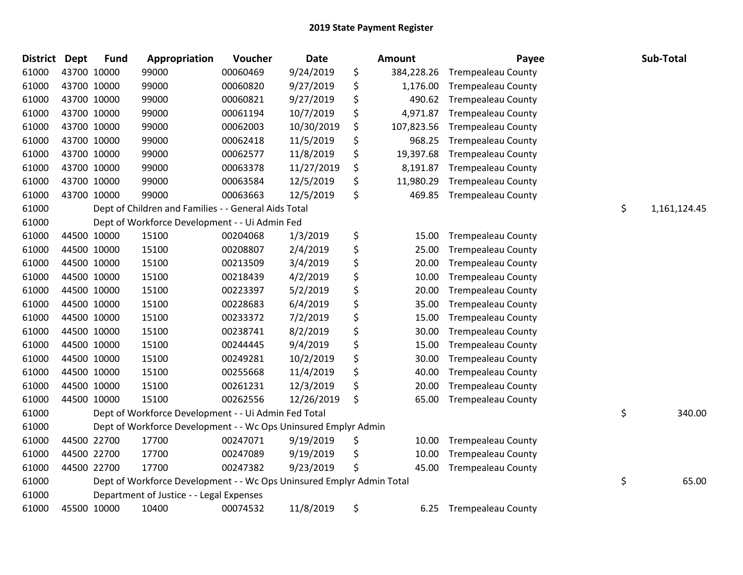| <b>District</b> | <b>Dept</b> | <b>Fund</b> | Appropriation                                                         | Voucher  | <b>Date</b> | <b>Amount</b>    | Payee                     | Sub-Total          |
|-----------------|-------------|-------------|-----------------------------------------------------------------------|----------|-------------|------------------|---------------------------|--------------------|
| 61000           |             | 43700 10000 | 99000                                                                 | 00060469 | 9/24/2019   | \$<br>384,228.26 | <b>Trempealeau County</b> |                    |
| 61000           |             | 43700 10000 | 99000                                                                 | 00060820 | 9/27/2019   | \$<br>1,176.00   | <b>Trempealeau County</b> |                    |
| 61000           |             | 43700 10000 | 99000                                                                 | 00060821 | 9/27/2019   | \$<br>490.62     | <b>Trempealeau County</b> |                    |
| 61000           | 43700 10000 |             | 99000                                                                 | 00061194 | 10/7/2019   | \$<br>4,971.87   | <b>Trempealeau County</b> |                    |
| 61000           | 43700 10000 |             | 99000                                                                 | 00062003 | 10/30/2019  | \$<br>107,823.56 | <b>Trempealeau County</b> |                    |
| 61000           |             | 43700 10000 | 99000                                                                 | 00062418 | 11/5/2019   | \$<br>968.25     | <b>Trempealeau County</b> |                    |
| 61000           |             | 43700 10000 | 99000                                                                 | 00062577 | 11/8/2019   | \$<br>19,397.68  | <b>Trempealeau County</b> |                    |
| 61000           |             | 43700 10000 | 99000                                                                 | 00063378 | 11/27/2019  | \$<br>8,191.87   | <b>Trempealeau County</b> |                    |
| 61000           | 43700 10000 |             | 99000                                                                 | 00063584 | 12/5/2019   | \$<br>11,980.29  | <b>Trempealeau County</b> |                    |
| 61000           | 43700 10000 |             | 99000                                                                 | 00063663 | 12/5/2019   | \$<br>469.85     | <b>Trempealeau County</b> |                    |
| 61000           |             |             | Dept of Children and Families - - General Aids Total                  |          |             |                  |                           | \$<br>1,161,124.45 |
| 61000           |             |             | Dept of Workforce Development - - Ui Admin Fed                        |          |             |                  |                           |                    |
| 61000           |             | 44500 10000 | 15100                                                                 | 00204068 | 1/3/2019    | \$<br>15.00      | <b>Trempealeau County</b> |                    |
| 61000           | 44500 10000 |             | 15100                                                                 | 00208807 | 2/4/2019    | \$<br>25.00      | <b>Trempealeau County</b> |                    |
| 61000           |             | 44500 10000 | 15100                                                                 | 00213509 | 3/4/2019    | \$<br>20.00      | <b>Trempealeau County</b> |                    |
| 61000           |             | 44500 10000 | 15100                                                                 | 00218439 | 4/2/2019    | \$<br>10.00      | <b>Trempealeau County</b> |                    |
| 61000           |             | 44500 10000 | 15100                                                                 | 00223397 | 5/2/2019    | \$<br>20.00      | <b>Trempealeau County</b> |                    |
| 61000           | 44500 10000 |             | 15100                                                                 | 00228683 | 6/4/2019    | \$<br>35.00      | <b>Trempealeau County</b> |                    |
| 61000           | 44500 10000 |             | 15100                                                                 | 00233372 | 7/2/2019    | \$<br>15.00      | <b>Trempealeau County</b> |                    |
| 61000           |             | 44500 10000 | 15100                                                                 | 00238741 | 8/2/2019    | \$<br>30.00      | <b>Trempealeau County</b> |                    |
| 61000           |             | 44500 10000 | 15100                                                                 | 00244445 | 9/4/2019    | \$<br>15.00      | <b>Trempealeau County</b> |                    |
| 61000           |             | 44500 10000 | 15100                                                                 | 00249281 | 10/2/2019   | \$<br>30.00      | <b>Trempealeau County</b> |                    |
| 61000           |             | 44500 10000 | 15100                                                                 | 00255668 | 11/4/2019   | \$<br>40.00      | <b>Trempealeau County</b> |                    |
| 61000           | 44500 10000 |             | 15100                                                                 | 00261231 | 12/3/2019   | \$<br>20.00      | <b>Trempealeau County</b> |                    |
| 61000           |             | 44500 10000 | 15100                                                                 | 00262556 | 12/26/2019  | \$<br>65.00      | <b>Trempealeau County</b> |                    |
| 61000           |             |             | Dept of Workforce Development - - Ui Admin Fed Total                  |          |             |                  |                           | \$<br>340.00       |
| 61000           |             |             | Dept of Workforce Development - - Wc Ops Uninsured Emplyr Admin       |          |             |                  |                           |                    |
| 61000           |             | 44500 22700 | 17700                                                                 | 00247071 | 9/19/2019   | \$<br>10.00      | <b>Trempealeau County</b> |                    |
| 61000           |             | 44500 22700 | 17700                                                                 | 00247089 | 9/19/2019   | \$<br>10.00      | <b>Trempealeau County</b> |                    |
| 61000           |             | 44500 22700 | 17700                                                                 | 00247382 | 9/23/2019   | \$<br>45.00      | <b>Trempealeau County</b> |                    |
| 61000           |             |             | Dept of Workforce Development - - Wc Ops Uninsured Emplyr Admin Total |          |             |                  |                           | \$<br>65.00        |
| 61000           |             |             | Department of Justice - - Legal Expenses                              |          |             |                  |                           |                    |
| 61000           | 45500 10000 |             | 10400                                                                 | 00074532 | 11/8/2019   | \$<br>6.25       | <b>Trempealeau County</b> |                    |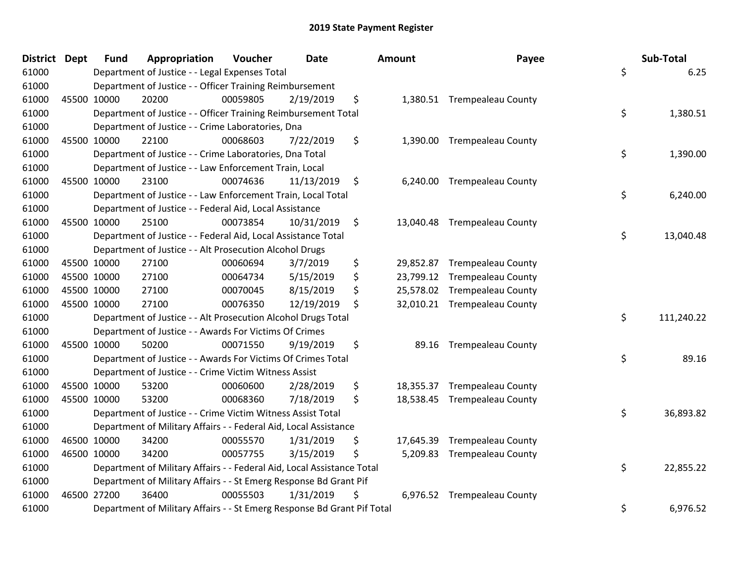| District | <b>Dept</b> | <b>Fund</b> | Appropriation                                                           | Voucher  | <b>Date</b> | Amount          | Payee                        | Sub-Total        |
|----------|-------------|-------------|-------------------------------------------------------------------------|----------|-------------|-----------------|------------------------------|------------------|
| 61000    |             |             | Department of Justice - - Legal Expenses Total                          |          |             |                 |                              | \$<br>6.25       |
| 61000    |             |             | Department of Justice - - Officer Training Reimbursement                |          |             |                 |                              |                  |
| 61000    |             | 45500 10000 | 20200                                                                   | 00059805 | 2/19/2019   | \$              | 1,380.51 Trempealeau County  |                  |
| 61000    |             |             | Department of Justice - - Officer Training Reimbursement Total          |          |             |                 |                              | \$<br>1,380.51   |
| 61000    |             |             | Department of Justice - - Crime Laboratories, Dna                       |          |             |                 |                              |                  |
| 61000    | 45500 10000 |             | 22100                                                                   | 00068603 | 7/22/2019   | \$<br>1,390.00  | <b>Trempealeau County</b>    |                  |
| 61000    |             |             | Department of Justice - - Crime Laboratories, Dna Total                 |          |             |                 |                              | \$<br>1,390.00   |
| 61000    |             |             | Department of Justice - - Law Enforcement Train, Local                  |          |             |                 |                              |                  |
| 61000    | 45500 10000 |             | 23100                                                                   | 00074636 | 11/13/2019  | \$              | 6,240.00 Trempealeau County  |                  |
| 61000    |             |             | Department of Justice - - Law Enforcement Train, Local Total            |          |             |                 |                              | \$<br>6,240.00   |
| 61000    |             |             | Department of Justice - - Federal Aid, Local Assistance                 |          |             |                 |                              |                  |
| 61000    | 45500 10000 |             | 25100                                                                   | 00073854 | 10/31/2019  | \$              | 13,040.48 Trempealeau County |                  |
| 61000    |             |             | Department of Justice - - Federal Aid, Local Assistance Total           |          |             |                 |                              | \$<br>13,040.48  |
| 61000    |             |             | Department of Justice - - Alt Prosecution Alcohol Drugs                 |          |             |                 |                              |                  |
| 61000    | 45500 10000 |             | 27100                                                                   | 00060694 | 3/7/2019    | \$<br>29,852.87 | <b>Trempealeau County</b>    |                  |
| 61000    |             | 45500 10000 | 27100                                                                   | 00064734 | 5/15/2019   | \$<br>23,799.12 | <b>Trempealeau County</b>    |                  |
| 61000    | 45500 10000 |             | 27100                                                                   | 00070045 | 8/15/2019   | \$              | 25,578.02 Trempealeau County |                  |
| 61000    |             | 45500 10000 | 27100                                                                   | 00076350 | 12/19/2019  | \$              | 32,010.21 Trempealeau County |                  |
| 61000    |             |             | Department of Justice - - Alt Prosecution Alcohol Drugs Total           |          |             |                 |                              | \$<br>111,240.22 |
| 61000    |             |             | Department of Justice - - Awards For Victims Of Crimes                  |          |             |                 |                              |                  |
| 61000    |             | 45500 10000 | 50200                                                                   | 00071550 | 9/19/2019   | \$              | 89.16 Trempealeau County     |                  |
| 61000    |             |             | Department of Justice - - Awards For Victims Of Crimes Total            |          |             |                 |                              | \$<br>89.16      |
| 61000    |             |             | Department of Justice - - Crime Victim Witness Assist                   |          |             |                 |                              |                  |
| 61000    | 45500 10000 |             | 53200                                                                   | 00060600 | 2/28/2019   | \$              | 18,355.37 Trempealeau County |                  |
| 61000    | 45500 10000 |             | 53200                                                                   | 00068360 | 7/18/2019   | \$              | 18,538.45 Trempealeau County |                  |
| 61000    |             |             | Department of Justice - - Crime Victim Witness Assist Total             |          |             |                 |                              | \$<br>36,893.82  |
| 61000    |             |             | Department of Military Affairs - - Federal Aid, Local Assistance        |          |             |                 |                              |                  |
| 61000    |             | 46500 10000 | 34200                                                                   | 00055570 | 1/31/2019   | \$              | 17,645.39 Trempealeau County |                  |
| 61000    | 46500 10000 |             | 34200                                                                   | 00057755 | 3/15/2019   | \$              | 5,209.83 Trempealeau County  |                  |
| 61000    |             |             | Department of Military Affairs - - Federal Aid, Local Assistance Total  |          |             |                 |                              | \$<br>22,855.22  |
| 61000    |             |             | Department of Military Affairs - - St Emerg Response Bd Grant Pif       |          |             |                 |                              |                  |
| 61000    | 46500 27200 |             | 36400                                                                   | 00055503 | 1/31/2019   | \$              | 6,976.52 Trempealeau County  |                  |
| 61000    |             |             | Department of Military Affairs - - St Emerg Response Bd Grant Pif Total |          |             |                 |                              | \$<br>6,976.52   |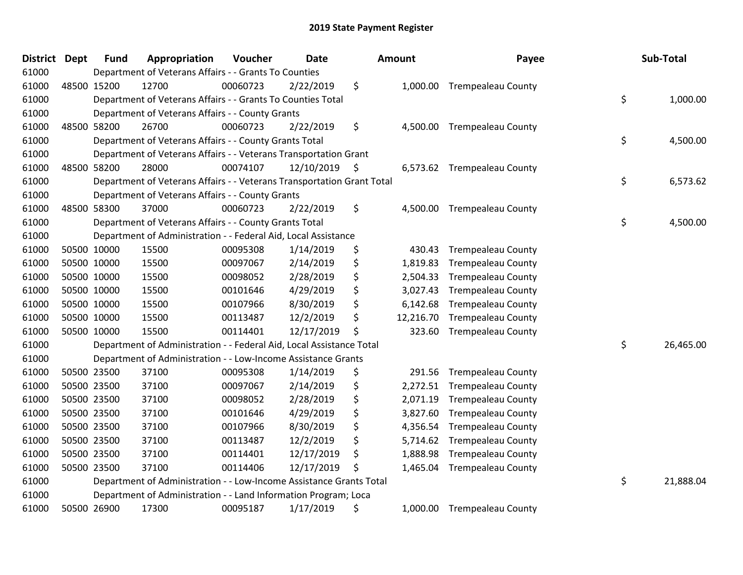| <b>District</b> | <b>Dept</b> | <b>Fund</b> | Appropriation                                                          | Voucher  | <b>Date</b> | <b>Amount</b>   | Payee                       | Sub-Total       |
|-----------------|-------------|-------------|------------------------------------------------------------------------|----------|-------------|-----------------|-----------------------------|-----------------|
| 61000           |             |             | Department of Veterans Affairs - - Grants To Counties                  |          |             |                 |                             |                 |
| 61000           |             | 48500 15200 | 12700                                                                  | 00060723 | 2/22/2019   | \$              | 1,000.00 Trempealeau County |                 |
| 61000           |             |             | Department of Veterans Affairs - - Grants To Counties Total            |          |             |                 |                             | \$<br>1,000.00  |
| 61000           |             |             | Department of Veterans Affairs - - County Grants                       |          |             |                 |                             |                 |
| 61000           |             | 48500 58200 | 26700                                                                  | 00060723 | 2/22/2019   | \$<br>4,500.00  | <b>Trempealeau County</b>   |                 |
| 61000           |             |             | Department of Veterans Affairs - - County Grants Total                 |          |             |                 |                             | \$<br>4,500.00  |
| 61000           |             |             | Department of Veterans Affairs - - Veterans Transportation Grant       |          |             |                 |                             |                 |
| 61000           |             | 48500 58200 | 28000                                                                  | 00074107 | 12/10/2019  | \$              | 6,573.62 Trempealeau County |                 |
| 61000           |             |             | Department of Veterans Affairs - - Veterans Transportation Grant Total |          |             |                 |                             | \$<br>6,573.62  |
| 61000           |             |             | Department of Veterans Affairs - - County Grants                       |          |             |                 |                             |                 |
| 61000           |             | 48500 58300 | 37000                                                                  | 00060723 | 2/22/2019   | \$<br>4,500.00  | <b>Trempealeau County</b>   |                 |
| 61000           |             |             | Department of Veterans Affairs - - County Grants Total                 |          |             |                 |                             | \$<br>4,500.00  |
| 61000           |             |             | Department of Administration - - Federal Aid, Local Assistance         |          |             |                 |                             |                 |
| 61000           |             | 50500 10000 | 15500                                                                  | 00095308 | 1/14/2019   | \$<br>430.43    | <b>Trempealeau County</b>   |                 |
| 61000           |             | 50500 10000 | 15500                                                                  | 00097067 | 2/14/2019   | \$<br>1,819.83  | <b>Trempealeau County</b>   |                 |
| 61000           |             | 50500 10000 | 15500                                                                  | 00098052 | 2/28/2019   | \$<br>2,504.33  | <b>Trempealeau County</b>   |                 |
| 61000           |             | 50500 10000 | 15500                                                                  | 00101646 | 4/29/2019   | \$<br>3,027.43  | <b>Trempealeau County</b>   |                 |
| 61000           |             | 50500 10000 | 15500                                                                  | 00107966 | 8/30/2019   | \$<br>6,142.68  | <b>Trempealeau County</b>   |                 |
| 61000           |             | 50500 10000 | 15500                                                                  | 00113487 | 12/2/2019   | \$<br>12,216.70 | <b>Trempealeau County</b>   |                 |
| 61000           |             | 50500 10000 | 15500                                                                  | 00114401 | 12/17/2019  | \$<br>323.60    | <b>Trempealeau County</b>   |                 |
| 61000           |             |             | Department of Administration - - Federal Aid, Local Assistance Total   |          |             |                 |                             | \$<br>26,465.00 |
| 61000           |             |             | Department of Administration - - Low-Income Assistance Grants          |          |             |                 |                             |                 |
| 61000           |             | 50500 23500 | 37100                                                                  | 00095308 | 1/14/2019   | \$<br>291.56    | <b>Trempealeau County</b>   |                 |
| 61000           |             | 50500 23500 | 37100                                                                  | 00097067 | 2/14/2019   | \$<br>2,272.51  | <b>Trempealeau County</b>   |                 |
| 61000           |             | 50500 23500 | 37100                                                                  | 00098052 | 2/28/2019   | \$<br>2,071.19  | <b>Trempealeau County</b>   |                 |
| 61000           |             | 50500 23500 | 37100                                                                  | 00101646 | 4/29/2019   | \$<br>3,827.60  | <b>Trempealeau County</b>   |                 |
| 61000           |             | 50500 23500 | 37100                                                                  | 00107966 | 8/30/2019   | \$<br>4,356.54  | <b>Trempealeau County</b>   |                 |
| 61000           | 50500 23500 |             | 37100                                                                  | 00113487 | 12/2/2019   | \$<br>5,714.62  | <b>Trempealeau County</b>   |                 |
| 61000           |             | 50500 23500 | 37100                                                                  | 00114401 | 12/17/2019  | \$<br>1,888.98  | <b>Trempealeau County</b>   |                 |
| 61000           |             | 50500 23500 | 37100                                                                  | 00114406 | 12/17/2019  | \$<br>1,465.04  | <b>Trempealeau County</b>   |                 |
| 61000           |             |             | Department of Administration - - Low-Income Assistance Grants Total    |          |             |                 |                             | \$<br>21,888.04 |
| 61000           |             |             | Department of Administration - - Land Information Program; Loca        |          |             |                 |                             |                 |
| 61000           |             | 50500 26900 | 17300                                                                  | 00095187 | 1/17/2019   | \$<br>1,000.00  | Trempealeau County          |                 |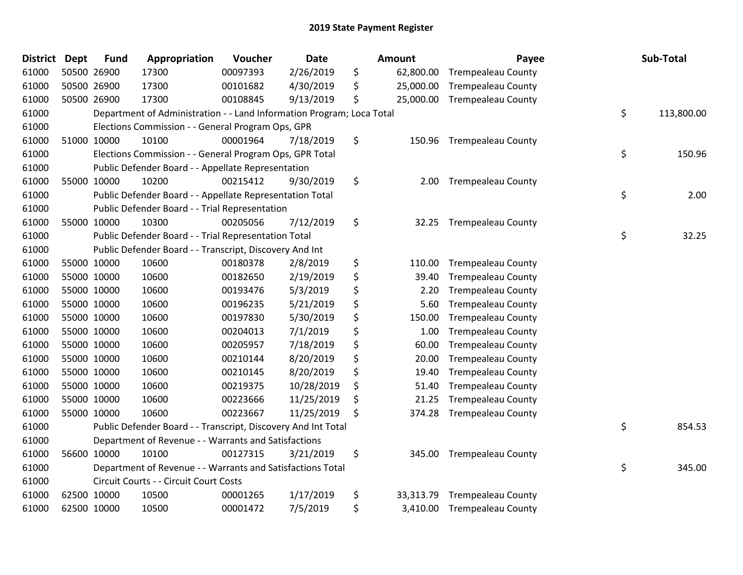| <b>District</b> | <b>Dept</b> | <b>Fund</b> | Appropriation                                                         | Voucher  | <b>Date</b> | <b>Amount</b>   | Payee                     | Sub-Total        |
|-----------------|-------------|-------------|-----------------------------------------------------------------------|----------|-------------|-----------------|---------------------------|------------------|
| 61000           |             | 50500 26900 | 17300                                                                 | 00097393 | 2/26/2019   | \$<br>62,800.00 | <b>Trempealeau County</b> |                  |
| 61000           |             | 50500 26900 | 17300                                                                 | 00101682 | 4/30/2019   | \$<br>25,000.00 | <b>Trempealeau County</b> |                  |
| 61000           |             | 50500 26900 | 17300                                                                 | 00108845 | 9/13/2019   | \$<br>25,000.00 | <b>Trempealeau County</b> |                  |
| 61000           |             |             | Department of Administration - - Land Information Program; Loca Total |          |             |                 |                           | \$<br>113,800.00 |
| 61000           |             |             | Elections Commission - - General Program Ops, GPR                     |          |             |                 |                           |                  |
| 61000           |             | 51000 10000 | 10100                                                                 | 00001964 | 7/18/2019   | \$<br>150.96    | <b>Trempealeau County</b> |                  |
| 61000           |             |             | Elections Commission - - General Program Ops, GPR Total               |          |             |                 |                           | \$<br>150.96     |
| 61000           |             |             | Public Defender Board - - Appellate Representation                    |          |             |                 |                           |                  |
| 61000           |             | 55000 10000 | 10200                                                                 | 00215412 | 9/30/2019   | \$<br>2.00      | <b>Trempealeau County</b> |                  |
| 61000           |             |             | Public Defender Board - - Appellate Representation Total              |          |             |                 |                           | \$<br>2.00       |
| 61000           |             |             | Public Defender Board - - Trial Representation                        |          |             |                 |                           |                  |
| 61000           |             | 55000 10000 | 10300                                                                 | 00205056 | 7/12/2019   | \$<br>32.25     | <b>Trempealeau County</b> |                  |
| 61000           |             |             | Public Defender Board - - Trial Representation Total                  |          |             |                 |                           | \$<br>32.25      |
| 61000           |             |             | Public Defender Board - - Transcript, Discovery And Int               |          |             |                 |                           |                  |
| 61000           |             | 55000 10000 | 10600                                                                 | 00180378 | 2/8/2019    | \$<br>110.00    | <b>Trempealeau County</b> |                  |
| 61000           |             | 55000 10000 | 10600                                                                 | 00182650 | 2/19/2019   | \$<br>39.40     | <b>Trempealeau County</b> |                  |
| 61000           |             | 55000 10000 | 10600                                                                 | 00193476 | 5/3/2019    | \$<br>2.20      | <b>Trempealeau County</b> |                  |
| 61000           |             | 55000 10000 | 10600                                                                 | 00196235 | 5/21/2019   | \$<br>5.60      | <b>Trempealeau County</b> |                  |
| 61000           |             | 55000 10000 | 10600                                                                 | 00197830 | 5/30/2019   | \$<br>150.00    | <b>Trempealeau County</b> |                  |
| 61000           |             | 55000 10000 | 10600                                                                 | 00204013 | 7/1/2019    | \$<br>1.00      | <b>Trempealeau County</b> |                  |
| 61000           |             | 55000 10000 | 10600                                                                 | 00205957 | 7/18/2019   | \$<br>60.00     | <b>Trempealeau County</b> |                  |
| 61000           |             | 55000 10000 | 10600                                                                 | 00210144 | 8/20/2019   | \$<br>20.00     | <b>Trempealeau County</b> |                  |
| 61000           |             | 55000 10000 | 10600                                                                 | 00210145 | 8/20/2019   | \$<br>19.40     | <b>Trempealeau County</b> |                  |
| 61000           |             | 55000 10000 | 10600                                                                 | 00219375 | 10/28/2019  | \$<br>51.40     | <b>Trempealeau County</b> |                  |
| 61000           |             | 55000 10000 | 10600                                                                 | 00223666 | 11/25/2019  | \$<br>21.25     | <b>Trempealeau County</b> |                  |
| 61000           |             | 55000 10000 | 10600                                                                 | 00223667 | 11/25/2019  | \$<br>374.28    | <b>Trempealeau County</b> |                  |
| 61000           |             |             | Public Defender Board - - Transcript, Discovery And Int Total         |          |             |                 |                           | \$<br>854.53     |
| 61000           |             |             | Department of Revenue - - Warrants and Satisfactions                  |          |             |                 |                           |                  |
| 61000           |             | 56600 10000 | 10100                                                                 | 00127315 | 3/21/2019   | \$<br>345.00    | <b>Trempealeau County</b> |                  |
| 61000           |             |             | Department of Revenue - - Warrants and Satisfactions Total            |          |             |                 |                           | \$<br>345.00     |
| 61000           |             |             | Circuit Courts - - Circuit Court Costs                                |          |             |                 |                           |                  |
| 61000           |             | 62500 10000 | 10500                                                                 | 00001265 | 1/17/2019   | \$<br>33,313.79 | <b>Trempealeau County</b> |                  |
| 61000           |             | 62500 10000 | 10500                                                                 | 00001472 | 7/5/2019    | \$<br>3,410.00  | <b>Trempealeau County</b> |                  |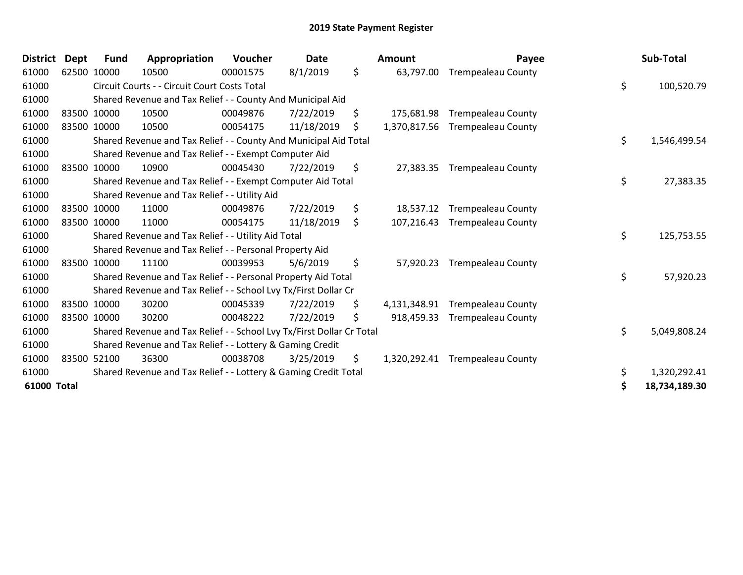| <b>District</b> | <b>Dept</b> | <b>Fund</b> | Appropriation                                                         | Voucher  | <b>Date</b> | Amount             | Payee                           |    | Sub-Total     |
|-----------------|-------------|-------------|-----------------------------------------------------------------------|----------|-------------|--------------------|---------------------------------|----|---------------|
| 61000           |             | 62500 10000 | 10500                                                                 | 00001575 | 8/1/2019    | \$<br>63,797.00    | <b>Trempealeau County</b>       |    |               |
| 61000           |             |             | Circuit Courts - - Circuit Court Costs Total                          |          |             |                    |                                 | \$ | 100,520.79    |
| 61000           |             |             | Shared Revenue and Tax Relief - - County And Municipal Aid            |          |             |                    |                                 |    |               |
| 61000           |             | 83500 10000 | 10500                                                                 | 00049876 | 7/22/2019   | \$<br>175,681.98   | <b>Trempealeau County</b>       |    |               |
| 61000           | 83500 10000 |             | 10500                                                                 | 00054175 | 11/18/2019  | \$<br>1,370,817.56 | <b>Trempealeau County</b>       |    |               |
| 61000           |             |             | Shared Revenue and Tax Relief - - County And Municipal Aid Total      |          |             |                    |                                 | \$ | 1,546,499.54  |
| 61000           |             |             | Shared Revenue and Tax Relief - - Exempt Computer Aid                 |          |             |                    |                                 |    |               |
| 61000           |             | 83500 10000 | 10900                                                                 | 00045430 | 7/22/2019   | \$<br>27,383.35    | <b>Trempealeau County</b>       |    |               |
| 61000           |             |             | Shared Revenue and Tax Relief - - Exempt Computer Aid Total           |          |             |                    |                                 | \$ | 27,383.35     |
| 61000           |             |             | Shared Revenue and Tax Relief - - Utility Aid                         |          |             |                    |                                 |    |               |
| 61000           |             | 83500 10000 | 11000                                                                 | 00049876 | 7/22/2019   | \$<br>18,537.12    | <b>Trempealeau County</b>       |    |               |
| 61000           | 83500 10000 |             | 11000                                                                 | 00054175 | 11/18/2019  | \$<br>107,216.43   | <b>Trempealeau County</b>       |    |               |
| 61000           |             |             | Shared Revenue and Tax Relief - - Utility Aid Total                   |          |             |                    |                                 | \$ | 125,753.55    |
| 61000           |             |             | Shared Revenue and Tax Relief - - Personal Property Aid               |          |             |                    |                                 |    |               |
| 61000           |             | 83500 10000 | 11100                                                                 | 00039953 | 5/6/2019    | \$<br>57,920.23    | <b>Trempealeau County</b>       |    |               |
| 61000           |             |             | Shared Revenue and Tax Relief - - Personal Property Aid Total         |          |             |                    |                                 | \$ | 57,920.23     |
| 61000           |             |             | Shared Revenue and Tax Relief - - School Lvy Tx/First Dollar Cr       |          |             |                    |                                 |    |               |
| 61000           |             | 83500 10000 | 30200                                                                 | 00045339 | 7/22/2019   | \$<br>4,131,348.91 | <b>Trempealeau County</b>       |    |               |
| 61000           | 83500 10000 |             | 30200                                                                 | 00048222 | 7/22/2019   | \$<br>918,459.33   | <b>Trempealeau County</b>       |    |               |
| 61000           |             |             | Shared Revenue and Tax Relief - - School Lvy Tx/First Dollar Cr Total |          |             |                    |                                 | \$ | 5,049,808.24  |
| 61000           |             |             | Shared Revenue and Tax Relief - - Lottery & Gaming Credit             |          |             |                    |                                 |    |               |
| 61000           |             | 83500 52100 | 36300                                                                 | 00038708 | 3/25/2019   | \$                 | 1,320,292.41 Trempealeau County |    |               |
| 61000           |             |             | Shared Revenue and Tax Relief - - Lottery & Gaming Credit Total       |          |             |                    |                                 | \$ | 1,320,292.41  |
| 61000 Total     |             |             |                                                                       |          |             |                    |                                 | S  | 18,734,189.30 |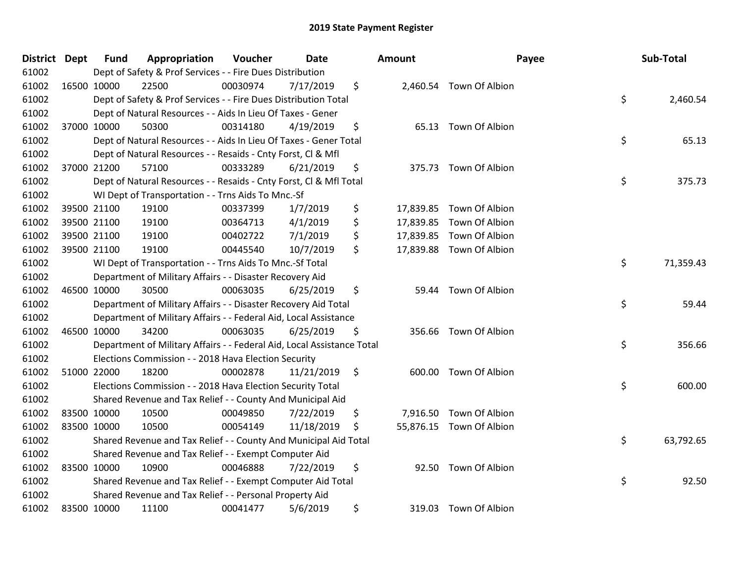| District Dept |             | <b>Fund</b> | Appropriation                                                          | Voucher  | <b>Date</b>     | <b>Amount</b>   |                          | Payee | Sub-Total |
|---------------|-------------|-------------|------------------------------------------------------------------------|----------|-----------------|-----------------|--------------------------|-------|-----------|
| 61002         |             |             | Dept of Safety & Prof Services - - Fire Dues Distribution              |          |                 |                 |                          |       |           |
| 61002         | 16500 10000 |             | 22500                                                                  | 00030974 | 7/17/2019       | \$              | 2,460.54 Town Of Albion  |       |           |
| 61002         |             |             | Dept of Safety & Prof Services - - Fire Dues Distribution Total        |          |                 |                 |                          | \$    | 2,460.54  |
| 61002         |             |             | Dept of Natural Resources - - Aids In Lieu Of Taxes - Gener            |          |                 |                 |                          |       |           |
| 61002         |             | 37000 10000 | 50300                                                                  | 00314180 | 4/19/2019       | \$<br>65.13     | Town Of Albion           |       |           |
| 61002         |             |             | Dept of Natural Resources - - Aids In Lieu Of Taxes - Gener Total      |          |                 |                 |                          | \$    | 65.13     |
| 61002         |             |             | Dept of Natural Resources - - Resaids - Cnty Forst, Cl & Mfl           |          |                 |                 |                          |       |           |
| 61002         |             | 37000 21200 | 57100                                                                  | 00333289 | 6/21/2019       | \$<br>375.73    | Town Of Albion           |       |           |
| 61002         |             |             | Dept of Natural Resources - - Resaids - Cnty Forst, Cl & Mfl Total     |          |                 |                 |                          | \$    | 375.73    |
| 61002         |             |             | WI Dept of Transportation - - Trns Aids To Mnc.-Sf                     |          |                 |                 |                          |       |           |
| 61002         |             | 39500 21100 | 19100                                                                  | 00337399 | 1/7/2019        | \$<br>17,839.85 | Town Of Albion           |       |           |
| 61002         | 39500 21100 |             | 19100                                                                  | 00364713 | 4/1/2019        | \$<br>17,839.85 | Town Of Albion           |       |           |
| 61002         | 39500 21100 |             | 19100                                                                  | 00402722 | 7/1/2019        | \$              | 17,839.85 Town Of Albion |       |           |
| 61002         |             | 39500 21100 | 19100                                                                  | 00445540 | 10/7/2019       | \$              | 17,839.88 Town Of Albion |       |           |
| 61002         |             |             | WI Dept of Transportation - - Trns Aids To Mnc.-Sf Total               |          |                 |                 |                          | \$    | 71,359.43 |
| 61002         |             |             | Department of Military Affairs - - Disaster Recovery Aid               |          |                 |                 |                          |       |           |
| 61002         |             | 46500 10000 | 30500                                                                  | 00063035 | 6/25/2019       | \$<br>59.44     | Town Of Albion           |       |           |
| 61002         |             |             | Department of Military Affairs - - Disaster Recovery Aid Total         |          |                 |                 |                          | \$    | 59.44     |
| 61002         |             |             | Department of Military Affairs - - Federal Aid, Local Assistance       |          |                 |                 |                          |       |           |
| 61002         | 46500 10000 |             | 34200                                                                  | 00063035 | 6/25/2019       | \$<br>356.66    | Town Of Albion           |       |           |
| 61002         |             |             | Department of Military Affairs - - Federal Aid, Local Assistance Total |          |                 |                 |                          | \$    | 356.66    |
| 61002         |             |             | Elections Commission - - 2018 Hava Election Security                   |          |                 |                 |                          |       |           |
| 61002         | 51000 22000 |             | 18200                                                                  | 00002878 | $11/21/2019$ \$ |                 | 600.00 Town Of Albion    |       |           |
| 61002         |             |             | Elections Commission - - 2018 Hava Election Security Total             |          |                 |                 |                          | \$    | 600.00    |
| 61002         |             |             | Shared Revenue and Tax Relief - - County And Municipal Aid             |          |                 |                 |                          |       |           |
| 61002         | 83500 10000 |             | 10500                                                                  | 00049850 | 7/22/2019       | \$<br>7,916.50  | Town Of Albion           |       |           |
| 61002         | 83500 10000 |             | 10500                                                                  | 00054149 | 11/18/2019      | \$              | 55,876.15 Town Of Albion |       |           |
| 61002         |             |             | Shared Revenue and Tax Relief - - County And Municipal Aid Total       |          |                 |                 |                          | \$    | 63,792.65 |
| 61002         |             |             | Shared Revenue and Tax Relief - - Exempt Computer Aid                  |          |                 |                 |                          |       |           |
| 61002         | 83500 10000 |             | 10900                                                                  | 00046888 | 7/22/2019       | \$<br>92.50     | Town Of Albion           |       |           |
| 61002         |             |             | Shared Revenue and Tax Relief - - Exempt Computer Aid Total            |          |                 |                 |                          | \$    | 92.50     |
| 61002         |             |             | Shared Revenue and Tax Relief - - Personal Property Aid                |          |                 |                 |                          |       |           |
| 61002         | 83500 10000 |             | 11100                                                                  | 00041477 | 5/6/2019        | \$<br>319.03    | Town Of Albion           |       |           |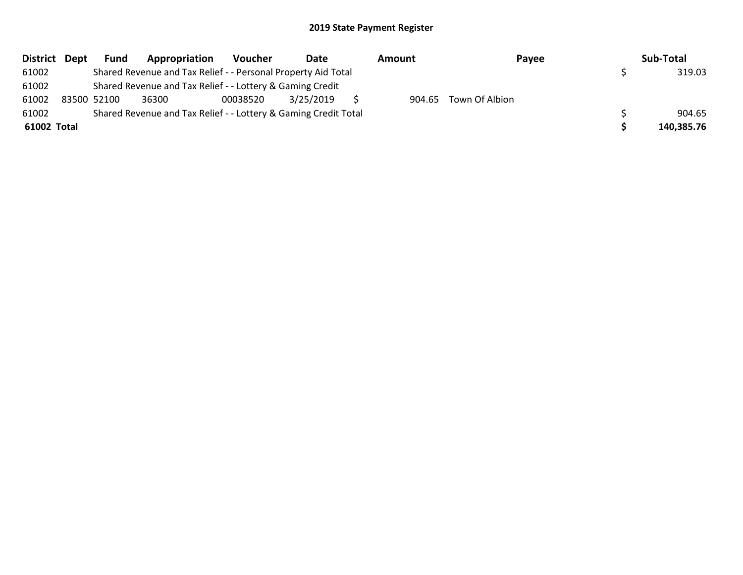| District Dept | <b>Fund</b> | Appropriation                                                   | Voucher  | Date      | <b>Amount</b> | Payee                 | Sub-Total  |
|---------------|-------------|-----------------------------------------------------------------|----------|-----------|---------------|-----------------------|------------|
| 61002         |             | Shared Revenue and Tax Relief - - Personal Property Aid Total   |          |           |               |                       | 319.03     |
| 61002         |             | Shared Revenue and Tax Relief - - Lottery & Gaming Credit       |          |           |               |                       |            |
| 61002         | 83500 52100 | 36300                                                           | 00038520 | 3/25/2019 |               | 904.65 Town Of Albion |            |
| 61002         |             | Shared Revenue and Tax Relief - - Lottery & Gaming Credit Total |          |           |               |                       | 904.65     |
| 61002 Total   |             |                                                                 |          |           |               |                       | 140,385.76 |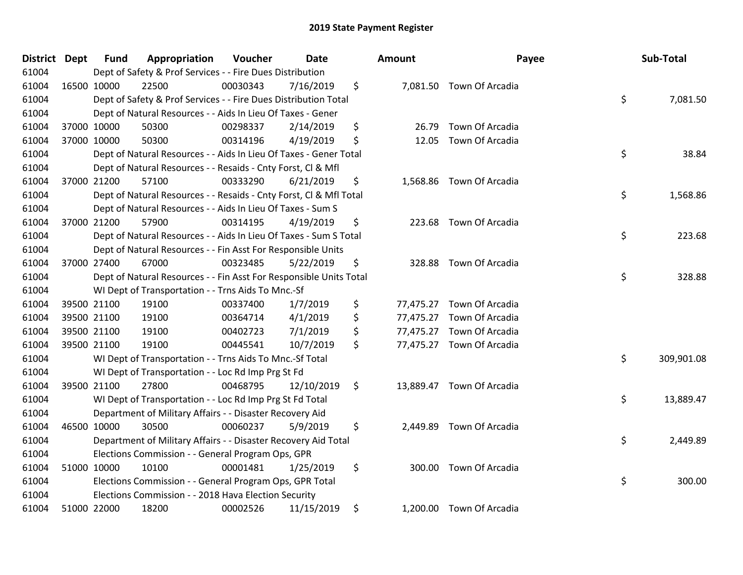| District Dept |             | <b>Fund</b> | Appropriation                                                      | Voucher  | <b>Date</b> |         | Amount | Payee                     | Sub-Total        |
|---------------|-------------|-------------|--------------------------------------------------------------------|----------|-------------|---------|--------|---------------------------|------------------|
| 61004         |             |             | Dept of Safety & Prof Services - - Fire Dues Distribution          |          |             |         |        |                           |                  |
| 61004         | 16500 10000 |             | 22500                                                              | 00030343 | 7/16/2019   | \$      |        | 7,081.50 Town Of Arcadia  |                  |
| 61004         |             |             | Dept of Safety & Prof Services - - Fire Dues Distribution Total    |          |             |         |        |                           | \$<br>7,081.50   |
| 61004         |             |             | Dept of Natural Resources - - Aids In Lieu Of Taxes - Gener        |          |             |         |        |                           |                  |
| 61004         |             | 37000 10000 | 50300                                                              | 00298337 | 2/14/2019   | \$      | 26.79  | Town Of Arcadia           |                  |
| 61004         |             | 37000 10000 | 50300                                                              | 00314196 | 4/19/2019   | \$      | 12.05  | Town Of Arcadia           |                  |
| 61004         |             |             | Dept of Natural Resources - - Aids In Lieu Of Taxes - Gener Total  |          |             |         |        |                           | \$<br>38.84      |
| 61004         |             |             | Dept of Natural Resources - - Resaids - Cnty Forst, CI & Mfl       |          |             |         |        |                           |                  |
| 61004         |             | 37000 21200 | 57100                                                              | 00333290 | 6/21/2019   | \$      |        | 1,568.86 Town Of Arcadia  |                  |
| 61004         |             |             | Dept of Natural Resources - - Resaids - Cnty Forst, Cl & Mfl Total |          |             |         |        |                           | \$<br>1,568.86   |
| 61004         |             |             | Dept of Natural Resources - - Aids In Lieu Of Taxes - Sum S        |          |             |         |        |                           |                  |
| 61004         |             | 37000 21200 | 57900                                                              | 00314195 | 4/19/2019   | \$      |        | 223.68 Town Of Arcadia    |                  |
| 61004         |             |             | Dept of Natural Resources - - Aids In Lieu Of Taxes - Sum S Total  |          |             |         |        |                           | \$<br>223.68     |
| 61004         |             |             | Dept of Natural Resources - - Fin Asst For Responsible Units       |          |             |         |        |                           |                  |
| 61004         |             | 37000 27400 | 67000                                                              | 00323485 | 5/22/2019   | \$      | 328.88 | Town Of Arcadia           |                  |
| 61004         |             |             | Dept of Natural Resources - - Fin Asst For Responsible Units Total |          |             |         |        |                           | \$<br>328.88     |
| 61004         |             |             | WI Dept of Transportation - - Trns Aids To Mnc.-Sf                 |          |             |         |        |                           |                  |
| 61004         | 39500 21100 |             | 19100                                                              | 00337400 | 1/7/2019    | \$      |        | 77,475.27 Town Of Arcadia |                  |
| 61004         | 39500 21100 |             | 19100                                                              | 00364714 | 4/1/2019    | \$      |        | 77,475.27 Town Of Arcadia |                  |
| 61004         |             | 39500 21100 | 19100                                                              | 00402723 | 7/1/2019    | \$      |        | 77,475.27 Town Of Arcadia |                  |
| 61004         |             | 39500 21100 | 19100                                                              | 00445541 | 10/7/2019   | \$      |        | 77,475.27 Town Of Arcadia |                  |
| 61004         |             |             | WI Dept of Transportation - - Trns Aids To Mnc.-Sf Total           |          |             |         |        |                           | \$<br>309,901.08 |
| 61004         |             |             | WI Dept of Transportation - - Loc Rd Imp Prg St Fd                 |          |             |         |        |                           |                  |
| 61004         |             | 39500 21100 | 27800                                                              | 00468795 | 12/10/2019  | $\zeta$ |        | 13,889.47 Town Of Arcadia |                  |
| 61004         |             |             | WI Dept of Transportation - - Loc Rd Imp Prg St Fd Total           |          |             |         |        |                           | \$<br>13,889.47  |
| 61004         |             |             | Department of Military Affairs - - Disaster Recovery Aid           |          |             |         |        |                           |                  |
| 61004         |             | 46500 10000 | 30500                                                              | 00060237 | 5/9/2019    | \$      |        | 2,449.89 Town Of Arcadia  |                  |
| 61004         |             |             | Department of Military Affairs - - Disaster Recovery Aid Total     |          |             |         |        |                           | \$<br>2,449.89   |
| 61004         |             |             | Elections Commission - - General Program Ops, GPR                  |          |             |         |        |                           |                  |
| 61004         |             | 51000 10000 | 10100                                                              | 00001481 | 1/25/2019   | \$      |        | 300.00 Town Of Arcadia    |                  |
| 61004         |             |             | Elections Commission - - General Program Ops, GPR Total            |          |             |         |        |                           | \$<br>300.00     |
| 61004         |             |             | Elections Commission - - 2018 Hava Election Security               |          |             |         |        |                           |                  |
| 61004         |             | 51000 22000 | 18200                                                              | 00002526 | 11/15/2019  | \$      |        | 1,200.00 Town Of Arcadia  |                  |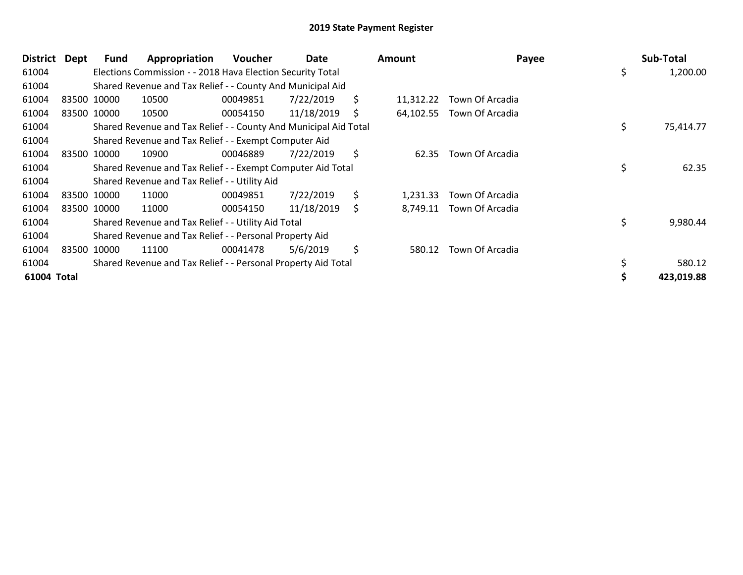| <b>District</b> | Dept | <b>Fund</b> | Appropriation                                                    | <b>Voucher</b> | Date       |    | Amount    | Payee                     | Sub-Total       |
|-----------------|------|-------------|------------------------------------------------------------------|----------------|------------|----|-----------|---------------------------|-----------------|
| 61004           |      |             | Elections Commission - - 2018 Hava Election Security Total       |                |            |    |           |                           | \$<br>1,200.00  |
| 61004           |      |             | Shared Revenue and Tax Relief - - County And Municipal Aid       |                |            |    |           |                           |                 |
| 61004           |      | 83500 10000 | 10500                                                            | 00049851       | 7/22/2019  | \$ |           | 11,312.22 Town Of Arcadia |                 |
| 61004           |      | 83500 10000 | 10500                                                            | 00054150       | 11/18/2019 | S  | 64,102.55 | Town Of Arcadia           |                 |
| 61004           |      |             | Shared Revenue and Tax Relief - - County And Municipal Aid Total |                |            |    |           |                           | \$<br>75,414.77 |
| 61004           |      |             | Shared Revenue and Tax Relief - - Exempt Computer Aid            |                |            |    |           |                           |                 |
| 61004           |      | 83500 10000 | 10900                                                            | 00046889       | 7/22/2019  | \$ | 62.35     | Town Of Arcadia           |                 |
| 61004           |      |             | Shared Revenue and Tax Relief - - Exempt Computer Aid Total      |                |            |    |           |                           | \$<br>62.35     |
| 61004           |      |             | Shared Revenue and Tax Relief - - Utility Aid                    |                |            |    |           |                           |                 |
| 61004           |      | 83500 10000 | 11000                                                            | 00049851       | 7/22/2019  | \$ | 1,231.33  | Town Of Arcadia           |                 |
| 61004           |      | 83500 10000 | 11000                                                            | 00054150       | 11/18/2019 | \$ | 8,749.11  | Town Of Arcadia           |                 |
| 61004           |      |             | Shared Revenue and Tax Relief - - Utility Aid Total              |                |            |    |           |                           | \$<br>9,980.44  |
| 61004           |      |             | Shared Revenue and Tax Relief - - Personal Property Aid          |                |            |    |           |                           |                 |
| 61004           |      | 83500 10000 | 11100                                                            | 00041478       | 5/6/2019   | \$ | 580.12    | Town Of Arcadia           |                 |
| 61004           |      |             | Shared Revenue and Tax Relief - - Personal Property Aid Total    |                |            |    |           |                           | 580.12          |
| 61004 Total     |      |             |                                                                  |                |            |    |           |                           | 423,019.88      |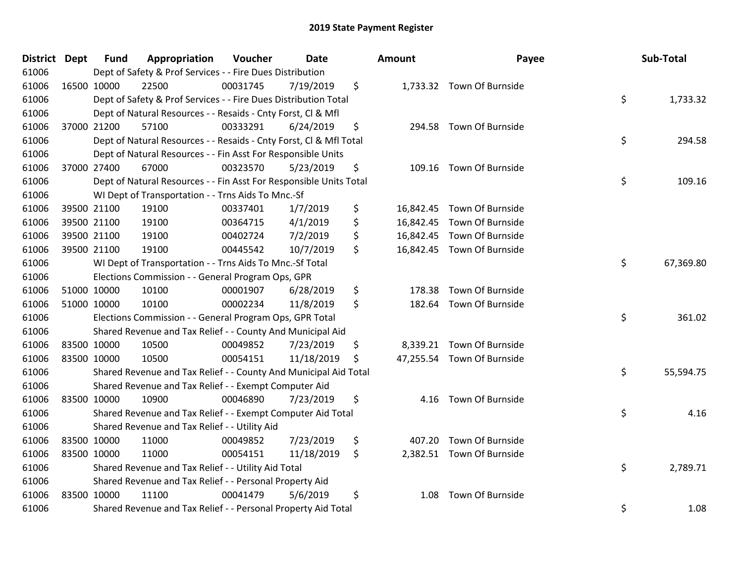| <b>District</b> | <b>Dept</b> | <b>Fund</b> | Appropriation                                                      | Voucher  | <b>Date</b> | Amount          | Payee                      | Sub-Total       |
|-----------------|-------------|-------------|--------------------------------------------------------------------|----------|-------------|-----------------|----------------------------|-----------------|
| 61006           |             |             | Dept of Safety & Prof Services - - Fire Dues Distribution          |          |             |                 |                            |                 |
| 61006           |             | 16500 10000 | 22500                                                              | 00031745 | 7/19/2019   | \$              | 1,733.32 Town Of Burnside  |                 |
| 61006           |             |             | Dept of Safety & Prof Services - - Fire Dues Distribution Total    |          |             |                 |                            | \$<br>1,733.32  |
| 61006           |             |             | Dept of Natural Resources - - Resaids - Cnty Forst, Cl & Mfl       |          |             |                 |                            |                 |
| 61006           |             | 37000 21200 | 57100                                                              | 00333291 | 6/24/2019   | \$<br>294.58    | <b>Town Of Burnside</b>    |                 |
| 61006           |             |             | Dept of Natural Resources - - Resaids - Cnty Forst, CI & Mfl Total |          |             |                 |                            | \$<br>294.58    |
| 61006           |             |             | Dept of Natural Resources - - Fin Asst For Responsible Units       |          |             |                 |                            |                 |
| 61006           |             | 37000 27400 | 67000                                                              | 00323570 | 5/23/2019   | \$<br>109.16    | Town Of Burnside           |                 |
| 61006           |             |             | Dept of Natural Resources - - Fin Asst For Responsible Units Total |          |             |                 |                            | \$<br>109.16    |
| 61006           |             |             | WI Dept of Transportation - - Trns Aids To Mnc.-Sf                 |          |             |                 |                            |                 |
| 61006           |             | 39500 21100 | 19100                                                              | 00337401 | 1/7/2019    | \$              | 16,842.45 Town Of Burnside |                 |
| 61006           |             | 39500 21100 | 19100                                                              | 00364715 | 4/1/2019    | \$<br>16,842.45 | Town Of Burnside           |                 |
| 61006           |             | 39500 21100 | 19100                                                              | 00402724 | 7/2/2019    | \$              | 16,842.45 Town Of Burnside |                 |
| 61006           |             | 39500 21100 | 19100                                                              | 00445542 | 10/7/2019   | \$              | 16,842.45 Town Of Burnside |                 |
| 61006           |             |             | WI Dept of Transportation - - Trns Aids To Mnc.-Sf Total           |          |             |                 |                            | \$<br>67,369.80 |
| 61006           |             |             | Elections Commission - - General Program Ops, GPR                  |          |             |                 |                            |                 |
| 61006           |             | 51000 10000 | 10100                                                              | 00001907 | 6/28/2019   | \$<br>178.38    | Town Of Burnside           |                 |
| 61006           |             | 51000 10000 | 10100                                                              | 00002234 | 11/8/2019   | \$              | 182.64 Town Of Burnside    |                 |
| 61006           |             |             | Elections Commission - - General Program Ops, GPR Total            |          |             |                 |                            | \$<br>361.02    |
| 61006           |             |             | Shared Revenue and Tax Relief - - County And Municipal Aid         |          |             |                 |                            |                 |
| 61006           |             | 83500 10000 | 10500                                                              | 00049852 | 7/23/2019   | \$              | 8,339.21 Town Of Burnside  |                 |
| 61006           |             | 83500 10000 | 10500                                                              | 00054151 | 11/18/2019  | \$              | 47,255.54 Town Of Burnside |                 |
| 61006           |             |             | Shared Revenue and Tax Relief - - County And Municipal Aid Total   |          |             |                 |                            | \$<br>55,594.75 |
| 61006           |             |             | Shared Revenue and Tax Relief - - Exempt Computer Aid              |          |             |                 |                            |                 |
| 61006           |             | 83500 10000 | 10900                                                              | 00046890 | 7/23/2019   | \$<br>4.16      | Town Of Burnside           |                 |
| 61006           |             |             | Shared Revenue and Tax Relief - - Exempt Computer Aid Total        |          |             |                 |                            | \$<br>4.16      |
| 61006           |             |             | Shared Revenue and Tax Relief - - Utility Aid                      |          |             |                 |                            |                 |
| 61006           |             | 83500 10000 | 11000                                                              | 00049852 | 7/23/2019   | \$<br>407.20    | Town Of Burnside           |                 |
| 61006           | 83500 10000 |             | 11000                                                              | 00054151 | 11/18/2019  | \$              | 2,382.51 Town Of Burnside  |                 |
| 61006           |             |             | Shared Revenue and Tax Relief - - Utility Aid Total                |          |             |                 |                            | \$<br>2,789.71  |
| 61006           |             |             | Shared Revenue and Tax Relief - - Personal Property Aid            |          |             |                 |                            |                 |
| 61006           |             | 83500 10000 | 11100                                                              | 00041479 | 5/6/2019    | \$<br>1.08      | Town Of Burnside           |                 |
| 61006           |             |             | Shared Revenue and Tax Relief - - Personal Property Aid Total      |          |             |                 |                            | \$<br>1.08      |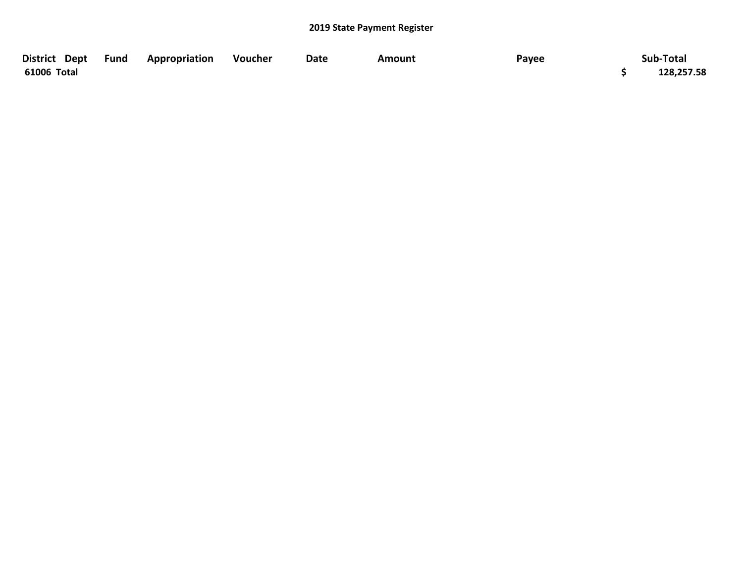| District Dept | <b>Fund</b> | Appropriation | Voucher | <b>Date</b> | Amount | Payee | Sub-Total  |
|---------------|-------------|---------------|---------|-------------|--------|-------|------------|
| 61006 Total   |             |               |         |             |        |       | 128,257.58 |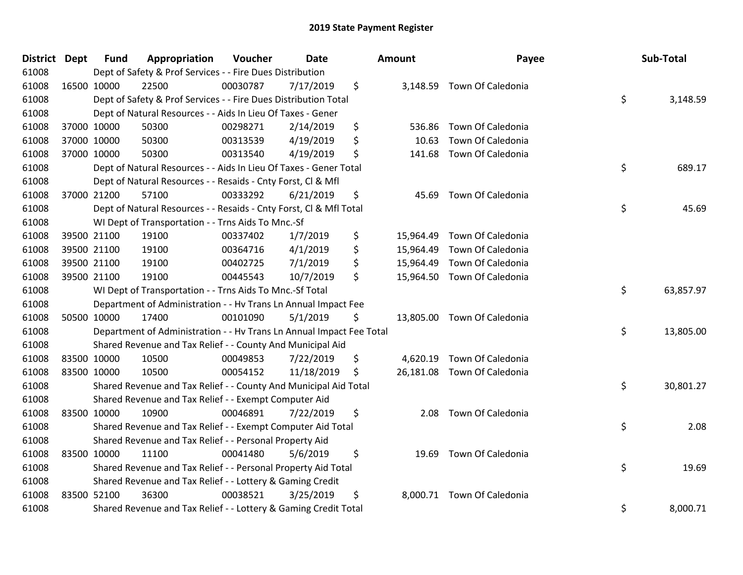| District Dept |             | <b>Fund</b> | Appropriation                                                        | Voucher  | Date       | Amount          | Payee                       | Sub-Total       |
|---------------|-------------|-------------|----------------------------------------------------------------------|----------|------------|-----------------|-----------------------------|-----------------|
| 61008         |             |             | Dept of Safety & Prof Services - - Fire Dues Distribution            |          |            |                 |                             |                 |
| 61008         |             | 16500 10000 | 22500                                                                | 00030787 | 7/17/2019  | \$              | 3,148.59 Town Of Caledonia  |                 |
| 61008         |             |             | Dept of Safety & Prof Services - - Fire Dues Distribution Total      |          |            |                 |                             | \$<br>3,148.59  |
| 61008         |             |             | Dept of Natural Resources - - Aids In Lieu Of Taxes - Gener          |          |            |                 |                             |                 |
| 61008         |             | 37000 10000 | 50300                                                                | 00298271 | 2/14/2019  | \$<br>536.86    | Town Of Caledonia           |                 |
| 61008         |             | 37000 10000 | 50300                                                                | 00313539 | 4/19/2019  | \$<br>10.63     | Town Of Caledonia           |                 |
| 61008         |             | 37000 10000 | 50300                                                                | 00313540 | 4/19/2019  | \$<br>141.68    | Town Of Caledonia           |                 |
| 61008         |             |             | Dept of Natural Resources - - Aids In Lieu Of Taxes - Gener Total    |          |            |                 |                             | \$<br>689.17    |
| 61008         |             |             | Dept of Natural Resources - - Resaids - Cnty Forst, CI & Mfl         |          |            |                 |                             |                 |
| 61008         |             | 37000 21200 | 57100                                                                | 00333292 | 6/21/2019  | \$<br>45.69     | Town Of Caledonia           |                 |
| 61008         |             |             | Dept of Natural Resources - - Resaids - Cnty Forst, Cl & Mfl Total   |          |            |                 |                             | \$<br>45.69     |
| 61008         |             |             | WI Dept of Transportation - - Trns Aids To Mnc.-Sf                   |          |            |                 |                             |                 |
| 61008         |             | 39500 21100 | 19100                                                                | 00337402 | 1/7/2019   | \$<br>15,964.49 | Town Of Caledonia           |                 |
| 61008         |             | 39500 21100 | 19100                                                                | 00364716 | 4/1/2019   | \$<br>15,964.49 | Town Of Caledonia           |                 |
| 61008         |             | 39500 21100 | 19100                                                                | 00402725 | 7/1/2019   | \$<br>15,964.49 | Town Of Caledonia           |                 |
| 61008         |             | 39500 21100 | 19100                                                                | 00445543 | 10/7/2019  | \$              | 15,964.50 Town Of Caledonia |                 |
| 61008         |             |             | WI Dept of Transportation - - Trns Aids To Mnc .- Sf Total           |          |            |                 |                             | \$<br>63,857.97 |
| 61008         |             |             | Department of Administration - - Hv Trans Ln Annual Impact Fee       |          |            |                 |                             |                 |
| 61008         |             | 50500 10000 | 17400                                                                | 00101090 | 5/1/2019   | \$              | 13,805.00 Town Of Caledonia |                 |
| 61008         |             |             | Department of Administration - - Hv Trans Ln Annual Impact Fee Total |          |            |                 |                             | \$<br>13,805.00 |
| 61008         |             |             | Shared Revenue and Tax Relief - - County And Municipal Aid           |          |            |                 |                             |                 |
| 61008         |             | 83500 10000 | 10500                                                                | 00049853 | 7/22/2019  | \$<br>4,620.19  | Town Of Caledonia           |                 |
| 61008         | 83500 10000 |             | 10500                                                                | 00054152 | 11/18/2019 | \$              | 26,181.08 Town Of Caledonia |                 |
| 61008         |             |             | Shared Revenue and Tax Relief - - County And Municipal Aid Total     |          |            |                 |                             | \$<br>30,801.27 |
| 61008         |             |             | Shared Revenue and Tax Relief - - Exempt Computer Aid                |          |            |                 |                             |                 |
| 61008         |             | 83500 10000 | 10900                                                                | 00046891 | 7/22/2019  | \$<br>2.08      | Town Of Caledonia           |                 |
| 61008         |             |             | Shared Revenue and Tax Relief - - Exempt Computer Aid Total          |          |            |                 |                             | \$<br>2.08      |
| 61008         |             |             | Shared Revenue and Tax Relief - - Personal Property Aid              |          |            |                 |                             |                 |
| 61008         |             | 83500 10000 | 11100                                                                | 00041480 | 5/6/2019   | \$<br>19.69     | Town Of Caledonia           |                 |
| 61008         |             |             | Shared Revenue and Tax Relief - - Personal Property Aid Total        |          |            |                 |                             | \$<br>19.69     |
| 61008         |             |             | Shared Revenue and Tax Relief - - Lottery & Gaming Credit            |          |            |                 |                             |                 |
| 61008         |             | 83500 52100 | 36300                                                                | 00038521 | 3/25/2019  | \$<br>8,000.71  | Town Of Caledonia           |                 |
| 61008         |             |             | Shared Revenue and Tax Relief - - Lottery & Gaming Credit Total      |          |            |                 |                             | \$<br>8,000.71  |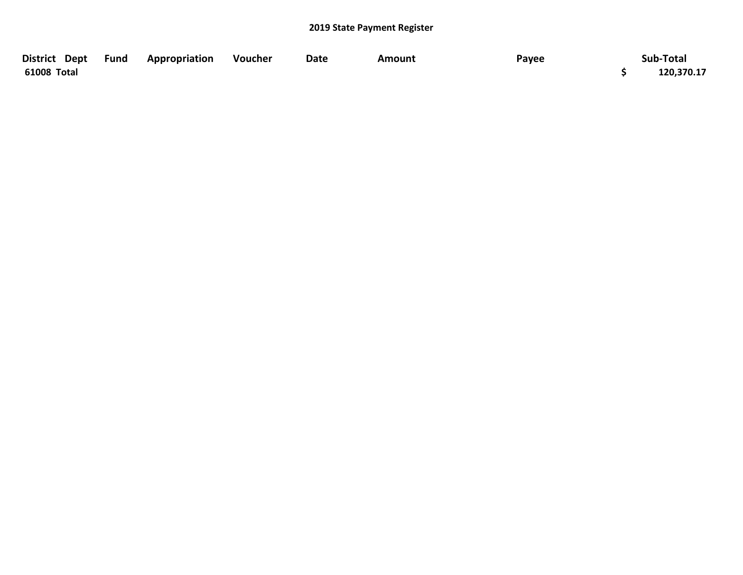| District Dept | <b>Fund</b> | Appropriation | Voucher | Date | Amount | Payee | Sub-Total  |
|---------------|-------------|---------------|---------|------|--------|-------|------------|
| 61008 Total   |             |               |         |      |        |       | 120,370.17 |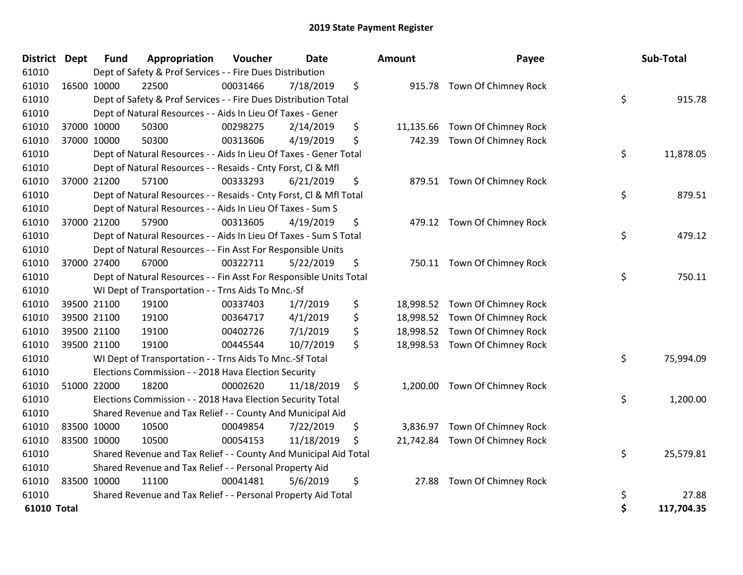| District Dept | <b>Fund</b> | Appropriation                                                      | Voucher  | <b>Date</b> | <b>Amount</b>   | Payee                         |    | Sub-Total  |
|---------------|-------------|--------------------------------------------------------------------|----------|-------------|-----------------|-------------------------------|----|------------|
| 61010         |             | Dept of Safety & Prof Services - - Fire Dues Distribution          |          |             |                 |                               |    |            |
| 61010         | 16500 10000 | 22500                                                              | 00031466 | 7/18/2019   | \$              | 915.78 Town Of Chimney Rock   |    |            |
| 61010         |             | Dept of Safety & Prof Services - - Fire Dues Distribution Total    |          |             |                 |                               | \$ | 915.78     |
| 61010         |             | Dept of Natural Resources - - Aids In Lieu Of Taxes - Gener        |          |             |                 |                               |    |            |
| 61010         | 37000 10000 | 50300                                                              | 00298275 | 2/14/2019   | \$<br>11,135.66 | Town Of Chimney Rock          |    |            |
| 61010         | 37000 10000 | 50300                                                              | 00313606 | 4/19/2019   | \$<br>742.39    | Town Of Chimney Rock          |    |            |
| 61010         |             | Dept of Natural Resources - - Aids In Lieu Of Taxes - Gener Total  |          |             |                 |                               | \$ | 11,878.05  |
| 61010         |             | Dept of Natural Resources - - Resaids - Cnty Forst, Cl & Mfl       |          |             |                 |                               |    |            |
| 61010         | 37000 21200 | 57100                                                              | 00333293 | 6/21/2019   | \$              | 879.51 Town Of Chimney Rock   |    |            |
| 61010         |             | Dept of Natural Resources - - Resaids - Cnty Forst, CI & Mfl Total |          |             |                 |                               | \$ | 879.51     |
| 61010         |             | Dept of Natural Resources - - Aids In Lieu Of Taxes - Sum S        |          |             |                 |                               |    |            |
| 61010         | 37000 21200 | 57900                                                              | 00313605 | 4/19/2019   | \$              | 479.12 Town Of Chimney Rock   |    |            |
| 61010         |             | Dept of Natural Resources - - Aids In Lieu Of Taxes - Sum S Total  |          |             |                 |                               | \$ | 479.12     |
| 61010         |             | Dept of Natural Resources - - Fin Asst For Responsible Units       |          |             |                 |                               |    |            |
| 61010         | 37000 27400 | 67000                                                              | 00322711 | 5/22/2019   | \$<br>750.11    | Town Of Chimney Rock          |    |            |
| 61010         |             | Dept of Natural Resources - - Fin Asst For Responsible Units Total |          |             |                 |                               | \$ | 750.11     |
| 61010         |             | WI Dept of Transportation - - Trns Aids To Mnc.-Sf                 |          |             |                 |                               |    |            |
| 61010         | 39500 21100 | 19100                                                              | 00337403 | 1/7/2019    | \$<br>18,998.52 | Town Of Chimney Rock          |    |            |
| 61010         | 39500 21100 | 19100                                                              | 00364717 | 4/1/2019    | \$<br>18,998.52 | Town Of Chimney Rock          |    |            |
| 61010         | 39500 21100 | 19100                                                              | 00402726 | 7/1/2019    | \$<br>18,998.52 | Town Of Chimney Rock          |    |            |
| 61010         | 39500 21100 | 19100                                                              | 00445544 | 10/7/2019   | \$<br>18,998.53 | Town Of Chimney Rock          |    |            |
| 61010         |             | WI Dept of Transportation - - Trns Aids To Mnc.-Sf Total           |          |             |                 |                               | \$ | 75,994.09  |
| 61010         |             | Elections Commission - - 2018 Hava Election Security               |          |             |                 |                               |    |            |
| 61010         | 51000 22000 | 18200                                                              | 00002620 | 11/18/2019  | \$              | 1,200.00 Town Of Chimney Rock |    |            |
| 61010         |             | Elections Commission - - 2018 Hava Election Security Total         |          |             |                 |                               | \$ | 1,200.00   |
| 61010         |             | Shared Revenue and Tax Relief - - County And Municipal Aid         |          |             |                 |                               |    |            |
| 61010         | 83500 10000 | 10500                                                              | 00049854 | 7/22/2019   | \$<br>3,836.97  | Town Of Chimney Rock          |    |            |
| 61010         | 83500 10000 | 10500                                                              | 00054153 | 11/18/2019  | \$<br>21,742.84 | Town Of Chimney Rock          |    |            |
| 61010         |             | Shared Revenue and Tax Relief - - County And Municipal Aid Total   |          |             |                 |                               | \$ | 25,579.81  |
| 61010         |             | Shared Revenue and Tax Relief - - Personal Property Aid            |          |             |                 |                               |    |            |
| 61010         | 83500 10000 | 11100                                                              | 00041481 | 5/6/2019    | \$<br>27.88     | Town Of Chimney Rock          |    |            |
| 61010         |             | Shared Revenue and Tax Relief - - Personal Property Aid Total      |          |             |                 |                               | \$ | 27.88      |
| $61010$ Total |             |                                                                    |          |             |                 |                               | Ś  | 117 704 35 |

| District Dept |             | <b>Fund</b> | Appropriation                                                      | Voucher  | <b>Date</b> | Amount       | Payee                          | Sub-Total        |
|---------------|-------------|-------------|--------------------------------------------------------------------|----------|-------------|--------------|--------------------------------|------------------|
| 61010         |             |             | Dept of Safety & Prof Services - - Fire Dues Distribution          |          |             |              |                                |                  |
| 61010         |             | 16500 10000 | 22500                                                              | 00031466 | 7/18/2019   | \$           | 915.78 Town Of Chimney Rock    |                  |
| 61010         |             |             | Dept of Safety & Prof Services - - Fire Dues Distribution Total    |          |             |              |                                | \$<br>915.78     |
| 61010         |             |             | Dept of Natural Resources - - Aids In Lieu Of Taxes - Gener        |          |             |              |                                |                  |
| 61010         |             | 37000 10000 | 50300                                                              | 00298275 | 2/14/2019   | \$           | 11,135.66 Town Of Chimney Rock |                  |
| 61010         |             | 37000 10000 | 50300                                                              | 00313606 | 4/19/2019   | \$<br>742.39 | Town Of Chimney Rock           |                  |
| 61010         |             |             | Dept of Natural Resources - - Aids In Lieu Of Taxes - Gener Total  |          |             |              |                                | \$<br>11,878.05  |
| 61010         |             |             | Dept of Natural Resources - - Resaids - Cnty Forst, Cl & Mfl       |          |             |              |                                |                  |
| 61010         |             | 37000 21200 | 57100                                                              | 00333293 | 6/21/2019   | \$<br>879.51 | Town Of Chimney Rock           |                  |
| 61010         |             |             | Dept of Natural Resources - - Resaids - Cnty Forst, CI & Mfl Total |          |             |              |                                | \$<br>879.51     |
| 61010         |             |             | Dept of Natural Resources - - Aids In Lieu Of Taxes - Sum S        |          |             |              |                                |                  |
| 61010         |             | 37000 21200 | 57900                                                              | 00313605 | 4/19/2019   | \$           | 479.12 Town Of Chimney Rock    |                  |
| 61010         |             |             | Dept of Natural Resources - - Aids In Lieu Of Taxes - Sum S Total  |          |             |              |                                | \$<br>479.12     |
| 61010         |             |             | Dept of Natural Resources - - Fin Asst For Responsible Units       |          |             |              |                                |                  |
| 61010         |             | 37000 27400 | 67000                                                              | 00322711 | 5/22/2019   | \$           | 750.11 Town Of Chimney Rock    |                  |
| 61010         |             |             | Dept of Natural Resources - - Fin Asst For Responsible Units Total |          |             |              |                                | \$<br>750.11     |
| 61010         |             |             | WI Dept of Transportation - - Trns Aids To Mnc.-Sf                 |          |             |              |                                |                  |
| 61010         |             | 39500 21100 | 19100                                                              | 00337403 | 1/7/2019    | \$           | 18,998.52 Town Of Chimney Rock |                  |
| 61010         |             | 39500 21100 | 19100                                                              | 00364717 | 4/1/2019    | \$           | 18,998.52 Town Of Chimney Rock |                  |
| 61010         |             | 39500 21100 | 19100                                                              | 00402726 | 7/1/2019    | \$           | 18,998.52 Town Of Chimney Rock |                  |
| 61010         |             | 39500 21100 | 19100                                                              | 00445544 | 10/7/2019   | \$           | 18,998.53 Town Of Chimney Rock |                  |
| 61010         |             |             | WI Dept of Transportation - - Trns Aids To Mnc.-Sf Total           |          |             |              |                                | \$<br>75,994.09  |
| 61010         |             |             | Elections Commission - - 2018 Hava Election Security               |          |             |              |                                |                  |
| 61010         |             | 51000 22000 | 18200                                                              | 00002620 | 11/18/2019  | \$           | 1,200.00 Town Of Chimney Rock  |                  |
| 61010         |             |             | Elections Commission - - 2018 Hava Election Security Total         |          |             |              |                                | \$<br>1,200.00   |
| 61010         |             |             | Shared Revenue and Tax Relief - - County And Municipal Aid         |          |             |              |                                |                  |
| 61010         |             | 83500 10000 | 10500                                                              | 00049854 | 7/22/2019   | \$           | 3,836.97 Town Of Chimney Rock  |                  |
| 61010         |             | 83500 10000 | 10500                                                              | 00054153 | 11/18/2019  | \$           | 21,742.84 Town Of Chimney Rock |                  |
| 61010         |             |             | Shared Revenue and Tax Relief - - County And Municipal Aid Total   |          |             |              |                                | \$<br>25,579.81  |
| 61010         |             |             | Shared Revenue and Tax Relief - - Personal Property Aid            |          |             |              |                                |                  |
| 61010         | 83500 10000 |             | 11100                                                              | 00041481 | 5/6/2019    | \$<br>27.88  | Town Of Chimney Rock           |                  |
| 61010         |             |             | Shared Revenue and Tax Relief - - Personal Property Aid Total      |          |             |              |                                | \$<br>27.88      |
| 61010 Total   |             |             |                                                                    |          |             |              |                                | \$<br>117,704.35 |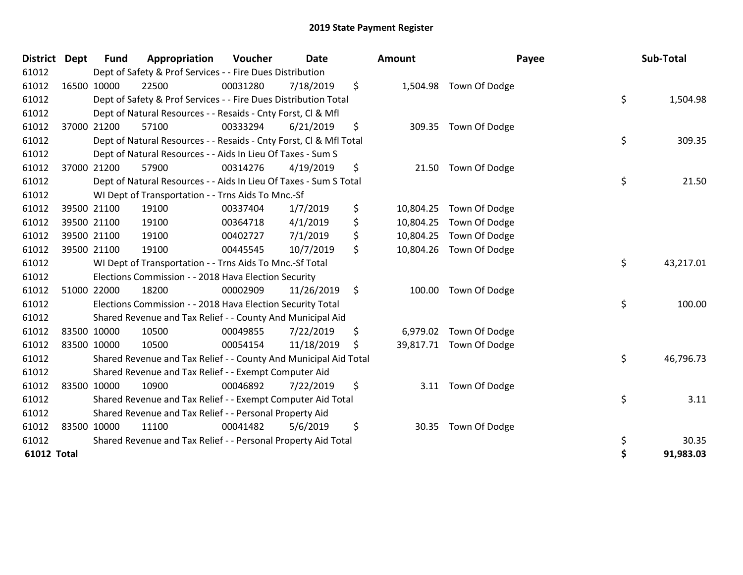| <b>District</b>    | <b>Dept</b> | <b>Fund</b> | Appropriation                                                      | Voucher  | <b>Date</b> | Amount          | Payee                   |    | Sub-Total |
|--------------------|-------------|-------------|--------------------------------------------------------------------|----------|-------------|-----------------|-------------------------|----|-----------|
| 61012              |             |             | Dept of Safety & Prof Services - - Fire Dues Distribution          |          |             |                 |                         |    |           |
| 61012              |             | 16500 10000 | 22500                                                              | 00031280 | 7/18/2019   | \$              | 1,504.98 Town Of Dodge  |    |           |
| 61012              |             |             | Dept of Safety & Prof Services - - Fire Dues Distribution Total    |          |             |                 |                         | \$ | 1,504.98  |
| 61012              |             |             | Dept of Natural Resources - - Resaids - Cnty Forst, Cl & Mfl       |          |             |                 |                         |    |           |
| 61012              |             | 37000 21200 | 57100                                                              | 00333294 | 6/21/2019   | \$              | 309.35 Town Of Dodge    |    |           |
| 61012              |             |             | Dept of Natural Resources - - Resaids - Cnty Forst, Cl & Mfl Total |          |             |                 |                         | \$ | 309.35    |
| 61012              |             |             | Dept of Natural Resources - - Aids In Lieu Of Taxes - Sum S        |          |             |                 |                         |    |           |
| 61012              |             | 37000 21200 | 57900                                                              | 00314276 | 4/19/2019   | \$              | 21.50 Town Of Dodge     |    |           |
| 61012              |             |             | Dept of Natural Resources - - Aids In Lieu Of Taxes - Sum S Total  |          |             |                 |                         | \$ | 21.50     |
| 61012              |             |             | WI Dept of Transportation - - Trns Aids To Mnc.-Sf                 |          |             |                 |                         |    |           |
| 61012              |             | 39500 21100 | 19100                                                              | 00337404 | 1/7/2019    | \$<br>10,804.25 | Town Of Dodge           |    |           |
| 61012              |             | 39500 21100 | 19100                                                              | 00364718 | 4/1/2019    | \$<br>10,804.25 | Town Of Dodge           |    |           |
| 61012              |             | 39500 21100 | 19100                                                              | 00402727 | 7/1/2019    | \$              | 10,804.25 Town Of Dodge |    |           |
| 61012              |             | 39500 21100 | 19100                                                              | 00445545 | 10/7/2019   | \$<br>10,804.26 | Town Of Dodge           |    |           |
| 61012              |             |             | WI Dept of Transportation - - Trns Aids To Mnc.-Sf Total           |          |             |                 |                         | \$ | 43,217.01 |
| 61012              |             |             | Elections Commission - - 2018 Hava Election Security               |          |             |                 |                         |    |           |
| 61012              |             | 51000 22000 | 18200                                                              | 00002909 | 11/26/2019  | \$              | 100.00 Town Of Dodge    |    |           |
| 61012              |             |             | Elections Commission - - 2018 Hava Election Security Total         |          |             |                 |                         | \$ | 100.00    |
| 61012              |             |             | Shared Revenue and Tax Relief - - County And Municipal Aid         |          |             |                 |                         |    |           |
| 61012              | 83500 10000 |             | 10500                                                              | 00049855 | 7/22/2019   | \$              | 6,979.02 Town Of Dodge  |    |           |
| 61012              | 83500 10000 |             | 10500                                                              | 00054154 | 11/18/2019  | \$              | 39,817.71 Town Of Dodge |    |           |
| 61012              |             |             | Shared Revenue and Tax Relief - - County And Municipal Aid Total   |          |             |                 |                         | \$ | 46,796.73 |
| 61012              |             |             | Shared Revenue and Tax Relief - - Exempt Computer Aid              |          |             |                 |                         |    |           |
| 61012              | 83500 10000 |             | 10900                                                              | 00046892 | 7/22/2019   | \$              | 3.11 Town Of Dodge      |    |           |
| 61012              |             |             | Shared Revenue and Tax Relief - - Exempt Computer Aid Total        |          |             |                 |                         | \$ | 3.11      |
| 61012              |             |             | Shared Revenue and Tax Relief - - Personal Property Aid            |          |             |                 |                         |    |           |
| 61012              | 83500 10000 |             | 11100                                                              | 00041482 | 5/6/2019    | \$              | 30.35 Town Of Dodge     |    |           |
| 61012              |             |             | Shared Revenue and Tax Relief - - Personal Property Aid Total      |          |             |                 |                         | \$ | 30.35     |
| <b>61012 Total</b> |             |             |                                                                    |          |             |                 |                         | Ś  | 91,983.03 |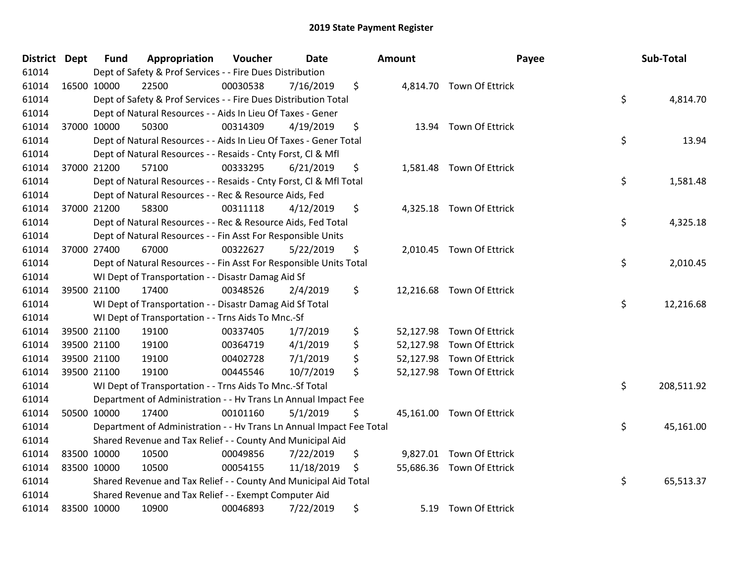| District Dept |             | <b>Fund</b> | Appropriation                                                        | Voucher  | <b>Date</b> | Amount         | Payee                     | Sub-Total        |
|---------------|-------------|-------------|----------------------------------------------------------------------|----------|-------------|----------------|---------------------------|------------------|
| 61014         |             |             | Dept of Safety & Prof Services - - Fire Dues Distribution            |          |             |                |                           |                  |
| 61014         |             | 16500 10000 | 22500                                                                | 00030538 | 7/16/2019   | \$             | 4,814.70 Town Of Ettrick  |                  |
| 61014         |             |             | Dept of Safety & Prof Services - - Fire Dues Distribution Total      |          |             |                |                           | \$<br>4,814.70   |
| 61014         |             |             | Dept of Natural Resources - - Aids In Lieu Of Taxes - Gener          |          |             |                |                           |                  |
| 61014         |             | 37000 10000 | 50300                                                                | 00314309 | 4/19/2019   | \$             | 13.94 Town Of Ettrick     |                  |
| 61014         |             |             | Dept of Natural Resources - - Aids In Lieu Of Taxes - Gener Total    |          |             |                |                           | \$<br>13.94      |
| 61014         |             |             | Dept of Natural Resources - - Resaids - Cnty Forst, Cl & Mfl         |          |             |                |                           |                  |
| 61014         |             | 37000 21200 | 57100                                                                | 00333295 | 6/21/2019   | \$             | 1,581.48 Town Of Ettrick  |                  |
| 61014         |             |             | Dept of Natural Resources - - Resaids - Cnty Forst, Cl & Mfl Total   |          |             |                |                           | \$<br>1,581.48   |
| 61014         |             |             | Dept of Natural Resources - - Rec & Resource Aids, Fed               |          |             |                |                           |                  |
| 61014         |             | 37000 21200 | 58300                                                                | 00311118 | 4/12/2019   | \$             | 4,325.18 Town Of Ettrick  |                  |
| 61014         |             |             | Dept of Natural Resources - - Rec & Resource Aids, Fed Total         |          |             |                |                           | \$<br>4,325.18   |
| 61014         |             |             | Dept of Natural Resources - - Fin Asst For Responsible Units         |          |             |                |                           |                  |
| 61014         |             | 37000 27400 | 67000                                                                | 00322627 | 5/22/2019   | \$             | 2,010.45 Town Of Ettrick  |                  |
| 61014         |             |             | Dept of Natural Resources - - Fin Asst For Responsible Units Total   |          |             |                |                           | \$<br>2,010.45   |
| 61014         |             |             | WI Dept of Transportation - - Disastr Damag Aid Sf                   |          |             |                |                           |                  |
| 61014         |             | 39500 21100 | 17400                                                                | 00348526 | 2/4/2019    | \$             | 12,216.68 Town Of Ettrick |                  |
| 61014         |             |             | WI Dept of Transportation - - Disastr Damag Aid Sf Total             |          |             |                |                           | \$<br>12,216.68  |
| 61014         |             |             | WI Dept of Transportation - - Trns Aids To Mnc.-Sf                   |          |             |                |                           |                  |
| 61014         |             | 39500 21100 | 19100                                                                | 00337405 | 1/7/2019    | \$             | 52,127.98 Town Of Ettrick |                  |
| 61014         |             | 39500 21100 | 19100                                                                | 00364719 | 4/1/2019    | \$             | 52,127.98 Town Of Ettrick |                  |
| 61014         |             | 39500 21100 | 19100                                                                | 00402728 | 7/1/2019    | \$             | 52,127.98 Town Of Ettrick |                  |
| 61014         | 39500 21100 |             | 19100                                                                | 00445546 | 10/7/2019   | \$             | 52,127.98 Town Of Ettrick |                  |
| 61014         |             |             | WI Dept of Transportation - - Trns Aids To Mnc.-Sf Total             |          |             |                |                           | \$<br>208,511.92 |
| 61014         |             |             | Department of Administration - - Hv Trans Ln Annual Impact Fee       |          |             |                |                           |                  |
| 61014         |             | 50500 10000 | 17400                                                                | 00101160 | 5/1/2019    | \$             | 45,161.00 Town Of Ettrick |                  |
| 61014         |             |             | Department of Administration - - Hv Trans Ln Annual Impact Fee Total |          |             |                |                           | \$<br>45,161.00  |
| 61014         |             |             | Shared Revenue and Tax Relief - - County And Municipal Aid           |          |             |                |                           |                  |
| 61014         |             | 83500 10000 | 10500                                                                | 00049856 | 7/22/2019   | \$<br>9,827.01 | Town Of Ettrick           |                  |
| 61014         |             | 83500 10000 | 10500                                                                | 00054155 | 11/18/2019  | \$             | 55,686.36 Town Of Ettrick |                  |
| 61014         |             |             | Shared Revenue and Tax Relief - - County And Municipal Aid Total     |          |             |                |                           | \$<br>65,513.37  |
| 61014         |             |             | Shared Revenue and Tax Relief - - Exempt Computer Aid                |          |             |                |                           |                  |
| 61014         |             | 83500 10000 | 10900                                                                | 00046893 | 7/22/2019   | \$<br>5.19     | Town Of Ettrick           |                  |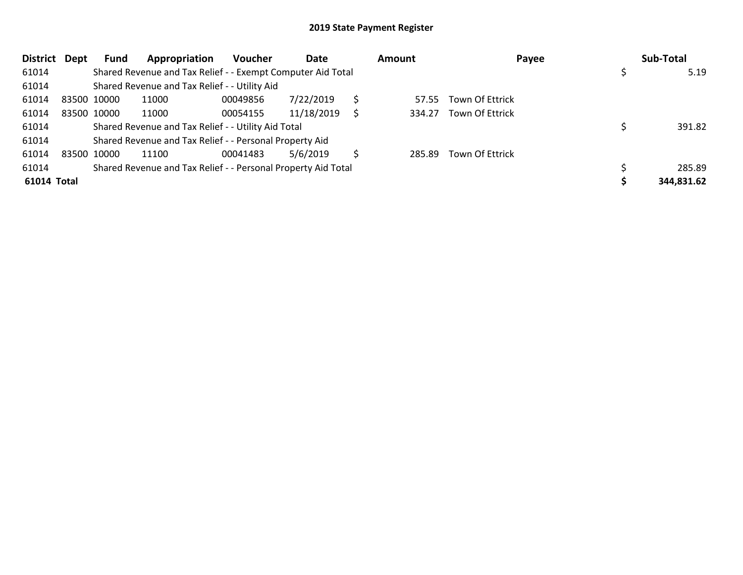| <b>District</b>    | Dept | Fund        | Appropriation                                                 | <b>Voucher</b> | Date       |   | Amount |                        | Payee | Sub-Total  |
|--------------------|------|-------------|---------------------------------------------------------------|----------------|------------|---|--------|------------------------|-------|------------|
| 61014              |      |             | Shared Revenue and Tax Relief - - Exempt Computer Aid Total   |                |            |   |        |                        |       | 5.19       |
| 61014              |      |             | Shared Revenue and Tax Relief - - Utility Aid                 |                |            |   |        |                        |       |            |
| 61014              |      | 83500 10000 | 11000                                                         | 00049856       | 7/22/2019  |   | 57.55  | Town Of Ettrick        |       |            |
| 61014              |      | 83500 10000 | 11000                                                         | 00054155       | 11/18/2019 | Ś | 334.27 | Town Of Ettrick        |       |            |
| 61014              |      |             | Shared Revenue and Tax Relief - - Utility Aid Total           |                |            |   |        |                        |       | 391.82     |
| 61014              |      |             | Shared Revenue and Tax Relief - - Personal Property Aid       |                |            |   |        |                        |       |            |
| 61014              |      | 83500 10000 | 11100                                                         | 00041483       | 5/6/2019   | Ś | 285.89 | <b>Town Of Ettrick</b> |       |            |
| 61014              |      |             | Shared Revenue and Tax Relief - - Personal Property Aid Total |                |            |   |        |                        |       | 285.89     |
| <b>61014 Total</b> |      |             |                                                               |                |            |   |        |                        |       | 344,831.62 |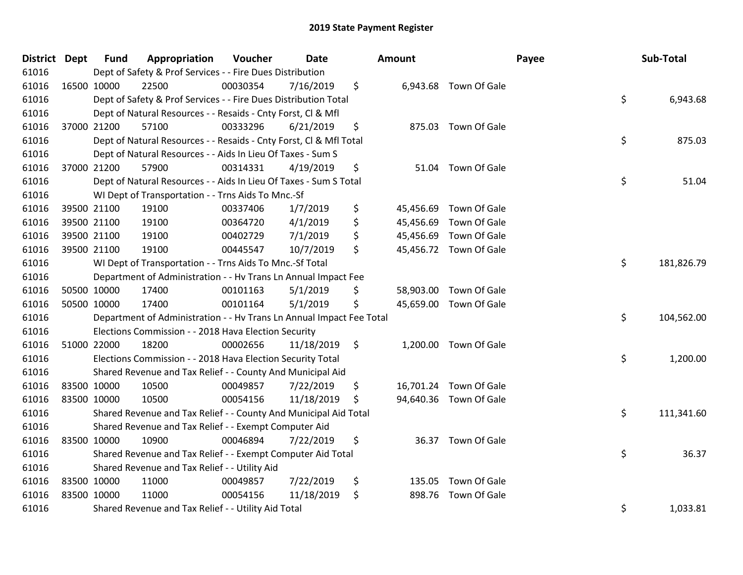| District Dept |             | <b>Fund</b> | Appropriation                                                        | Voucher  | <b>Date</b> | <b>Amount</b>   |                        | Payee | Sub-Total  |
|---------------|-------------|-------------|----------------------------------------------------------------------|----------|-------------|-----------------|------------------------|-------|------------|
| 61016         |             |             | Dept of Safety & Prof Services - - Fire Dues Distribution            |          |             |                 |                        |       |            |
| 61016         | 16500 10000 |             | 22500                                                                | 00030354 | 7/16/2019   | \$              | 6,943.68 Town Of Gale  |       |            |
| 61016         |             |             | Dept of Safety & Prof Services - - Fire Dues Distribution Total      |          |             |                 |                        | \$    | 6,943.68   |
| 61016         |             |             | Dept of Natural Resources - - Resaids - Cnty Forst, Cl & Mfl         |          |             |                 |                        |       |            |
| 61016         | 37000 21200 |             | 57100                                                                | 00333296 | 6/21/2019   | \$<br>875.03    | Town Of Gale           |       |            |
| 61016         |             |             | Dept of Natural Resources - - Resaids - Cnty Forst, CI & Mfl Total   |          |             |                 |                        | \$    | 875.03     |
| 61016         |             |             | Dept of Natural Resources - - Aids In Lieu Of Taxes - Sum S          |          |             |                 |                        |       |            |
| 61016         | 37000 21200 |             | 57900                                                                | 00314331 | 4/19/2019   | \$              | 51.04 Town Of Gale     |       |            |
| 61016         |             |             | Dept of Natural Resources - - Aids In Lieu Of Taxes - Sum S Total    |          |             |                 |                        | \$    | 51.04      |
| 61016         |             |             | WI Dept of Transportation - - Trns Aids To Mnc.-Sf                   |          |             |                 |                        |       |            |
| 61016         | 39500 21100 |             | 19100                                                                | 00337406 | 1/7/2019    | \$<br>45,456.69 | Town Of Gale           |       |            |
| 61016         | 39500 21100 |             | 19100                                                                | 00364720 | 4/1/2019    | \$<br>45,456.69 | Town Of Gale           |       |            |
| 61016         | 39500 21100 |             | 19100                                                                | 00402729 | 7/1/2019    | \$              | 45,456.69 Town Of Gale |       |            |
| 61016         | 39500 21100 |             | 19100                                                                | 00445547 | 10/7/2019   | \$              | 45,456.72 Town Of Gale |       |            |
| 61016         |             |             | WI Dept of Transportation - - Trns Aids To Mnc.-Sf Total             |          |             |                 |                        | \$    | 181,826.79 |
| 61016         |             |             | Department of Administration - - Hv Trans Ln Annual Impact Fee       |          |             |                 |                        |       |            |
| 61016         | 50500 10000 |             | 17400                                                                | 00101163 | 5/1/2019    | \$<br>58,903.00 | Town Of Gale           |       |            |
| 61016         | 50500 10000 |             | 17400                                                                | 00101164 | 5/1/2019    | \$              | 45,659.00 Town Of Gale |       |            |
| 61016         |             |             | Department of Administration - - Hv Trans Ln Annual Impact Fee Total |          |             |                 |                        | \$    | 104,562.00 |
| 61016         |             |             | Elections Commission - - 2018 Hava Election Security                 |          |             |                 |                        |       |            |
| 61016         | 51000 22000 |             | 18200                                                                | 00002656 | 11/18/2019  | \$              | 1,200.00 Town Of Gale  |       |            |
| 61016         |             |             | Elections Commission - - 2018 Hava Election Security Total           |          |             |                 |                        | \$    | 1,200.00   |
| 61016         |             |             | Shared Revenue and Tax Relief - - County And Municipal Aid           |          |             |                 |                        |       |            |
| 61016         | 83500 10000 |             | 10500                                                                | 00049857 | 7/22/2019   | \$              | 16,701.24 Town Of Gale |       |            |
| 61016         | 83500 10000 |             | 10500                                                                | 00054156 | 11/18/2019  | \$              | 94,640.36 Town Of Gale |       |            |
| 61016         |             |             | Shared Revenue and Tax Relief - - County And Municipal Aid Total     |          |             |                 |                        | \$    | 111,341.60 |
| 61016         |             |             | Shared Revenue and Tax Relief - - Exempt Computer Aid                |          |             |                 |                        |       |            |
| 61016         | 83500 10000 |             | 10900                                                                | 00046894 | 7/22/2019   | \$              | 36.37 Town Of Gale     |       |            |
| 61016         |             |             | Shared Revenue and Tax Relief - - Exempt Computer Aid Total          |          |             |                 |                        | \$    | 36.37      |
| 61016         |             |             | Shared Revenue and Tax Relief - - Utility Aid                        |          |             |                 |                        |       |            |
| 61016         | 83500 10000 |             | 11000                                                                | 00049857 | 7/22/2019   | \$<br>135.05    | Town Of Gale           |       |            |
| 61016         | 83500 10000 |             | 11000                                                                | 00054156 | 11/18/2019  | \$<br>898.76    | Town Of Gale           |       |            |
| 61016         |             |             | Shared Revenue and Tax Relief - - Utility Aid Total                  |          |             |                 |                        | \$    | 1,033.81   |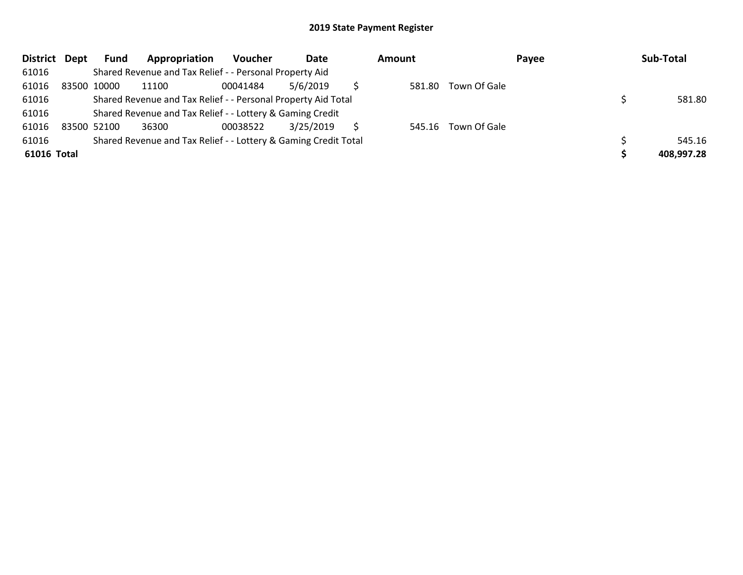| District Dept | <b>Fund</b> | Appropriation                                                   | Voucher  | Date      | <b>Amount</b> |                     | Payee | Sub-Total  |
|---------------|-------------|-----------------------------------------------------------------|----------|-----------|---------------|---------------------|-------|------------|
| 61016         |             | Shared Revenue and Tax Relief - - Personal Property Aid         |          |           |               |                     |       |            |
| 61016         | 83500 10000 | 11100                                                           | 00041484 | 5/6/2019  | 581.80        | Town Of Gale        |       |            |
| 61016         |             | Shared Revenue and Tax Relief - - Personal Property Aid Total   |          |           |               |                     |       | 581.80     |
| 61016         |             | Shared Revenue and Tax Relief - - Lottery & Gaming Credit       |          |           |               |                     |       |            |
| 61016         | 83500 52100 | 36300                                                           | 00038522 | 3/25/2019 |               | 545.16 Town Of Gale |       |            |
| 61016         |             | Shared Revenue and Tax Relief - - Lottery & Gaming Credit Total |          |           |               |                     |       | 545.16     |
| 61016 Total   |             |                                                                 |          |           |               |                     |       | 408,997.28 |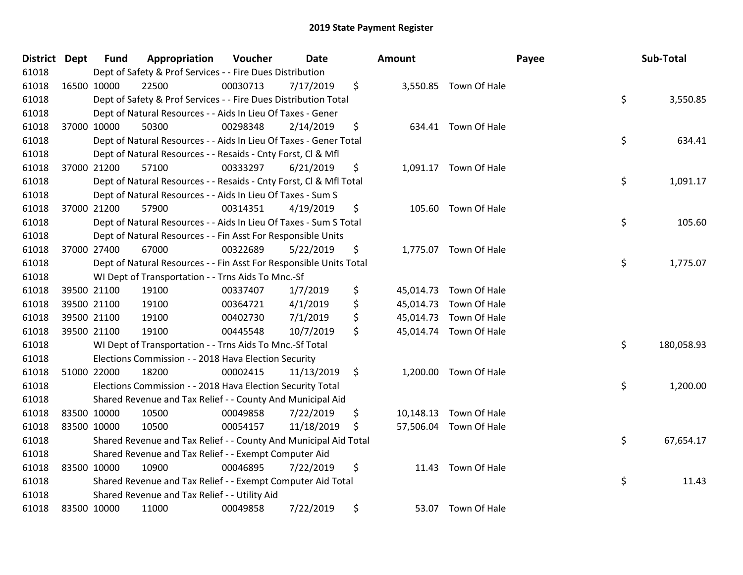| District Dept |             | <b>Fund</b> | Appropriation                                                      | Voucher  | <b>Date</b> | Amount      |                        | Payee | Sub-Total  |
|---------------|-------------|-------------|--------------------------------------------------------------------|----------|-------------|-------------|------------------------|-------|------------|
| 61018         |             |             | Dept of Safety & Prof Services - - Fire Dues Distribution          |          |             |             |                        |       |            |
| 61018         | 16500 10000 |             | 22500                                                              | 00030713 | 7/17/2019   | \$          | 3,550.85 Town Of Hale  |       |            |
| 61018         |             |             | Dept of Safety & Prof Services - - Fire Dues Distribution Total    |          |             |             |                        | \$    | 3,550.85   |
| 61018         |             |             | Dept of Natural Resources - - Aids In Lieu Of Taxes - Gener        |          |             |             |                        |       |            |
| 61018         |             | 37000 10000 | 50300                                                              | 00298348 | 2/14/2019   | \$          | 634.41 Town Of Hale    |       |            |
| 61018         |             |             | Dept of Natural Resources - - Aids In Lieu Of Taxes - Gener Total  |          |             |             |                        | \$    | 634.41     |
| 61018         |             |             | Dept of Natural Resources - - Resaids - Cnty Forst, Cl & Mfl       |          |             |             |                        |       |            |
| 61018         |             | 37000 21200 | 57100                                                              | 00333297 | 6/21/2019   | \$          | 1,091.17 Town Of Hale  |       |            |
| 61018         |             |             | Dept of Natural Resources - - Resaids - Cnty Forst, CI & Mfl Total |          |             |             |                        | \$    | 1,091.17   |
| 61018         |             |             | Dept of Natural Resources - - Aids In Lieu Of Taxes - Sum S        |          |             |             |                        |       |            |
| 61018         |             | 37000 21200 | 57900                                                              | 00314351 | 4/19/2019   | \$          | 105.60 Town Of Hale    |       |            |
| 61018         |             |             | Dept of Natural Resources - - Aids In Lieu Of Taxes - Sum S Total  |          |             |             |                        | \$    | 105.60     |
| 61018         |             |             | Dept of Natural Resources - - Fin Asst For Responsible Units       |          |             |             |                        |       |            |
| 61018         |             | 37000 27400 | 67000                                                              | 00322689 | 5/22/2019   | \$          | 1,775.07 Town Of Hale  |       |            |
| 61018         |             |             | Dept of Natural Resources - - Fin Asst For Responsible Units Total |          |             |             |                        | \$    | 1,775.07   |
| 61018         |             |             | WI Dept of Transportation - - Trns Aids To Mnc.-Sf                 |          |             |             |                        |       |            |
| 61018         |             | 39500 21100 | 19100                                                              | 00337407 | 1/7/2019    | \$          | 45,014.73 Town Of Hale |       |            |
| 61018         |             | 39500 21100 | 19100                                                              | 00364721 | 4/1/2019    | \$          | 45,014.73 Town Of Hale |       |            |
| 61018         |             | 39500 21100 | 19100                                                              | 00402730 | 7/1/2019    | \$          | 45,014.73 Town Of Hale |       |            |
| 61018         |             | 39500 21100 | 19100                                                              | 00445548 | 10/7/2019   | \$          | 45,014.74 Town Of Hale |       |            |
| 61018         |             |             | WI Dept of Transportation - - Trns Aids To Mnc.-Sf Total           |          |             |             |                        | \$    | 180,058.93 |
| 61018         |             |             | Elections Commission - - 2018 Hava Election Security               |          |             |             |                        |       |            |
| 61018         | 51000 22000 |             | 18200                                                              | 00002415 | 11/13/2019  | \$          | 1,200.00 Town Of Hale  |       |            |
| 61018         |             |             | Elections Commission - - 2018 Hava Election Security Total         |          |             |             |                        | \$    | 1,200.00   |
| 61018         |             |             | Shared Revenue and Tax Relief - - County And Municipal Aid         |          |             |             |                        |       |            |
| 61018         | 83500 10000 |             | 10500                                                              | 00049858 | 7/22/2019   | \$          | 10,148.13 Town Of Hale |       |            |
| 61018         | 83500 10000 |             | 10500                                                              | 00054157 | 11/18/2019  | \$          | 57,506.04 Town Of Hale |       |            |
| 61018         |             |             | Shared Revenue and Tax Relief - - County And Municipal Aid Total   |          |             |             |                        | \$    | 67,654.17  |
| 61018         |             |             | Shared Revenue and Tax Relief - - Exempt Computer Aid              |          |             |             |                        |       |            |
| 61018         | 83500 10000 |             | 10900                                                              | 00046895 | 7/22/2019   | \$<br>11.43 | Town Of Hale           |       |            |
| 61018         |             |             | Shared Revenue and Tax Relief - - Exempt Computer Aid Total        |          |             |             |                        | \$    | 11.43      |
| 61018         |             |             | Shared Revenue and Tax Relief - - Utility Aid                      |          |             |             |                        |       |            |
| 61018         | 83500 10000 |             | 11000                                                              | 00049858 | 7/22/2019   | \$          | 53.07 Town Of Hale     |       |            |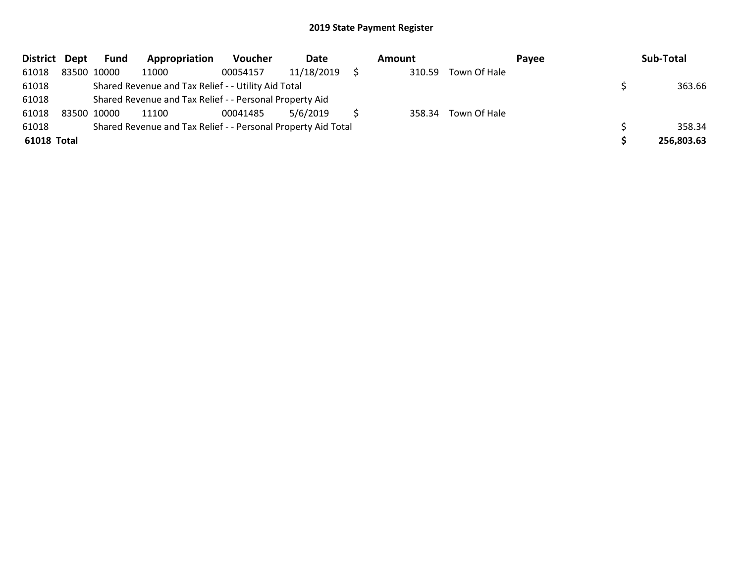| District Dept |             | <b>Fund</b> | Appropriation                                                 | Voucher  | Date       | Amount |                     | <b>Pavee</b> | Sub-Total  |
|---------------|-------------|-------------|---------------------------------------------------------------|----------|------------|--------|---------------------|--------------|------------|
| 61018         | 83500 10000 |             | 11000                                                         | 00054157 | 11/18/2019 | 310.59 | Town Of Hale        |              |            |
| 61018         |             |             | Shared Revenue and Tax Relief - - Utility Aid Total           |          |            |        |                     |              | 363.66     |
| 61018         |             |             | Shared Revenue and Tax Relief - - Personal Property Aid       |          |            |        |                     |              |            |
| 61018         | 83500 10000 |             | 11100                                                         | 00041485 | 5/6/2019   |        | 358.34 Town Of Hale |              |            |
| 61018         |             |             | Shared Revenue and Tax Relief - - Personal Property Aid Total |          |            |        |                     |              | 358.34     |
| 61018 Total   |             |             |                                                               |          |            |        |                     |              | 256,803.63 |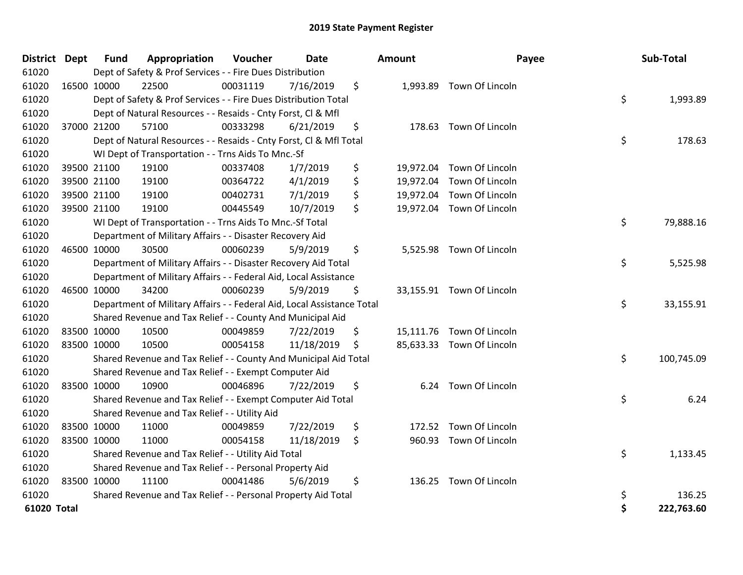| <b>District Dept</b> |             | <b>Fund</b> | Appropriation                                                          | Voucher  | <b>Date</b> | <b>Amount</b>   | Payee                     | Sub-Total        |
|----------------------|-------------|-------------|------------------------------------------------------------------------|----------|-------------|-----------------|---------------------------|------------------|
| 61020                |             |             | Dept of Safety & Prof Services - - Fire Dues Distribution              |          |             |                 |                           |                  |
| 61020                |             | 16500 10000 | 22500                                                                  | 00031119 | 7/16/2019   | \$              | 1,993.89 Town Of Lincoln  |                  |
| 61020                |             |             | Dept of Safety & Prof Services - - Fire Dues Distribution Total        |          |             |                 |                           | \$<br>1,993.89   |
| 61020                |             |             | Dept of Natural Resources - - Resaids - Cnty Forst, Cl & Mfl           |          |             |                 |                           |                  |
| 61020                |             | 37000 21200 | 57100                                                                  | 00333298 | 6/21/2019   | \$              | 178.63 Town Of Lincoln    |                  |
| 61020                |             |             | Dept of Natural Resources - - Resaids - Cnty Forst, CI & Mfl Total     |          |             |                 |                           | \$<br>178.63     |
| 61020                |             |             | WI Dept of Transportation - - Trns Aids To Mnc.-Sf                     |          |             |                 |                           |                  |
| 61020                |             | 39500 21100 | 19100                                                                  | 00337408 | 1/7/2019    | \$<br>19,972.04 | Town Of Lincoln           |                  |
| 61020                |             | 39500 21100 | 19100                                                                  | 00364722 | 4/1/2019    | \$              | 19,972.04 Town Of Lincoln |                  |
| 61020                |             | 39500 21100 | 19100                                                                  | 00402731 | 7/1/2019    | \$              | 19,972.04 Town Of Lincoln |                  |
| 61020                |             | 39500 21100 | 19100                                                                  | 00445549 | 10/7/2019   | \$              | 19,972.04 Town Of Lincoln |                  |
| 61020                |             |             | WI Dept of Transportation - - Trns Aids To Mnc.-Sf Total               |          |             |                 |                           | \$<br>79,888.16  |
| 61020                |             |             | Department of Military Affairs - - Disaster Recovery Aid               |          |             |                 |                           |                  |
| 61020                |             | 46500 10000 | 30500                                                                  | 00060239 | 5/9/2019    | \$              | 5,525.98 Town Of Lincoln  |                  |
| 61020                |             |             | Department of Military Affairs - - Disaster Recovery Aid Total         |          |             |                 |                           | \$<br>5,525.98   |
| 61020                |             |             | Department of Military Affairs - - Federal Aid, Local Assistance       |          |             |                 |                           |                  |
| 61020                |             | 46500 10000 | 34200                                                                  | 00060239 | 5/9/2019    | \$              | 33,155.91 Town Of Lincoln |                  |
| 61020                |             |             | Department of Military Affairs - - Federal Aid, Local Assistance Total |          |             |                 |                           | \$<br>33,155.91  |
| 61020                |             |             | Shared Revenue and Tax Relief - - County And Municipal Aid             |          |             |                 |                           |                  |
| 61020                |             | 83500 10000 | 10500                                                                  | 00049859 | 7/22/2019   | \$              | 15,111.76 Town Of Lincoln |                  |
| 61020                |             | 83500 10000 | 10500                                                                  | 00054158 | 11/18/2019  | \$              | 85,633.33 Town Of Lincoln |                  |
| 61020                |             |             | Shared Revenue and Tax Relief - - County And Municipal Aid Total       |          |             |                 |                           | \$<br>100,745.09 |
| 61020                |             |             | Shared Revenue and Tax Relief - - Exempt Computer Aid                  |          |             |                 |                           |                  |
| 61020                |             | 83500 10000 | 10900                                                                  | 00046896 | 7/22/2019   | \$<br>6.24      | Town Of Lincoln           |                  |
| 61020                |             |             | Shared Revenue and Tax Relief - - Exempt Computer Aid Total            |          |             |                 |                           | \$<br>6.24       |
| 61020                |             |             | Shared Revenue and Tax Relief - - Utility Aid                          |          |             |                 |                           |                  |
| 61020                | 83500 10000 |             | 11000                                                                  | 00049859 | 7/22/2019   | \$<br>172.52    | Town Of Lincoln           |                  |
| 61020                | 83500 10000 |             | 11000                                                                  | 00054158 | 11/18/2019  | \$              | 960.93 Town Of Lincoln    |                  |
| 61020                |             |             | Shared Revenue and Tax Relief - - Utility Aid Total                    |          |             |                 |                           | \$<br>1,133.45   |
| 61020                |             |             | Shared Revenue and Tax Relief - - Personal Property Aid                |          |             |                 |                           |                  |
| 61020                |             | 83500 10000 | 11100                                                                  | 00041486 | 5/6/2019    | \$              | 136.25 Town Of Lincoln    |                  |
| 61020                |             |             | Shared Revenue and Tax Relief - - Personal Property Aid Total          |          |             |                 |                           | \$<br>136.25     |
| 61020 Total          |             |             |                                                                        |          |             |                 |                           | \$<br>222,763.60 |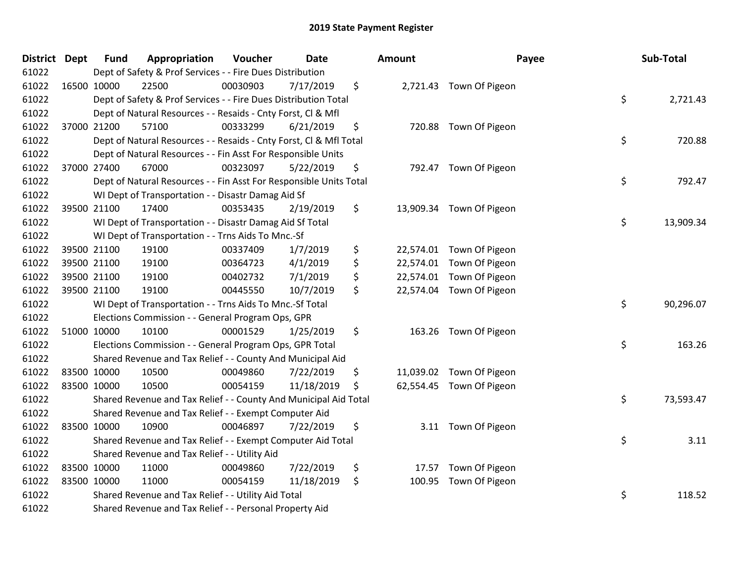| <b>District Dept</b> | <b>Fund</b> | Appropriation                                                      | Voucher  | <b>Date</b> | <b>Amount</b> |                          | Payee | Sub-Total |
|----------------------|-------------|--------------------------------------------------------------------|----------|-------------|---------------|--------------------------|-------|-----------|
| 61022                |             | Dept of Safety & Prof Services - - Fire Dues Distribution          |          |             |               |                          |       |           |
| 61022                | 16500 10000 | 22500                                                              | 00030903 | 7/17/2019   | \$            | 2,721.43 Town Of Pigeon  |       |           |
| 61022                |             | Dept of Safety & Prof Services - - Fire Dues Distribution Total    |          |             |               |                          | \$    | 2,721.43  |
| 61022                |             | Dept of Natural Resources - - Resaids - Cnty Forst, Cl & Mfl       |          |             |               |                          |       |           |
| 61022                | 37000 21200 | 57100                                                              | 00333299 | 6/21/2019   | \$            | 720.88 Town Of Pigeon    |       |           |
| 61022                |             | Dept of Natural Resources - - Resaids - Cnty Forst, Cl & Mfl Total |          |             |               |                          | \$    | 720.88    |
| 61022                |             | Dept of Natural Resources - - Fin Asst For Responsible Units       |          |             |               |                          |       |           |
| 61022                | 37000 27400 | 67000                                                              | 00323097 | 5/22/2019   | \$            | 792.47 Town Of Pigeon    |       |           |
| 61022                |             | Dept of Natural Resources - - Fin Asst For Responsible Units Total |          |             |               |                          | \$    | 792.47    |
| 61022                |             | WI Dept of Transportation - - Disastr Damag Aid Sf                 |          |             |               |                          |       |           |
| 61022                | 39500 21100 | 17400                                                              | 00353435 | 2/19/2019   | \$            | 13,909.34 Town Of Pigeon |       |           |
| 61022                |             | WI Dept of Transportation - - Disastr Damag Aid Sf Total           |          |             |               |                          | \$    | 13,909.34 |
| 61022                |             | WI Dept of Transportation - - Trns Aids To Mnc.-Sf                 |          |             |               |                          |       |           |
| 61022                | 39500 21100 | 19100                                                              | 00337409 | 1/7/2019    | \$            | 22,574.01 Town Of Pigeon |       |           |
| 61022                | 39500 21100 | 19100                                                              | 00364723 | 4/1/2019    | \$            | 22,574.01 Town Of Pigeon |       |           |
| 61022                | 39500 21100 | 19100                                                              | 00402732 | 7/1/2019    | \$            | 22,574.01 Town Of Pigeon |       |           |
| 61022                | 39500 21100 | 19100                                                              | 00445550 | 10/7/2019   | \$            | 22,574.04 Town Of Pigeon |       |           |
| 61022                |             | WI Dept of Transportation - - Trns Aids To Mnc.-Sf Total           |          |             |               |                          | \$    | 90,296.07 |
| 61022                |             | Elections Commission - - General Program Ops, GPR                  |          |             |               |                          |       |           |
| 61022                | 51000 10000 | 10100                                                              | 00001529 | 1/25/2019   | \$            | 163.26 Town Of Pigeon    |       |           |
| 61022                |             | Elections Commission - - General Program Ops, GPR Total            |          |             |               |                          | \$    | 163.26    |
| 61022                |             | Shared Revenue and Tax Relief - - County And Municipal Aid         |          |             |               |                          |       |           |
| 61022                | 83500 10000 | 10500                                                              | 00049860 | 7/22/2019   | \$            | 11,039.02 Town Of Pigeon |       |           |
| 61022                | 83500 10000 | 10500                                                              | 00054159 | 11/18/2019  | \$            | 62,554.45 Town Of Pigeon |       |           |
| 61022                |             | Shared Revenue and Tax Relief - - County And Municipal Aid Total   |          |             |               |                          | \$    | 73,593.47 |
| 61022                |             | Shared Revenue and Tax Relief - - Exempt Computer Aid              |          |             |               |                          |       |           |
| 61022                | 83500 10000 | 10900                                                              | 00046897 | 7/22/2019   | \$            | 3.11 Town Of Pigeon      |       |           |
| 61022                |             | Shared Revenue and Tax Relief - - Exempt Computer Aid Total        |          |             |               |                          | \$    | 3.11      |
| 61022                |             | Shared Revenue and Tax Relief - - Utility Aid                      |          |             |               |                          |       |           |
| 61022                | 83500 10000 | 11000                                                              | 00049860 | 7/22/2019   | \$<br>17.57   | Town Of Pigeon           |       |           |
| 61022                | 83500 10000 | 11000                                                              | 00054159 | 11/18/2019  | \$<br>100.95  | Town Of Pigeon           |       |           |
| 61022                |             | Shared Revenue and Tax Relief - - Utility Aid Total                |          |             |               |                          | \$    | 118.52    |
| 61022                |             | Shared Revenue and Tax Relief - - Personal Property Aid            |          |             |               |                          |       |           |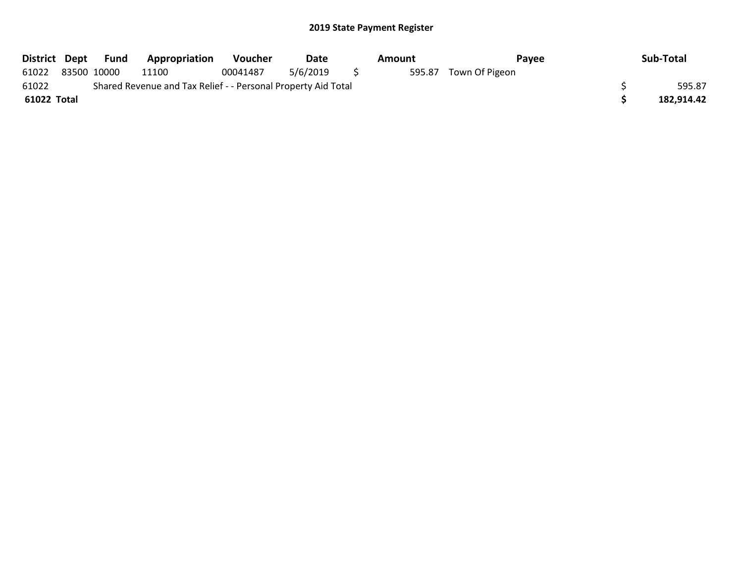| District Dept |             | Fund | <b>Appropriation</b>                                          | <b>Voucher</b> | Date     | Amount | Pavee          | Sub-Total  |
|---------------|-------------|------|---------------------------------------------------------------|----------------|----------|--------|----------------|------------|
| 61022         | 83500 10000 |      | 11100                                                         | 00041487       | 5/6/2019 | 595.87 | Town Of Pigeon |            |
| 61022         |             |      | Shared Revenue and Tax Relief - - Personal Property Aid Total |                |          |        |                | 595.87     |
| 61022 Total   |             |      |                                                               |                |          |        |                | 182.914.42 |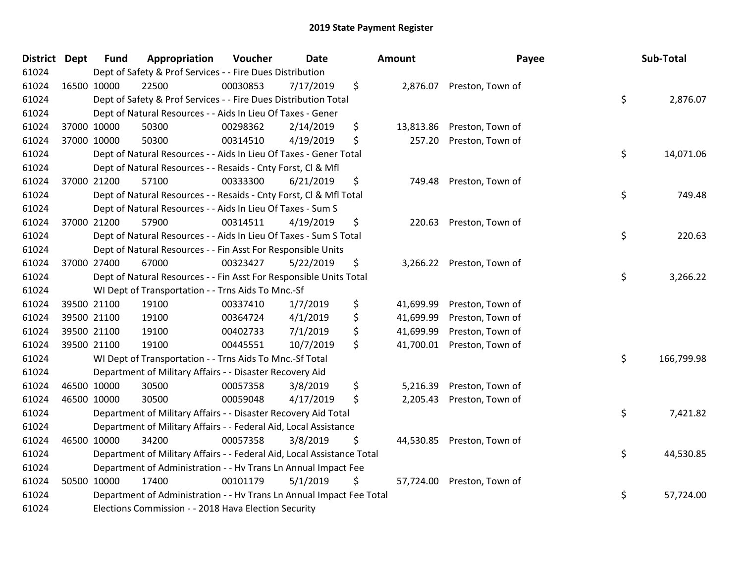| District Dept |             | <b>Fund</b> | Appropriation                                                          | Voucher  | <b>Date</b> | <b>Amount</b>   | Payee                      | Sub-Total        |
|---------------|-------------|-------------|------------------------------------------------------------------------|----------|-------------|-----------------|----------------------------|------------------|
| 61024         |             |             | Dept of Safety & Prof Services - - Fire Dues Distribution              |          |             |                 |                            |                  |
| 61024         | 16500 10000 |             | 22500                                                                  | 00030853 | 7/17/2019   | \$              | 2,876.07 Preston, Town of  |                  |
| 61024         |             |             | Dept of Safety & Prof Services - - Fire Dues Distribution Total        |          |             |                 |                            | \$<br>2,876.07   |
| 61024         |             |             | Dept of Natural Resources - - Aids In Lieu Of Taxes - Gener            |          |             |                 |                            |                  |
| 61024         |             | 37000 10000 | 50300                                                                  | 00298362 | 2/14/2019   | \$<br>13,813.86 | Preston, Town of           |                  |
| 61024         | 37000 10000 |             | 50300                                                                  | 00314510 | 4/19/2019   | \$<br>257.20    | Preston, Town of           |                  |
| 61024         |             |             | Dept of Natural Resources - - Aids In Lieu Of Taxes - Gener Total      |          |             |                 |                            | \$<br>14,071.06  |
| 61024         |             |             | Dept of Natural Resources - - Resaids - Cnty Forst, CI & Mfl           |          |             |                 |                            |                  |
| 61024         | 37000 21200 |             | 57100                                                                  | 00333300 | 6/21/2019   | \$<br>749.48    | Preston, Town of           |                  |
| 61024         |             |             | Dept of Natural Resources - - Resaids - Cnty Forst, Cl & Mfl Total     |          |             |                 |                            | \$<br>749.48     |
| 61024         |             |             | Dept of Natural Resources - - Aids In Lieu Of Taxes - Sum S            |          |             |                 |                            |                  |
| 61024         | 37000 21200 |             | 57900                                                                  | 00314511 | 4/19/2019   | \$              | 220.63 Preston, Town of    |                  |
| 61024         |             |             | Dept of Natural Resources - - Aids In Lieu Of Taxes - Sum S Total      |          |             |                 |                            | \$<br>220.63     |
| 61024         |             |             | Dept of Natural Resources - - Fin Asst For Responsible Units           |          |             |                 |                            |                  |
| 61024         |             | 37000 27400 | 67000                                                                  | 00323427 | 5/22/2019   | \$              | 3,266.22 Preston, Town of  |                  |
| 61024         |             |             | Dept of Natural Resources - - Fin Asst For Responsible Units Total     |          |             |                 |                            | \$<br>3,266.22   |
| 61024         |             |             | WI Dept of Transportation - - Trns Aids To Mnc.-Sf                     |          |             |                 |                            |                  |
| 61024         | 39500 21100 |             | 19100                                                                  | 00337410 | 1/7/2019    | \$<br>41,699.99 | Preston, Town of           |                  |
| 61024         | 39500 21100 |             | 19100                                                                  | 00364724 | 4/1/2019    | \$<br>41,699.99 | Preston, Town of           |                  |
| 61024         |             | 39500 21100 | 19100                                                                  | 00402733 | 7/1/2019    | \$<br>41,699.99 | Preston, Town of           |                  |
| 61024         | 39500 21100 |             | 19100                                                                  | 00445551 | 10/7/2019   | \$<br>41,700.01 | Preston, Town of           |                  |
| 61024         |             |             | WI Dept of Transportation - - Trns Aids To Mnc.-Sf Total               |          |             |                 |                            | \$<br>166,799.98 |
| 61024         |             |             | Department of Military Affairs - - Disaster Recovery Aid               |          |             |                 |                            |                  |
| 61024         | 46500 10000 |             | 30500                                                                  | 00057358 | 3/8/2019    | \$<br>5,216.39  | Preston, Town of           |                  |
| 61024         | 46500 10000 |             | 30500                                                                  | 00059048 | 4/17/2019   | \$<br>2,205.43  | Preston, Town of           |                  |
| 61024         |             |             | Department of Military Affairs - - Disaster Recovery Aid Total         |          |             |                 |                            | \$<br>7,421.82   |
| 61024         |             |             | Department of Military Affairs - - Federal Aid, Local Assistance       |          |             |                 |                            |                  |
| 61024         | 46500 10000 |             | 34200                                                                  | 00057358 | 3/8/2019    | \$              | 44,530.85 Preston, Town of |                  |
| 61024         |             |             | Department of Military Affairs - - Federal Aid, Local Assistance Total |          |             |                 |                            | \$<br>44,530.85  |
| 61024         |             |             | Department of Administration - - Hv Trans Ln Annual Impact Fee         |          |             |                 |                            |                  |
| 61024         |             | 50500 10000 | 17400                                                                  | 00101179 | 5/1/2019    | \$              | 57,724.00 Preston, Town of |                  |
| 61024         |             |             | Department of Administration - - Hv Trans Ln Annual Impact Fee Total   |          |             |                 |                            | \$<br>57,724.00  |
| 61024         |             |             | Elections Commission - - 2018 Hava Election Security                   |          |             |                 |                            |                  |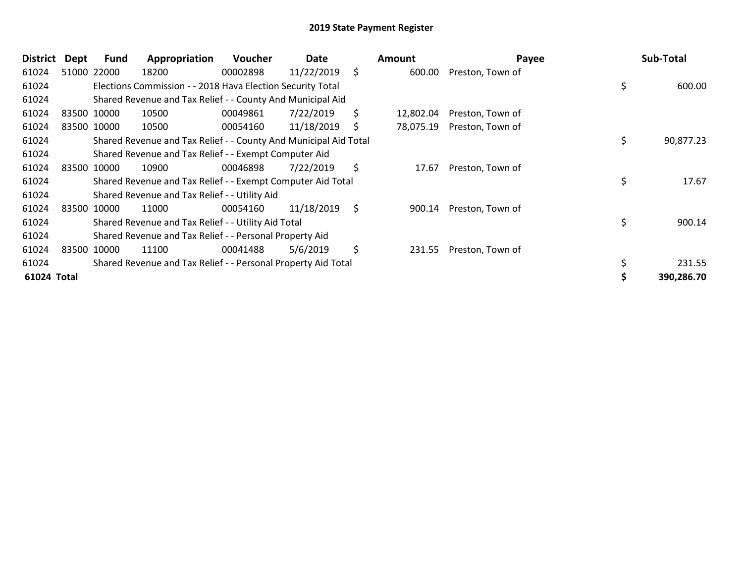| <b>District</b> | Dept | <b>Fund</b> | Appropriation                                                    | <b>Voucher</b> | Date       |    | Amount    | Payee            | Sub-Total       |
|-----------------|------|-------------|------------------------------------------------------------------|----------------|------------|----|-----------|------------------|-----------------|
| 61024           |      | 51000 22000 | 18200                                                            | 00002898       | 11/22/2019 | \$ | 600.00    | Preston, Town of |                 |
| 61024           |      |             | Elections Commission - - 2018 Hava Election Security Total       |                |            |    |           |                  | \$<br>600.00    |
| 61024           |      |             | Shared Revenue and Tax Relief - - County And Municipal Aid       |                |            |    |           |                  |                 |
| 61024           |      | 83500 10000 | 10500                                                            | 00049861       | 7/22/2019  | \$ | 12,802.04 | Preston, Town of |                 |
| 61024           |      | 83500 10000 | 10500                                                            | 00054160       | 11/18/2019 | S  | 78,075.19 | Preston, Town of |                 |
| 61024           |      |             | Shared Revenue and Tax Relief - - County And Municipal Aid Total |                |            |    |           |                  | \$<br>90,877.23 |
| 61024           |      |             | Shared Revenue and Tax Relief - - Exempt Computer Aid            |                |            |    |           |                  |                 |
| 61024           |      | 83500 10000 | 10900                                                            | 00046898       | 7/22/2019  | \$ | 17.67     | Preston, Town of |                 |
| 61024           |      |             | Shared Revenue and Tax Relief - - Exempt Computer Aid Total      |                |            |    |           |                  | \$<br>17.67     |
| 61024           |      |             | Shared Revenue and Tax Relief - - Utility Aid                    |                |            |    |           |                  |                 |
| 61024           |      | 83500 10000 | 11000                                                            | 00054160       | 11/18/2019 | \$ | 900.14    | Preston, Town of |                 |
| 61024           |      |             | Shared Revenue and Tax Relief - - Utility Aid Total              |                |            |    |           |                  | \$<br>900.14    |
| 61024           |      |             | Shared Revenue and Tax Relief - - Personal Property Aid          |                |            |    |           |                  |                 |
| 61024           |      | 83500 10000 | 11100                                                            | 00041488       | 5/6/2019   | \$ | 231.55    | Preston, Town of |                 |
| 61024           |      |             | Shared Revenue and Tax Relief - - Personal Property Aid Total    |                |            |    |           |                  | \$<br>231.55    |
| 61024 Total     |      |             |                                                                  |                |            |    |           |                  | 390,286.70      |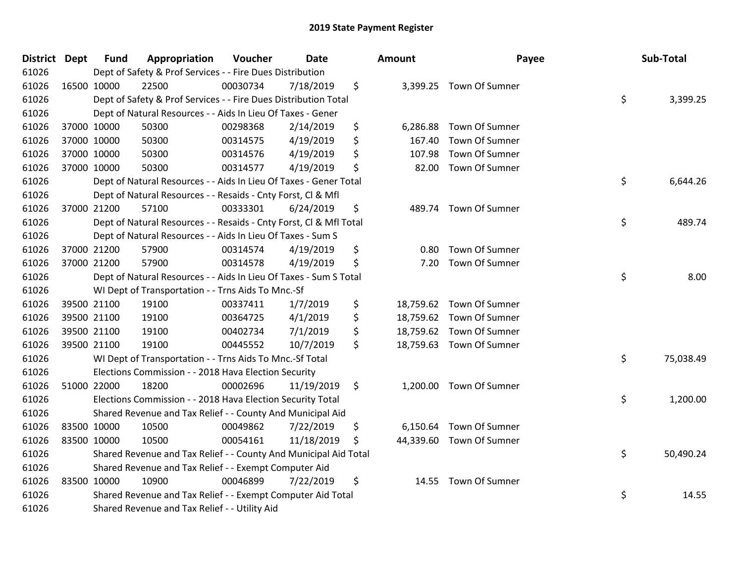| <b>District Dept</b> | <b>Fund</b> | Appropriation                                                      | Voucher  | Date       | <b>Amount</b>  |                          | Payee | Sub-Total |
|----------------------|-------------|--------------------------------------------------------------------|----------|------------|----------------|--------------------------|-------|-----------|
| 61026                |             | Dept of Safety & Prof Services - - Fire Dues Distribution          |          |            |                |                          |       |           |
| 61026                | 16500 10000 | 22500                                                              | 00030734 | 7/18/2019  | \$             | 3,399.25 Town Of Sumner  |       |           |
| 61026                |             | Dept of Safety & Prof Services - - Fire Dues Distribution Total    |          |            |                |                          | \$    | 3,399.25  |
| 61026                |             | Dept of Natural Resources - - Aids In Lieu Of Taxes - Gener        |          |            |                |                          |       |           |
| 61026                | 37000 10000 | 50300                                                              | 00298368 | 2/14/2019  | \$<br>6,286.88 | Town Of Sumner           |       |           |
| 61026                | 37000 10000 | 50300                                                              | 00314575 | 4/19/2019  | \$<br>167.40   | Town Of Sumner           |       |           |
| 61026                | 37000 10000 | 50300                                                              | 00314576 | 4/19/2019  | \$<br>107.98   | Town Of Sumner           |       |           |
| 61026                | 37000 10000 | 50300                                                              | 00314577 | 4/19/2019  | \$<br>82.00    | Town Of Sumner           |       |           |
| 61026                |             | Dept of Natural Resources - - Aids In Lieu Of Taxes - Gener Total  |          |            |                |                          | \$    | 6,644.26  |
| 61026                |             | Dept of Natural Resources - - Resaids - Cnty Forst, Cl & Mfl       |          |            |                |                          |       |           |
| 61026                | 37000 21200 | 57100                                                              | 00333301 | 6/24/2019  | \$<br>489.74   | Town Of Sumner           |       |           |
| 61026                |             | Dept of Natural Resources - - Resaids - Cnty Forst, CI & Mfl Total |          |            |                |                          | \$    | 489.74    |
| 61026                |             | Dept of Natural Resources - - Aids In Lieu Of Taxes - Sum S        |          |            |                |                          |       |           |
| 61026                | 37000 21200 | 57900                                                              | 00314574 | 4/19/2019  | \$<br>0.80     | Town Of Sumner           |       |           |
| 61026                | 37000 21200 | 57900                                                              | 00314578 | 4/19/2019  | \$<br>7.20     | Town Of Sumner           |       |           |
| 61026                |             | Dept of Natural Resources - - Aids In Lieu Of Taxes - Sum S Total  |          |            |                |                          | \$    | 8.00      |
| 61026                |             | WI Dept of Transportation - - Trns Aids To Mnc.-Sf                 |          |            |                |                          |       |           |
| 61026                | 39500 21100 | 19100                                                              | 00337411 | 1/7/2019   | \$             | 18,759.62 Town Of Sumner |       |           |
| 61026                | 39500 21100 | 19100                                                              | 00364725 | 4/1/2019   | \$             | 18,759.62 Town Of Sumner |       |           |
| 61026                | 39500 21100 | 19100                                                              | 00402734 | 7/1/2019   | \$             | 18,759.62 Town Of Sumner |       |           |
| 61026                | 39500 21100 | 19100                                                              | 00445552 | 10/7/2019  | \$             | 18,759.63 Town Of Sumner |       |           |
| 61026                |             | WI Dept of Transportation - - Trns Aids To Mnc.-Sf Total           |          |            |                |                          | \$    | 75,038.49 |
| 61026                |             | Elections Commission - - 2018 Hava Election Security               |          |            |                |                          |       |           |
| 61026                | 51000 22000 | 18200                                                              | 00002696 | 11/19/2019 | \$             | 1,200.00 Town Of Sumner  |       |           |
| 61026                |             | Elections Commission - - 2018 Hava Election Security Total         |          |            |                |                          | \$    | 1,200.00  |
| 61026                |             | Shared Revenue and Tax Relief - - County And Municipal Aid         |          |            |                |                          |       |           |
| 61026                | 83500 10000 | 10500                                                              | 00049862 | 7/22/2019  | \$<br>6,150.64 | Town Of Sumner           |       |           |
| 61026                | 83500 10000 | 10500                                                              | 00054161 | 11/18/2019 | \$             | 44,339.60 Town Of Sumner |       |           |
| 61026                |             | Shared Revenue and Tax Relief - - County And Municipal Aid Total   |          |            |                |                          | \$    | 50,490.24 |
| 61026                |             | Shared Revenue and Tax Relief - - Exempt Computer Aid              |          |            |                |                          |       |           |
| 61026                | 83500 10000 | 10900                                                              | 00046899 | 7/22/2019  | \$<br>14.55    | Town Of Sumner           |       |           |
| 61026                |             | Shared Revenue and Tax Relief - - Exempt Computer Aid Total        |          |            |                |                          | \$    | 14.55     |
| 61026                |             | Shared Revenue and Tax Relief - - Utility Aid                      |          |            |                |                          |       |           |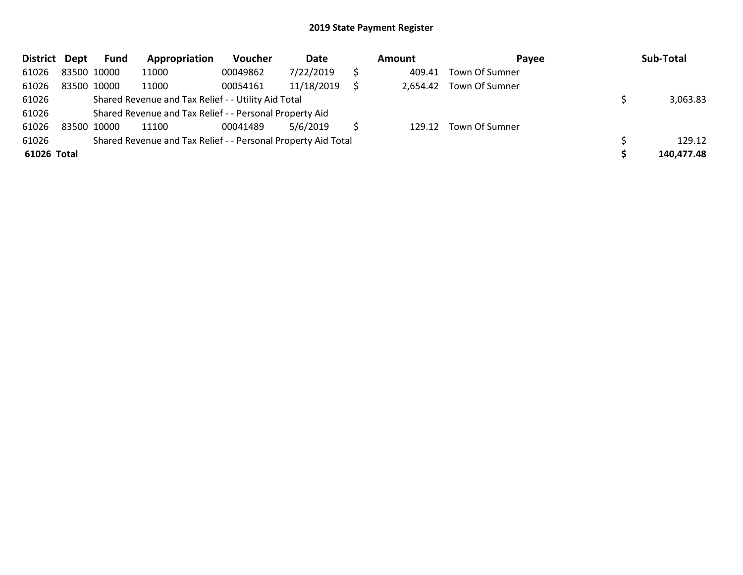| District Dept |             | <b>Fund</b> | Appropriation                                                 | Voucher  | Date       | Amount   | Payee          | Sub-Total  |
|---------------|-------------|-------------|---------------------------------------------------------------|----------|------------|----------|----------------|------------|
| 61026         | 83500 10000 |             | 11000                                                         | 00049862 | 7/22/2019  | 409.41   | Town Of Sumner |            |
| 61026         | 83500 10000 |             | 11000                                                         | 00054161 | 11/18/2019 | 2,654.42 | Town Of Sumner |            |
| 61026         |             |             | Shared Revenue and Tax Relief - - Utility Aid Total           |          |            |          |                | 3,063.83   |
| 61026         |             |             | Shared Revenue and Tax Relief - - Personal Property Aid       |          |            |          |                |            |
| 61026         |             | 83500 10000 | 11100                                                         | 00041489 | 5/6/2019   | 129.12   | Town Of Sumner |            |
| 61026         |             |             | Shared Revenue and Tax Relief - - Personal Property Aid Total |          |            |          |                | 129.12     |
| 61026 Total   |             |             |                                                               |          |            |          |                | 140,477.48 |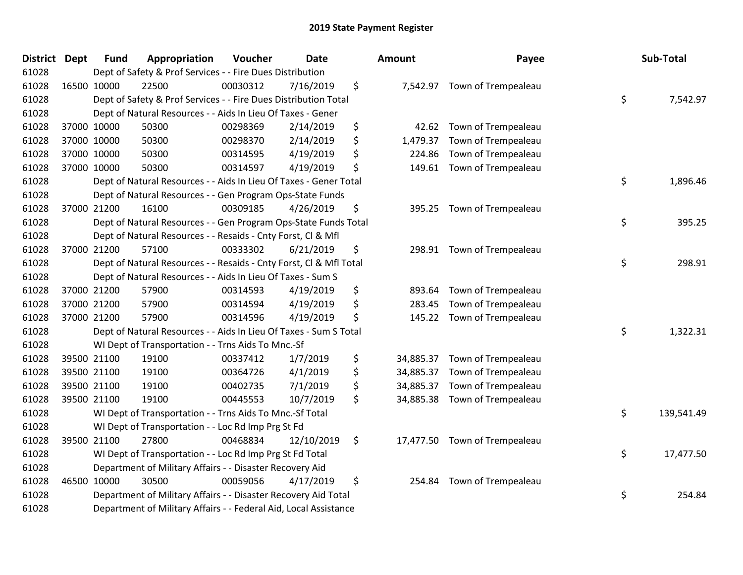| District Dept | <b>Fund</b> | Appropriation                                                      | Voucher  | <b>Date</b> | <b>Amount</b>   | Payee                         | Sub-Total        |
|---------------|-------------|--------------------------------------------------------------------|----------|-------------|-----------------|-------------------------------|------------------|
| 61028         |             | Dept of Safety & Prof Services - - Fire Dues Distribution          |          |             |                 |                               |                  |
| 61028         | 16500 10000 | 22500                                                              | 00030312 | 7/16/2019   | \$              | 7,542.97 Town of Trempealeau  |                  |
| 61028         |             | Dept of Safety & Prof Services - - Fire Dues Distribution Total    |          |             |                 |                               | \$<br>7,542.97   |
| 61028         |             | Dept of Natural Resources - - Aids In Lieu Of Taxes - Gener        |          |             |                 |                               |                  |
| 61028         | 37000 10000 | 50300                                                              | 00298369 | 2/14/2019   | \$<br>42.62     | Town of Trempealeau           |                  |
| 61028         | 37000 10000 | 50300                                                              | 00298370 | 2/14/2019   | \$<br>1,479.37  | Town of Trempealeau           |                  |
| 61028         | 37000 10000 | 50300                                                              | 00314595 | 4/19/2019   | \$<br>224.86    | Town of Trempealeau           |                  |
| 61028         | 37000 10000 | 50300                                                              | 00314597 | 4/19/2019   | \$<br>149.61    | Town of Trempealeau           |                  |
| 61028         |             | Dept of Natural Resources - - Aids In Lieu Of Taxes - Gener Total  |          |             |                 |                               | \$<br>1,896.46   |
| 61028         |             | Dept of Natural Resources - - Gen Program Ops-State Funds          |          |             |                 |                               |                  |
| 61028         | 37000 21200 | 16100                                                              | 00309185 | 4/26/2019   | \$              | 395.25 Town of Trempealeau    |                  |
| 61028         |             | Dept of Natural Resources - - Gen Program Ops-State Funds Total    |          |             |                 |                               | \$<br>395.25     |
| 61028         |             | Dept of Natural Resources - - Resaids - Cnty Forst, Cl & Mfl       |          |             |                 |                               |                  |
| 61028         | 37000 21200 | 57100                                                              | 00333302 | 6/21/2019   | \$              | 298.91 Town of Trempealeau    |                  |
| 61028         |             | Dept of Natural Resources - - Resaids - Cnty Forst, Cl & Mfl Total |          |             |                 |                               | \$<br>298.91     |
| 61028         |             | Dept of Natural Resources - - Aids In Lieu Of Taxes - Sum S        |          |             |                 |                               |                  |
| 61028         | 37000 21200 | 57900                                                              | 00314593 | 4/19/2019   | \$<br>893.64    | Town of Trempealeau           |                  |
| 61028         | 37000 21200 | 57900                                                              | 00314594 | 4/19/2019   | \$<br>283.45    | Town of Trempealeau           |                  |
| 61028         | 37000 21200 | 57900                                                              | 00314596 | 4/19/2019   | \$<br>145.22    | Town of Trempealeau           |                  |
| 61028         |             | Dept of Natural Resources - - Aids In Lieu Of Taxes - Sum S Total  |          |             |                 |                               | \$<br>1,322.31   |
| 61028         |             | WI Dept of Transportation - - Trns Aids To Mnc.-Sf                 |          |             |                 |                               |                  |
| 61028         | 39500 21100 | 19100                                                              | 00337412 | 1/7/2019    | \$<br>34,885.37 | Town of Trempealeau           |                  |
| 61028         | 39500 21100 | 19100                                                              | 00364726 | 4/1/2019    | \$<br>34,885.37 | Town of Trempealeau           |                  |
| 61028         | 39500 21100 | 19100                                                              | 00402735 | 7/1/2019    | \$<br>34,885.37 | Town of Trempealeau           |                  |
| 61028         | 39500 21100 | 19100                                                              | 00445553 | 10/7/2019   | \$<br>34,885.38 | Town of Trempealeau           |                  |
| 61028         |             | WI Dept of Transportation - - Trns Aids To Mnc.-Sf Total           |          |             |                 |                               | \$<br>139,541.49 |
| 61028         |             | WI Dept of Transportation - - Loc Rd Imp Prg St Fd                 |          |             |                 |                               |                  |
| 61028         | 39500 21100 | 27800                                                              | 00468834 | 12/10/2019  | \$              | 17,477.50 Town of Trempealeau |                  |
| 61028         |             | WI Dept of Transportation - - Loc Rd Imp Prg St Fd Total           |          |             |                 |                               | \$<br>17,477.50  |
| 61028         |             | Department of Military Affairs - - Disaster Recovery Aid           |          |             |                 |                               |                  |
| 61028         | 46500 10000 | 30500                                                              | 00059056 | 4/17/2019   | \$<br>254.84    | Town of Trempealeau           |                  |
| 61028         |             | Department of Military Affairs - - Disaster Recovery Aid Total     |          |             |                 |                               | \$<br>254.84     |
| 61028         |             | Department of Military Affairs - - Federal Aid, Local Assistance   |          |             |                 |                               |                  |

| າount     | Payee               | Sub-Total        |
|-----------|---------------------|------------------|
| 7,542.97  | Town of Trempealeau | \$<br>7,542.97   |
| 42.62     | Town of Trempealeau |                  |
| 1,479.37  | Town of Trempealeau |                  |
| 224.86    | Town of Trempealeau |                  |
| 149.61    | Town of Trempealeau |                  |
|           |                     | \$<br>1,896.46   |
| 395.25    | Town of Trempealeau |                  |
|           |                     | \$<br>395.25     |
| 298.91    | Town of Trempealeau | \$<br>298.91     |
| 893.64    | Town of Trempealeau |                  |
| 283.45    | Town of Trempealeau |                  |
| 145.22    | Town of Trempealeau |                  |
|           |                     | \$<br>1,322.31   |
| 34,885.37 | Town of Trempealeau |                  |
| 34,885.37 | Town of Trempealeau |                  |
| 34,885.37 | Town of Trempealeau |                  |
| 34,885.38 | Town of Trempealeau |                  |
|           |                     | \$<br>139,541.49 |
| 17,477.50 | Town of Trempealeau | \$<br>17,477.50  |
| 254.84    | Town of Trempealeau | \$<br>254.84     |
|           |                     |                  |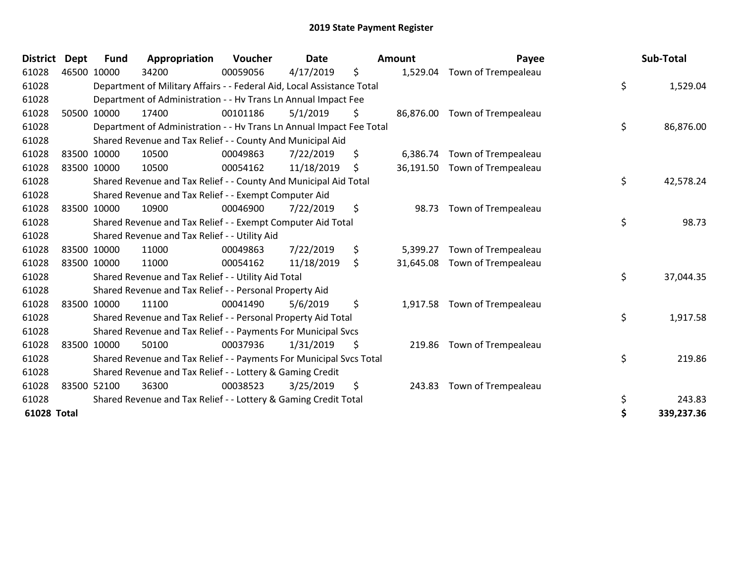| <b>District</b> | <b>Dept</b> | <b>Fund</b> | Appropriation                                                          | Voucher  | <b>Date</b> | Amount          | Payee                         | Sub-Total        |
|-----------------|-------------|-------------|------------------------------------------------------------------------|----------|-------------|-----------------|-------------------------------|------------------|
| 61028           | 46500 10000 |             | 34200                                                                  | 00059056 | 4/17/2019   | \$              | 1,529.04 Town of Trempealeau  |                  |
| 61028           |             |             | Department of Military Affairs - - Federal Aid, Local Assistance Total |          |             |                 |                               | \$<br>1,529.04   |
| 61028           |             |             | Department of Administration - - Hv Trans Ln Annual Impact Fee         |          |             |                 |                               |                  |
| 61028           | 50500 10000 |             | 17400                                                                  | 00101186 | 5/1/2019    | \$<br>86,876.00 | Town of Trempealeau           |                  |
| 61028           |             |             | Department of Administration - - Hv Trans Ln Annual Impact Fee Total   |          |             |                 |                               | \$<br>86,876.00  |
| 61028           |             |             | Shared Revenue and Tax Relief - - County And Municipal Aid             |          |             |                 |                               |                  |
| 61028           | 83500 10000 |             | 10500                                                                  | 00049863 | 7/22/2019   | \$<br>6,386.74  | Town of Trempealeau           |                  |
| 61028           | 83500 10000 |             | 10500                                                                  | 00054162 | 11/18/2019  | \$              | 36,191.50 Town of Trempealeau |                  |
| 61028           |             |             | Shared Revenue and Tax Relief - - County And Municipal Aid Total       |          |             |                 |                               | \$<br>42,578.24  |
| 61028           |             |             | Shared Revenue and Tax Relief - - Exempt Computer Aid                  |          |             |                 |                               |                  |
| 61028           | 83500 10000 |             | 10900                                                                  | 00046900 | 7/22/2019   | \$<br>98.73     | Town of Trempealeau           |                  |
| 61028           |             |             | Shared Revenue and Tax Relief - - Exempt Computer Aid Total            |          |             |                 |                               | \$<br>98.73      |
| 61028           |             |             | Shared Revenue and Tax Relief - - Utility Aid                          |          |             |                 |                               |                  |
| 61028           | 83500 10000 |             | 11000                                                                  | 00049863 | 7/22/2019   | \$<br>5,399.27  | Town of Trempealeau           |                  |
| 61028           | 83500 10000 |             | 11000                                                                  | 00054162 | 11/18/2019  | \$<br>31,645.08 | Town of Trempealeau           |                  |
| 61028           |             |             | Shared Revenue and Tax Relief - - Utility Aid Total                    |          |             |                 |                               | \$<br>37,044.35  |
| 61028           |             |             | Shared Revenue and Tax Relief - - Personal Property Aid                |          |             |                 |                               |                  |
| 61028           | 83500 10000 |             | 11100                                                                  | 00041490 | 5/6/2019    | \$              | 1,917.58 Town of Trempealeau  |                  |
| 61028           |             |             | Shared Revenue and Tax Relief - - Personal Property Aid Total          |          |             |                 |                               | \$<br>1,917.58   |
| 61028           |             |             | Shared Revenue and Tax Relief - - Payments For Municipal Svcs          |          |             |                 |                               |                  |
| 61028           | 83500 10000 |             | 50100                                                                  | 00037936 | 1/31/2019   | \$              | 219.86 Town of Trempealeau    |                  |
| 61028           |             |             | Shared Revenue and Tax Relief - - Payments For Municipal Svcs Total    |          |             |                 |                               | \$<br>219.86     |
| 61028           |             |             | Shared Revenue and Tax Relief - - Lottery & Gaming Credit              |          |             |                 |                               |                  |
| 61028           | 83500 52100 |             | 36300                                                                  | 00038523 | 3/25/2019   | \$<br>243.83    | Town of Trempealeau           |                  |
| 61028           |             |             | Shared Revenue and Tax Relief - - Lottery & Gaming Credit Total        |          |             |                 |                               | \$<br>243.83     |
| 61028 Total     |             |             |                                                                        |          |             |                 |                               | \$<br>339,237.36 |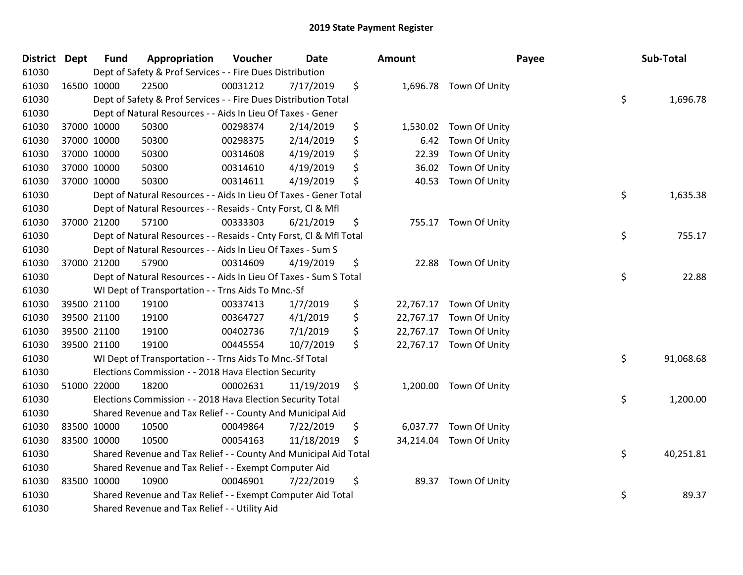| District Dept |             | <b>Fund</b> | Appropriation                                                      | Voucher  | <b>Date</b> |     | <b>Amount</b> |                         | Payee | Sub-Total |
|---------------|-------------|-------------|--------------------------------------------------------------------|----------|-------------|-----|---------------|-------------------------|-------|-----------|
| 61030         |             |             | Dept of Safety & Prof Services - - Fire Dues Distribution          |          |             |     |               |                         |       |           |
| 61030         |             | 16500 10000 | 22500                                                              | 00031212 | 7/17/2019   | \$  |               | 1,696.78 Town Of Unity  |       |           |
| 61030         |             |             | Dept of Safety & Prof Services - - Fire Dues Distribution Total    |          |             |     |               |                         | \$    | 1,696.78  |
| 61030         |             |             | Dept of Natural Resources - - Aids In Lieu Of Taxes - Gener        |          |             |     |               |                         |       |           |
| 61030         |             | 37000 10000 | 50300                                                              | 00298374 | 2/14/2019   | \$  |               | 1,530.02 Town Of Unity  |       |           |
| 61030         |             | 37000 10000 | 50300                                                              | 00298375 | 2/14/2019   | \$  | 6.42          | Town Of Unity           |       |           |
| 61030         |             | 37000 10000 | 50300                                                              | 00314608 | 4/19/2019   | \$  | 22.39         | Town Of Unity           |       |           |
| 61030         | 37000 10000 |             | 50300                                                              | 00314610 | 4/19/2019   | \$  | 36.02         | Town Of Unity           |       |           |
| 61030         | 37000 10000 |             | 50300                                                              | 00314611 | 4/19/2019   | \$  | 40.53         | Town Of Unity           |       |           |
| 61030         |             |             | Dept of Natural Resources - - Aids In Lieu Of Taxes - Gener Total  |          |             |     |               |                         | \$    | 1,635.38  |
| 61030         |             |             | Dept of Natural Resources - - Resaids - Cnty Forst, Cl & Mfl       |          |             |     |               |                         |       |           |
| 61030         |             | 37000 21200 | 57100                                                              | 00333303 | 6/21/2019   | \$  |               | 755.17 Town Of Unity    |       |           |
| 61030         |             |             | Dept of Natural Resources - - Resaids - Cnty Forst, CI & Mfl Total |          |             |     |               |                         | \$    | 755.17    |
| 61030         |             |             | Dept of Natural Resources - - Aids In Lieu Of Taxes - Sum S        |          |             |     |               |                         |       |           |
| 61030         |             | 37000 21200 | 57900                                                              | 00314609 | 4/19/2019   | \$  |               | 22.88 Town Of Unity     |       |           |
| 61030         |             |             | Dept of Natural Resources - - Aids In Lieu Of Taxes - Sum S Total  |          |             |     |               |                         | \$    | 22.88     |
| 61030         |             |             | WI Dept of Transportation - - Trns Aids To Mnc.-Sf                 |          |             |     |               |                         |       |           |
| 61030         |             | 39500 21100 | 19100                                                              | 00337413 | 1/7/2019    | \$  |               | 22,767.17 Town Of Unity |       |           |
| 61030         |             | 39500 21100 | 19100                                                              | 00364727 | 4/1/2019    | \$  |               | 22,767.17 Town Of Unity |       |           |
| 61030         |             | 39500 21100 | 19100                                                              | 00402736 | 7/1/2019    | \$  |               | 22,767.17 Town Of Unity |       |           |
| 61030         |             | 39500 21100 | 19100                                                              | 00445554 | 10/7/2019   | \$  |               | 22,767.17 Town Of Unity |       |           |
| 61030         |             |             | WI Dept of Transportation - - Trns Aids To Mnc.-Sf Total           |          |             |     |               |                         | \$    | 91,068.68 |
| 61030         |             |             | Elections Commission - - 2018 Hava Election Security               |          |             |     |               |                         |       |           |
| 61030         |             | 51000 22000 | 18200                                                              | 00002631 | 11/19/2019  | \$  |               | 1,200.00 Town Of Unity  |       |           |
| 61030         |             |             | Elections Commission - - 2018 Hava Election Security Total         |          |             |     |               |                         | \$    | 1,200.00  |
| 61030         |             |             | Shared Revenue and Tax Relief - - County And Municipal Aid         |          |             |     |               |                         |       |           |
| 61030         | 83500 10000 |             | 10500                                                              | 00049864 | 7/22/2019   | \$  |               | 6,037.77 Town Of Unity  |       |           |
| 61030         | 83500 10000 |             | 10500                                                              | 00054163 | 11/18/2019  | \$. |               | 34,214.04 Town Of Unity |       |           |
| 61030         |             |             | Shared Revenue and Tax Relief - - County And Municipal Aid Total   |          |             |     |               |                         | \$    | 40,251.81 |
| 61030         |             |             | Shared Revenue and Tax Relief - - Exempt Computer Aid              |          |             |     |               |                         |       |           |
| 61030         | 83500 10000 |             | 10900                                                              | 00046901 | 7/22/2019   | \$  | 89.37         | Town Of Unity           |       |           |
| 61030         |             |             | Shared Revenue and Tax Relief - - Exempt Computer Aid Total        |          |             |     |               |                         | \$    | 89.37     |
| 61030         |             |             | Shared Revenue and Tax Relief - - Utility Aid                      |          |             |     |               |                         |       |           |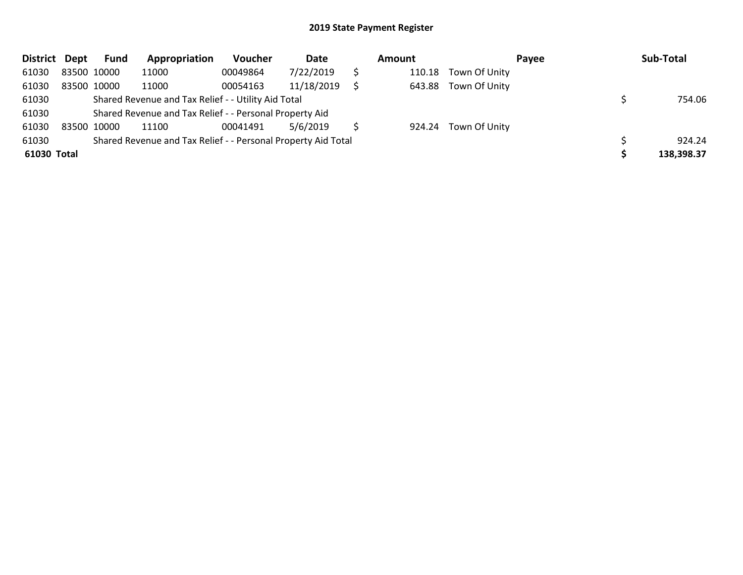| District Dept |             | <b>Fund</b> | Appropriation                                                 | Voucher  | Date       | Amount |                      | Payee | Sub-Total  |
|---------------|-------------|-------------|---------------------------------------------------------------|----------|------------|--------|----------------------|-------|------------|
| 61030         | 83500 10000 |             | 11000                                                         | 00049864 | 7/22/2019  | 110.18 | Town Of Unity        |       |            |
| 61030         | 83500 10000 |             | 11000                                                         | 00054163 | 11/18/2019 | 643.88 | Town Of Unity        |       |            |
| 61030         |             |             | Shared Revenue and Tax Relief - - Utility Aid Total           |          |            |        |                      |       | 754.06     |
| 61030         |             |             | Shared Revenue and Tax Relief - - Personal Property Aid       |          |            |        |                      |       |            |
| 61030         | 83500 10000 |             | 11100                                                         | 00041491 | 5/6/2019   |        | 924.24 Town Of Unity |       |            |
| 61030         |             |             | Shared Revenue and Tax Relief - - Personal Property Aid Total |          |            |        |                      |       | 924.24     |
| 61030 Total   |             |             |                                                               |          |            |        |                      |       | 138,398.37 |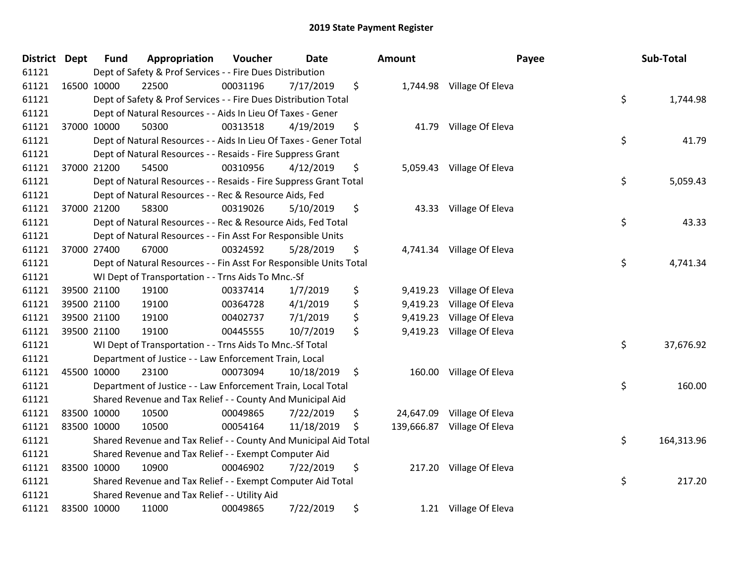| District Dept |             | <b>Fund</b> | Appropriation                                                      | Voucher  | <b>Date</b> |               | <b>Amount</b> |                             | Payee | Sub-Total  |
|---------------|-------------|-------------|--------------------------------------------------------------------|----------|-------------|---------------|---------------|-----------------------------|-------|------------|
| 61121         |             |             | Dept of Safety & Prof Services - - Fire Dues Distribution          |          |             |               |               |                             |       |            |
| 61121         | 16500 10000 |             | 22500                                                              | 00031196 | 7/17/2019   | \$            |               | 1,744.98 Village Of Eleva   |       |            |
| 61121         |             |             | Dept of Safety & Prof Services - - Fire Dues Distribution Total    |          |             |               |               |                             | \$    | 1,744.98   |
| 61121         |             |             | Dept of Natural Resources - - Aids In Lieu Of Taxes - Gener        |          |             |               |               |                             |       |            |
| 61121         |             | 37000 10000 | 50300                                                              | 00313518 | 4/19/2019   | \$            |               | 41.79 Village Of Eleva      |       |            |
| 61121         |             |             | Dept of Natural Resources - - Aids In Lieu Of Taxes - Gener Total  |          |             |               |               |                             | \$    | 41.79      |
| 61121         |             |             | Dept of Natural Resources - - Resaids - Fire Suppress Grant        |          |             |               |               |                             |       |            |
| 61121         |             | 37000 21200 | 54500                                                              | 00310956 | 4/12/2019   | \$            |               | 5,059.43 Village Of Eleva   |       |            |
| 61121         |             |             | Dept of Natural Resources - - Resaids - Fire Suppress Grant Total  |          |             |               |               |                             | \$    | 5,059.43   |
| 61121         |             |             | Dept of Natural Resources - - Rec & Resource Aids, Fed             |          |             |               |               |                             |       |            |
| 61121         |             | 37000 21200 | 58300                                                              | 00319026 | 5/10/2019   | \$            |               | 43.33 Village Of Eleva      |       |            |
| 61121         |             |             | Dept of Natural Resources - - Rec & Resource Aids, Fed Total       |          |             |               |               |                             | \$    | 43.33      |
| 61121         |             |             | Dept of Natural Resources - - Fin Asst For Responsible Units       |          |             |               |               |                             |       |            |
| 61121         |             | 37000 27400 | 67000                                                              | 00324592 | 5/28/2019   | \$            |               | 4,741.34 Village Of Eleva   |       |            |
| 61121         |             |             | Dept of Natural Resources - - Fin Asst For Responsible Units Total |          |             |               |               |                             | \$    | 4,741.34   |
| 61121         |             |             | WI Dept of Transportation - - Trns Aids To Mnc.-Sf                 |          |             |               |               |                             |       |            |
| 61121         |             | 39500 21100 | 19100                                                              | 00337414 | 1/7/2019    | \$            | 9,419.23      | Village Of Eleva            |       |            |
| 61121         |             | 39500 21100 | 19100                                                              | 00364728 | 4/1/2019    | \$            |               | 9,419.23 Village Of Eleva   |       |            |
| 61121         | 39500 21100 |             | 19100                                                              | 00402737 | 7/1/2019    | \$            |               | 9,419.23 Village Of Eleva   |       |            |
| 61121         |             | 39500 21100 | 19100                                                              | 00445555 | 10/7/2019   | \$            | 9,419.23      | Village Of Eleva            |       |            |
| 61121         |             |             | WI Dept of Transportation - - Trns Aids To Mnc.-Sf Total           |          |             |               |               |                             | \$    | 37,676.92  |
| 61121         |             |             | Department of Justice - - Law Enforcement Train, Local             |          |             |               |               |                             |       |            |
| 61121         | 45500 10000 |             | 23100                                                              | 00073094 | 10/18/2019  | $\ddot{\phi}$ |               | 160.00 Village Of Eleva     |       |            |
| 61121         |             |             | Department of Justice - - Law Enforcement Train, Local Total       |          |             |               |               |                             | \$    | 160.00     |
| 61121         |             |             | Shared Revenue and Tax Relief - - County And Municipal Aid         |          |             |               |               |                             |       |            |
| 61121         | 83500 10000 |             | 10500                                                              | 00049865 | 7/22/2019   | \$            | 24,647.09     | Village Of Eleva            |       |            |
| 61121         | 83500 10000 |             | 10500                                                              | 00054164 | 11/18/2019  | \$            |               | 139,666.87 Village Of Eleva |       |            |
| 61121         |             |             | Shared Revenue and Tax Relief - - County And Municipal Aid Total   |          |             |               |               |                             | \$    | 164,313.96 |
| 61121         |             |             | Shared Revenue and Tax Relief - - Exempt Computer Aid              |          |             |               |               |                             |       |            |
| 61121         | 83500 10000 |             | 10900                                                              | 00046902 | 7/22/2019   | \$            |               | 217.20 Village Of Eleva     |       |            |
| 61121         |             |             | Shared Revenue and Tax Relief - - Exempt Computer Aid Total        |          |             |               |               |                             | \$    | 217.20     |
| 61121         |             |             | Shared Revenue and Tax Relief - - Utility Aid                      |          |             |               |               |                             |       |            |
| 61121         | 83500 10000 |             | 11000                                                              | 00049865 | 7/22/2019   | \$            |               | 1.21 Village Of Eleva       |       |            |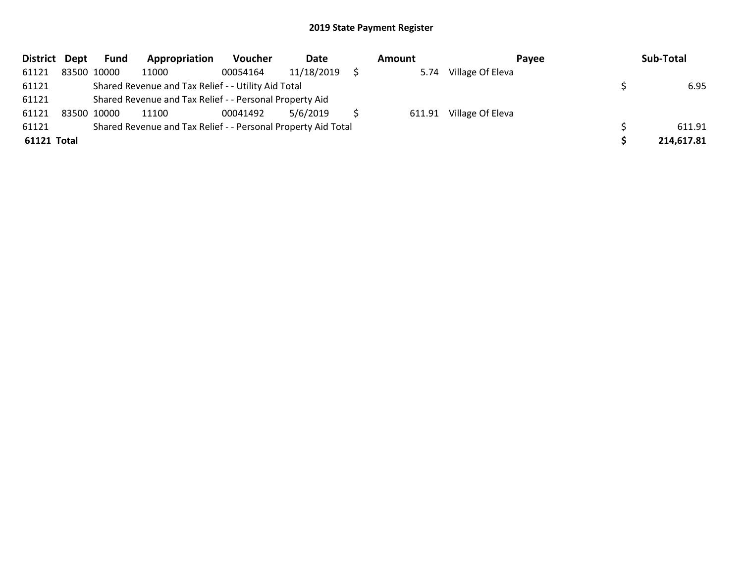| District Dept | <b>Fund</b> | Appropriation                                                 | Voucher  | Date       | Amount | <b>Pavee</b>            | Sub-Total  |
|---------------|-------------|---------------------------------------------------------------|----------|------------|--------|-------------------------|------------|
| 61121         | 83500 10000 | 11000                                                         | 00054164 | 11/18/2019 | 5.74   | Village Of Eleva        |            |
| 61121         |             | Shared Revenue and Tax Relief - - Utility Aid Total           |          |            |        |                         | 6.95       |
| 61121         |             | Shared Revenue and Tax Relief - - Personal Property Aid       |          |            |        |                         |            |
| 61121         | 83500 10000 | 11100                                                         | 00041492 | 5/6/2019   |        | 611.91 Village Of Eleva |            |
| 61121         |             | Shared Revenue and Tax Relief - - Personal Property Aid Total |          |            |        |                         | 611.91     |
| 61121 Total   |             |                                                               |          |            |        |                         | 214,617.81 |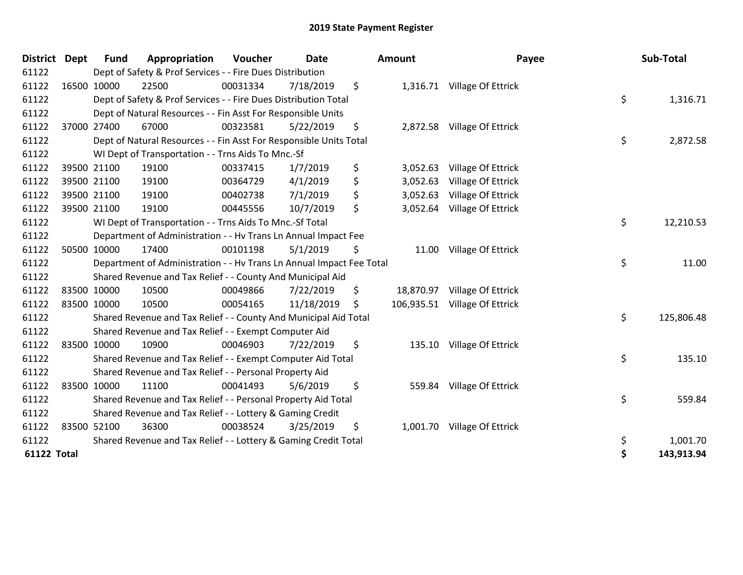| <b>District</b>    | Dept        | <b>Fund</b> | Appropriation                                                        | Voucher  | <b>Date</b> | Amount         | Payee                         | Sub-Total        |
|--------------------|-------------|-------------|----------------------------------------------------------------------|----------|-------------|----------------|-------------------------------|------------------|
| 61122              |             |             | Dept of Safety & Prof Services - - Fire Dues Distribution            |          |             |                |                               |                  |
| 61122              |             | 16500 10000 | 22500                                                                | 00031334 | 7/18/2019   | \$             | 1,316.71 Village Of Ettrick   |                  |
| 61122              |             |             | Dept of Safety & Prof Services - - Fire Dues Distribution Total      |          |             |                |                               | \$<br>1,316.71   |
| 61122              |             |             | Dept of Natural Resources - - Fin Asst For Responsible Units         |          |             |                |                               |                  |
| 61122              |             | 37000 27400 | 67000                                                                | 00323581 | 5/22/2019   | \$             | 2,872.58 Village Of Ettrick   |                  |
| 61122              |             |             | Dept of Natural Resources - - Fin Asst For Responsible Units Total   |          |             |                |                               | \$<br>2,872.58   |
| 61122              |             |             | WI Dept of Transportation - - Trns Aids To Mnc.-Sf                   |          |             |                |                               |                  |
| 61122              |             | 39500 21100 | 19100                                                                | 00337415 | 1/7/2019    | \$<br>3,052.63 | Village Of Ettrick            |                  |
| 61122              |             | 39500 21100 | 19100                                                                | 00364729 | 4/1/2019    | \$<br>3,052.63 | Village Of Ettrick            |                  |
| 61122              |             | 39500 21100 | 19100                                                                | 00402738 | 7/1/2019    | \$<br>3,052.63 | Village Of Ettrick            |                  |
| 61122              |             | 39500 21100 | 19100                                                                | 00445556 | 10/7/2019   | \$<br>3,052.64 | Village Of Ettrick            |                  |
| 61122              |             |             | WI Dept of Transportation - - Trns Aids To Mnc .- Sf Total           |          |             |                |                               | \$<br>12,210.53  |
| 61122              |             |             | Department of Administration - - Hv Trans Ln Annual Impact Fee       |          |             |                |                               |                  |
| 61122              |             | 50500 10000 | 17400                                                                | 00101198 | 5/1/2019    | \$<br>11.00    | Village Of Ettrick            |                  |
| 61122              |             |             | Department of Administration - - Hv Trans Ln Annual Impact Fee Total |          |             |                |                               | \$<br>11.00      |
| 61122              |             |             | Shared Revenue and Tax Relief - - County And Municipal Aid           |          |             |                |                               |                  |
| 61122              |             | 83500 10000 | 10500                                                                | 00049866 | 7/22/2019   | \$             | 18,870.97 Village Of Ettrick  |                  |
| 61122              |             | 83500 10000 | 10500                                                                | 00054165 | 11/18/2019  | \$             | 106,935.51 Village Of Ettrick |                  |
| 61122              |             |             | Shared Revenue and Tax Relief - - County And Municipal Aid Total     |          |             |                |                               | \$<br>125,806.48 |
| 61122              |             |             | Shared Revenue and Tax Relief - - Exempt Computer Aid                |          |             |                |                               |                  |
| 61122              |             | 83500 10000 | 10900                                                                | 00046903 | 7/22/2019   | \$<br>135.10   | Village Of Ettrick            |                  |
| 61122              |             |             | Shared Revenue and Tax Relief - - Exempt Computer Aid Total          |          |             |                |                               | \$<br>135.10     |
| 61122              |             |             | Shared Revenue and Tax Relief - - Personal Property Aid              |          |             |                |                               |                  |
| 61122              | 83500 10000 |             | 11100                                                                | 00041493 | 5/6/2019    | \$             | 559.84 Village Of Ettrick     |                  |
| 61122              |             |             | Shared Revenue and Tax Relief - - Personal Property Aid Total        |          |             |                |                               | \$<br>559.84     |
| 61122              |             |             | Shared Revenue and Tax Relief - - Lottery & Gaming Credit            |          |             |                |                               |                  |
| 61122              |             | 83500 52100 | 36300                                                                | 00038524 | 3/25/2019   | \$<br>1,001.70 | Village Of Ettrick            |                  |
| 61122              |             |             | Shared Revenue and Tax Relief - - Lottery & Gaming Credit Total      |          |             |                |                               | \$<br>1,001.70   |
| <b>61122 Total</b> |             |             |                                                                      |          |             |                |                               | \$<br>143,913.94 |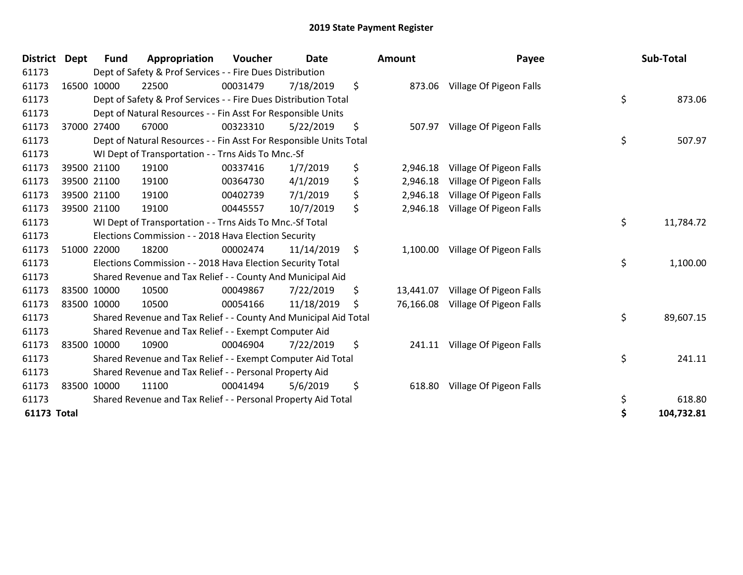| District Dept | <b>Fund</b> | Appropriation                                                      | Voucher  | <b>Date</b> |    | <b>Amount</b> | Payee                   | Sub-Total        |
|---------------|-------------|--------------------------------------------------------------------|----------|-------------|----|---------------|-------------------------|------------------|
| 61173         |             | Dept of Safety & Prof Services - - Fire Dues Distribution          |          |             |    |               |                         |                  |
| 61173         | 16500 10000 | 22500                                                              | 00031479 | 7/18/2019   | \$ | 873.06        | Village Of Pigeon Falls |                  |
| 61173         |             | Dept of Safety & Prof Services - - Fire Dues Distribution Total    |          |             |    |               |                         | \$<br>873.06     |
| 61173         |             | Dept of Natural Resources - - Fin Asst For Responsible Units       |          |             |    |               |                         |                  |
| 61173         | 37000 27400 | 67000                                                              | 00323310 | 5/22/2019   | \$ | 507.97        | Village Of Pigeon Falls |                  |
| 61173         |             | Dept of Natural Resources - - Fin Asst For Responsible Units Total |          |             |    |               |                         | \$<br>507.97     |
| 61173         |             | WI Dept of Transportation - - Trns Aids To Mnc.-Sf                 |          |             |    |               |                         |                  |
| 61173         | 39500 21100 | 19100                                                              | 00337416 | 1/7/2019    | \$ | 2,946.18      | Village Of Pigeon Falls |                  |
| 61173         | 39500 21100 | 19100                                                              | 00364730 | 4/1/2019    | \$ | 2,946.18      | Village Of Pigeon Falls |                  |
| 61173         | 39500 21100 | 19100                                                              | 00402739 | 7/1/2019    | \$ | 2,946.18      | Village Of Pigeon Falls |                  |
| 61173         | 39500 21100 | 19100                                                              | 00445557 | 10/7/2019   | \$ | 2,946.18      | Village Of Pigeon Falls |                  |
| 61173         |             | WI Dept of Transportation - - Trns Aids To Mnc.-Sf Total           |          |             |    |               |                         | \$<br>11,784.72  |
| 61173         |             | Elections Commission - - 2018 Hava Election Security               |          |             |    |               |                         |                  |
| 61173         | 51000 22000 | 18200                                                              | 00002474 | 11/14/2019  | \$ | 1,100.00      | Village Of Pigeon Falls |                  |
| 61173         |             | Elections Commission - - 2018 Hava Election Security Total         |          |             |    |               |                         | \$<br>1,100.00   |
| 61173         |             | Shared Revenue and Tax Relief - - County And Municipal Aid         |          |             |    |               |                         |                  |
| 61173         | 83500 10000 | 10500                                                              | 00049867 | 7/22/2019   | \$ | 13,441.07     | Village Of Pigeon Falls |                  |
| 61173         | 83500 10000 | 10500                                                              | 00054166 | 11/18/2019  | S  | 76,166.08     | Village Of Pigeon Falls |                  |
| 61173         |             | Shared Revenue and Tax Relief - - County And Municipal Aid Total   |          |             |    |               |                         | \$<br>89,607.15  |
| 61173         |             | Shared Revenue and Tax Relief - - Exempt Computer Aid              |          |             |    |               |                         |                  |
| 61173         | 83500 10000 | 10900                                                              | 00046904 | 7/22/2019   | \$ | 241.11        | Village Of Pigeon Falls |                  |
| 61173         |             | Shared Revenue and Tax Relief - - Exempt Computer Aid Total        |          |             |    |               |                         | \$<br>241.11     |
| 61173         |             | Shared Revenue and Tax Relief - - Personal Property Aid            |          |             |    |               |                         |                  |
| 61173         | 83500 10000 | 11100                                                              | 00041494 | 5/6/2019    | \$ | 618.80        | Village Of Pigeon Falls |                  |
| 61173         |             | Shared Revenue and Tax Relief - - Personal Property Aid Total      |          |             |    |               |                         | \$<br>618.80     |
| 61173 Total   |             |                                                                    |          |             |    |               |                         | \$<br>104,732.81 |

| ount     | Payee                             | Sub-Total        |
|----------|-----------------------------------|------------------|
|          | 873.06 Village Of Pigeon Falls    |                  |
|          |                                   | \$<br>873.06     |
| 507.97   | Village Of Pigeon Falls           |                  |
|          |                                   | \$<br>507.97     |
|          | 2,946.18 Village Of Pigeon Falls  |                  |
|          | 2,946.18 Village Of Pigeon Falls  |                  |
|          | 2,946.18 Village Of Pigeon Falls  |                  |
|          | 2,946.18 Village Of Pigeon Falls  |                  |
|          |                                   | \$<br>11,784.72  |
| 1,100.00 | Village Of Pigeon Falls           |                  |
|          |                                   | \$<br>1,100.00   |
|          | 13,441.07 Village Of Pigeon Falls |                  |
|          | 76,166.08 Village Of Pigeon Falls |                  |
|          |                                   | \$<br>89,607.15  |
| 241.11   | Village Of Pigeon Falls           |                  |
|          |                                   | \$<br>241.11     |
| 618.80   | Village Of Pigeon Falls           |                  |
|          |                                   | \$<br>618.80     |
|          |                                   | \$<br>104,732.81 |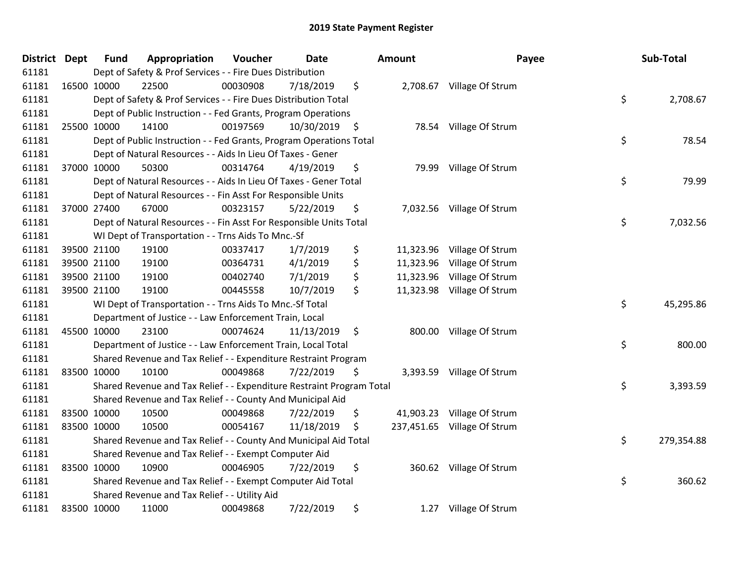| District | <b>Dept</b> | <b>Fund</b> | Appropriation                                                         | Voucher  | <b>Date</b>   | Amount           | Payee                     | Sub-Total        |
|----------|-------------|-------------|-----------------------------------------------------------------------|----------|---------------|------------------|---------------------------|------------------|
| 61181    |             |             | Dept of Safety & Prof Services - - Fire Dues Distribution             |          |               |                  |                           |                  |
| 61181    |             | 16500 10000 | 22500                                                                 | 00030908 | 7/18/2019     | \$               | 2,708.67 Village Of Strum |                  |
| 61181    |             |             | Dept of Safety & Prof Services - - Fire Dues Distribution Total       |          |               |                  |                           | \$<br>2,708.67   |
| 61181    |             |             | Dept of Public Instruction - - Fed Grants, Program Operations         |          |               |                  |                           |                  |
| 61181    |             | 25500 10000 | 14100                                                                 | 00197569 | 10/30/2019 \$ | 78.54            | Village Of Strum          |                  |
| 61181    |             |             | Dept of Public Instruction - - Fed Grants, Program Operations Total   |          |               |                  |                           | \$<br>78.54      |
| 61181    |             |             | Dept of Natural Resources - - Aids In Lieu Of Taxes - Gener           |          |               |                  |                           |                  |
| 61181    |             | 37000 10000 | 50300                                                                 | 00314764 | 4/19/2019     | \$<br>79.99      | Village Of Strum          |                  |
| 61181    |             |             | Dept of Natural Resources - - Aids In Lieu Of Taxes - Gener Total     |          |               |                  |                           | \$<br>79.99      |
| 61181    |             |             | Dept of Natural Resources - - Fin Asst For Responsible Units          |          |               |                  |                           |                  |
| 61181    |             | 37000 27400 | 67000                                                                 | 00323157 | 5/22/2019     | \$               | 7,032.56 Village Of Strum |                  |
| 61181    |             |             | Dept of Natural Resources - - Fin Asst For Responsible Units Total    |          |               |                  |                           | \$<br>7,032.56   |
| 61181    |             |             | WI Dept of Transportation - - Trns Aids To Mnc.-Sf                    |          |               |                  |                           |                  |
| 61181    |             | 39500 21100 | 19100                                                                 | 00337417 | 1/7/2019      | \$<br>11,323.96  | Village Of Strum          |                  |
| 61181    |             | 39500 21100 | 19100                                                                 | 00364731 | 4/1/2019      | \$<br>11,323.96  | Village Of Strum          |                  |
| 61181    |             | 39500 21100 | 19100                                                                 | 00402740 | 7/1/2019      | \$<br>11,323.96  | Village Of Strum          |                  |
| 61181    |             | 39500 21100 | 19100                                                                 | 00445558 | 10/7/2019     | \$<br>11,323.98  | Village Of Strum          |                  |
| 61181    |             |             | WI Dept of Transportation - - Trns Aids To Mnc.-Sf Total              |          |               |                  |                           | \$<br>45,295.86  |
| 61181    |             |             | Department of Justice - - Law Enforcement Train, Local                |          |               |                  |                           |                  |
| 61181    |             | 45500 10000 | 23100                                                                 | 00074624 | 11/13/2019    | \$               | 800.00 Village Of Strum   |                  |
| 61181    |             |             | Department of Justice - - Law Enforcement Train, Local Total          |          |               |                  |                           | \$<br>800.00     |
| 61181    |             |             | Shared Revenue and Tax Relief - - Expenditure Restraint Program       |          |               |                  |                           |                  |
| 61181    |             | 83500 10000 | 10100                                                                 | 00049868 | 7/22/2019     | \$               | 3,393.59 Village Of Strum |                  |
| 61181    |             |             | Shared Revenue and Tax Relief - - Expenditure Restraint Program Total |          |               |                  |                           | \$<br>3,393.59   |
| 61181    |             |             | Shared Revenue and Tax Relief - - County And Municipal Aid            |          |               |                  |                           |                  |
| 61181    |             | 83500 10000 | 10500                                                                 | 00049868 | 7/22/2019     | \$<br>41,903.23  | Village Of Strum          |                  |
| 61181    | 83500 10000 |             | 10500                                                                 | 00054167 | 11/18/2019    | \$<br>237,451.65 | Village Of Strum          |                  |
| 61181    |             |             | Shared Revenue and Tax Relief - - County And Municipal Aid Total      |          |               |                  |                           | \$<br>279,354.88 |
| 61181    |             |             | Shared Revenue and Tax Relief - - Exempt Computer Aid                 |          |               |                  |                           |                  |
| 61181    |             | 83500 10000 | 10900                                                                 | 00046905 | 7/22/2019     | \$               | 360.62 Village Of Strum   |                  |
| 61181    |             |             | Shared Revenue and Tax Relief - - Exempt Computer Aid Total           |          |               |                  |                           | \$<br>360.62     |
| 61181    |             |             | Shared Revenue and Tax Relief - - Utility Aid                         |          |               |                  |                           |                  |
| 61181    |             | 83500 10000 | 11000                                                                 | 00049868 | 7/22/2019     | \$<br>1.27       | Village Of Strum          |                  |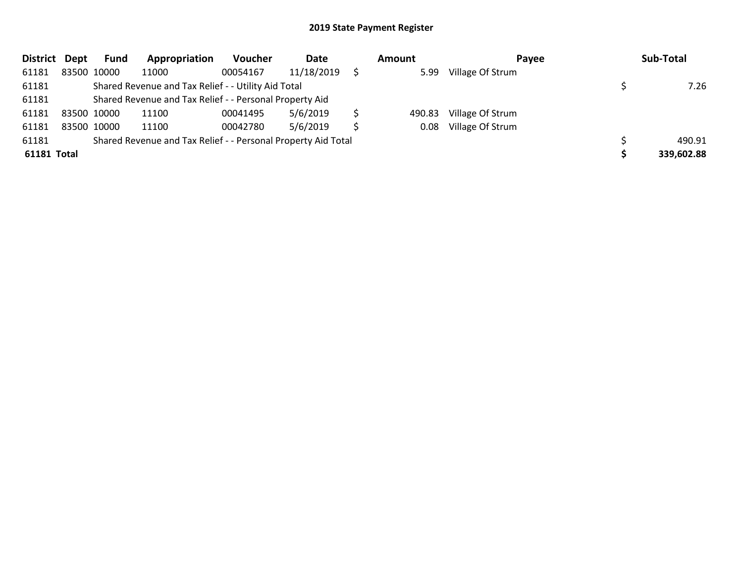| District Dept | <b>Fund</b> | Appropriation                                                 | Voucher  | Date       | Amount | Payee            | Sub-Total  |
|---------------|-------------|---------------------------------------------------------------|----------|------------|--------|------------------|------------|
| 61181         | 83500 10000 | 11000                                                         | 00054167 | 11/18/2019 | 5.99   | Village Of Strum |            |
| 61181         |             | Shared Revenue and Tax Relief - - Utility Aid Total           |          |            |        |                  | 7.26       |
| 61181         |             | Shared Revenue and Tax Relief - - Personal Property Aid       |          |            |        |                  |            |
| 61181         | 83500 10000 | 11100                                                         | 00041495 | 5/6/2019   | 490.83 | Village Of Strum |            |
| 61181         | 83500 10000 | 11100                                                         | 00042780 | 5/6/2019   | 0.08   | Village Of Strum |            |
| 61181         |             | Shared Revenue and Tax Relief - - Personal Property Aid Total |          |            |        |                  | 490.91     |
| 61181 Total   |             |                                                               |          |            |        |                  | 339,602.88 |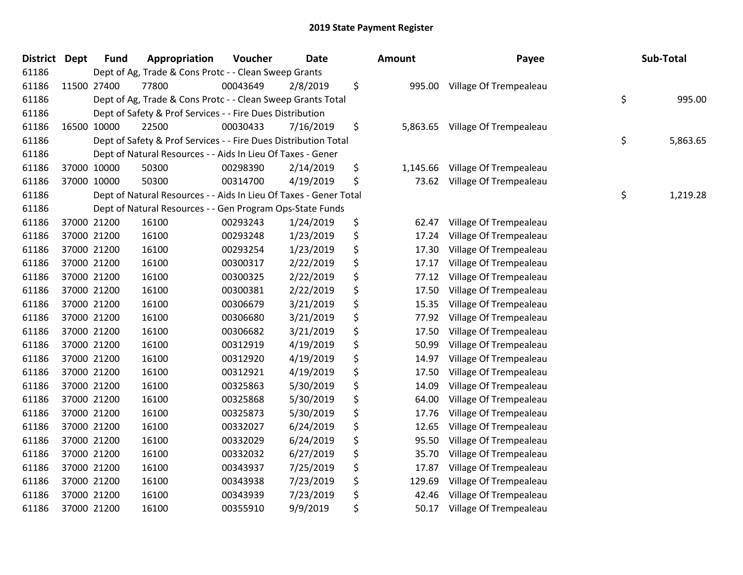| <b>District</b> | <b>Dept</b> | <b>Fund</b> | Appropriation                                                     | Voucher  | <b>Date</b> | Amount         | Payee                  | Sub-Total      |
|-----------------|-------------|-------------|-------------------------------------------------------------------|----------|-------------|----------------|------------------------|----------------|
| 61186           |             |             | Dept of Ag, Trade & Cons Protc - - Clean Sweep Grants             |          |             |                |                        |                |
| 61186           |             | 11500 27400 | 77800                                                             | 00043649 | 2/8/2019    | \$<br>995.00   | Village Of Trempealeau |                |
| 61186           |             |             | Dept of Ag, Trade & Cons Protc - - Clean Sweep Grants Total       |          |             |                |                        | \$<br>995.00   |
| 61186           |             |             | Dept of Safety & Prof Services - - Fire Dues Distribution         |          |             |                |                        |                |
| 61186           |             | 16500 10000 | 22500                                                             | 00030433 | 7/16/2019   | \$<br>5,863.65 | Village Of Trempealeau |                |
| 61186           |             |             | Dept of Safety & Prof Services - - Fire Dues Distribution Total   |          |             |                |                        | \$<br>5,863.65 |
| 61186           |             |             | Dept of Natural Resources - - Aids In Lieu Of Taxes - Gener       |          |             |                |                        |                |
| 61186           |             | 37000 10000 | 50300                                                             | 00298390 | 2/14/2019   | \$<br>1,145.66 | Village Of Trempealeau |                |
| 61186           |             | 37000 10000 | 50300                                                             | 00314700 | 4/19/2019   | \$<br>73.62    | Village Of Trempealeau |                |
| 61186           |             |             | Dept of Natural Resources - - Aids In Lieu Of Taxes - Gener Total |          |             |                |                        | \$<br>1,219.28 |
| 61186           |             |             | Dept of Natural Resources - - Gen Program Ops-State Funds         |          |             |                |                        |                |
| 61186           |             | 37000 21200 | 16100                                                             | 00293243 | 1/24/2019   | \$<br>62.47    | Village Of Trempealeau |                |
| 61186           |             | 37000 21200 | 16100                                                             | 00293248 | 1/23/2019   | \$<br>17.24    | Village Of Trempealeau |                |
| 61186           |             | 37000 21200 | 16100                                                             | 00293254 | 1/23/2019   | \$<br>17.30    | Village Of Trempealeau |                |
| 61186           |             | 37000 21200 | 16100                                                             | 00300317 | 2/22/2019   | \$<br>17.17    | Village Of Trempealeau |                |
| 61186           |             | 37000 21200 | 16100                                                             | 00300325 | 2/22/2019   | \$<br>77.12    | Village Of Trempealeau |                |
| 61186           |             | 37000 21200 | 16100                                                             | 00300381 | 2/22/2019   | \$<br>17.50    | Village Of Trempealeau |                |
| 61186           |             | 37000 21200 | 16100                                                             | 00306679 | 3/21/2019   | \$<br>15.35    | Village Of Trempealeau |                |
| 61186           |             | 37000 21200 | 16100                                                             | 00306680 | 3/21/2019   | \$<br>77.92    | Village Of Trempealeau |                |
| 61186           |             | 37000 21200 | 16100                                                             | 00306682 | 3/21/2019   | \$<br>17.50    | Village Of Trempealeau |                |
| 61186           |             | 37000 21200 | 16100                                                             | 00312919 | 4/19/2019   | \$<br>50.99    | Village Of Trempealeau |                |
| 61186           |             | 37000 21200 | 16100                                                             | 00312920 | 4/19/2019   | \$<br>14.97    | Village Of Trempealeau |                |
| 61186           |             | 37000 21200 | 16100                                                             | 00312921 | 4/19/2019   | \$<br>17.50    | Village Of Trempealeau |                |
| 61186           |             | 37000 21200 | 16100                                                             | 00325863 | 5/30/2019   | \$<br>14.09    | Village Of Trempealeau |                |
| 61186           |             | 37000 21200 | 16100                                                             | 00325868 | 5/30/2019   | \$<br>64.00    | Village Of Trempealeau |                |
| 61186           |             | 37000 21200 | 16100                                                             | 00325873 | 5/30/2019   | \$<br>17.76    | Village Of Trempealeau |                |
| 61186           |             | 37000 21200 | 16100                                                             | 00332027 | 6/24/2019   | \$<br>12.65    | Village Of Trempealeau |                |
| 61186           |             | 37000 21200 | 16100                                                             | 00332029 | 6/24/2019   | \$<br>95.50    | Village Of Trempealeau |                |
| 61186           |             | 37000 21200 | 16100                                                             | 00332032 | 6/27/2019   | \$<br>35.70    | Village Of Trempealeau |                |
| 61186           |             | 37000 21200 | 16100                                                             | 00343937 | 7/25/2019   | \$<br>17.87    | Village Of Trempealeau |                |
| 61186           |             | 37000 21200 | 16100                                                             | 00343938 | 7/23/2019   | \$<br>129.69   | Village Of Trempealeau |                |
| 61186           |             | 37000 21200 | 16100                                                             | 00343939 | 7/23/2019   | \$<br>42.46    | Village Of Trempealeau |                |
| 61186           | 37000 21200 |             | 16100                                                             | 00355910 | 9/9/2019    | \$<br>50.17    | Village Of Trempealeau |                |

| unt      | Payee                  | Sub-Total     |
|----------|------------------------|---------------|
| 995.00   | Village Of Trempealeau | \$<br>995.0   |
| 5,863.65 | Village Of Trempealeau | \$<br>5,863.6 |
| 1,145.66 | Village Of Trempealeau |               |
| 73.62    | Village Of Trempealeau |               |
|          |                        | \$<br>1,219.2 |
| 62.47    | Village Of Trempealeau |               |
| 17.24    | Village Of Trempealeau |               |
| 17.30    | Village Of Trempealeau |               |
| 17.17    | Village Of Trempealeau |               |
| 77.12    | Village Of Trempealeau |               |
| 17.50    | Village Of Trempealeau |               |
| 15.35    | Village Of Trempealeau |               |
| 77.92    | Village Of Trempealeau |               |
| 17.50    | Village Of Trempealeau |               |
| 50.99    | Village Of Trempealeau |               |
| 14.97    | Village Of Trempealeau |               |
| 17.50    | Village Of Trempealeau |               |
| 14.09    | Village Of Trempealeau |               |
| 64.00    | Village Of Trempealeau |               |
| 17.76    | Village Of Trempealeau |               |
| 12.65    | Village Of Trempealeau |               |
| 95.50    | Village Of Trempealeau |               |
| 35.70    | Village Of Trempealeau |               |
| 17.87    | Village Of Trempealeau |               |
| 129.69   | Village Of Trempealeau |               |
| 42.46    | Village Of Trempealeau |               |
| 50.17    | Village Of Trempealeau |               |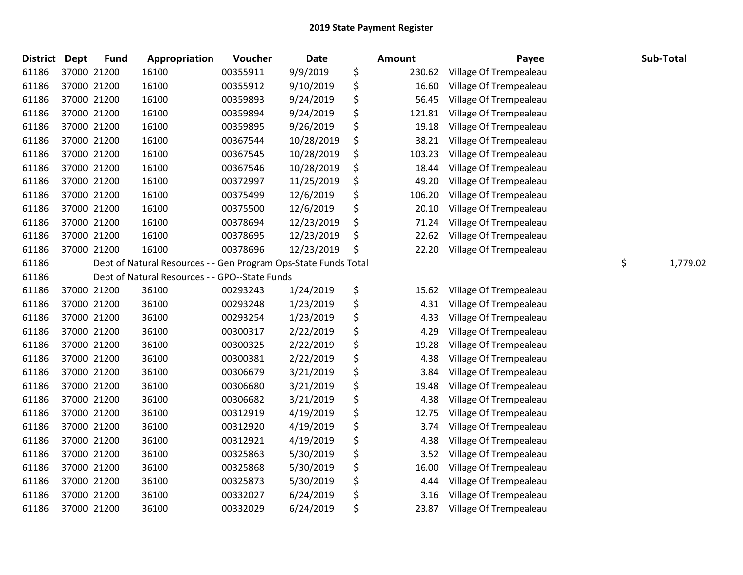| <b>District</b> | <b>Dept</b> | <b>Fund</b> | Appropriation                                                   | Voucher  | <b>Date</b> | Amount       | Payee                  | Sub-Total      |
|-----------------|-------------|-------------|-----------------------------------------------------------------|----------|-------------|--------------|------------------------|----------------|
| 61186           | 37000 21200 |             | 16100                                                           | 00355911 | 9/9/2019    | \$<br>230.62 | Village Of Trempealeau |                |
| 61186           | 37000 21200 |             | 16100                                                           | 00355912 | 9/10/2019   | \$<br>16.60  | Village Of Trempealeau |                |
| 61186           | 37000 21200 |             | 16100                                                           | 00359893 | 9/24/2019   | \$<br>56.45  | Village Of Trempealeau |                |
| 61186           | 37000 21200 |             | 16100                                                           | 00359894 | 9/24/2019   | \$<br>121.81 | Village Of Trempealeau |                |
| 61186           | 37000 21200 |             | 16100                                                           | 00359895 | 9/26/2019   | \$<br>19.18  | Village Of Trempealeau |                |
| 61186           | 37000 21200 |             | 16100                                                           | 00367544 | 10/28/2019  | \$<br>38.21  | Village Of Trempealeau |                |
| 61186           | 37000 21200 |             | 16100                                                           | 00367545 | 10/28/2019  | \$<br>103.23 | Village Of Trempealeau |                |
| 61186           | 37000 21200 |             | 16100                                                           | 00367546 | 10/28/2019  | \$<br>18.44  | Village Of Trempealeau |                |
| 61186           | 37000 21200 |             | 16100                                                           | 00372997 | 11/25/2019  | \$<br>49.20  | Village Of Trempealeau |                |
| 61186           | 37000 21200 |             | 16100                                                           | 00375499 | 12/6/2019   | \$<br>106.20 | Village Of Trempealeau |                |
| 61186           | 37000 21200 |             | 16100                                                           | 00375500 | 12/6/2019   | \$<br>20.10  | Village Of Trempealeau |                |
| 61186           | 37000 21200 |             | 16100                                                           | 00378694 | 12/23/2019  | \$<br>71.24  | Village Of Trempealeau |                |
| 61186           | 37000 21200 |             | 16100                                                           | 00378695 | 12/23/2019  | \$<br>22.62  | Village Of Trempealeau |                |
| 61186           | 37000 21200 |             | 16100                                                           | 00378696 | 12/23/2019  | \$<br>22.20  | Village Of Trempealeau |                |
| 61186           |             |             | Dept of Natural Resources - - Gen Program Ops-State Funds Total |          |             |              |                        | \$<br>1,779.02 |
| 61186           |             |             | Dept of Natural Resources - - GPO--State Funds                  |          |             |              |                        |                |
| 61186           | 37000 21200 |             | 36100                                                           | 00293243 | 1/24/2019   | \$<br>15.62  | Village Of Trempealeau |                |
| 61186           | 37000 21200 |             | 36100                                                           | 00293248 | 1/23/2019   | \$<br>4.31   | Village Of Trempealeau |                |
| 61186           | 37000 21200 |             | 36100                                                           | 00293254 | 1/23/2019   | \$<br>4.33   | Village Of Trempealeau |                |
| 61186           | 37000 21200 |             | 36100                                                           | 00300317 | 2/22/2019   | \$<br>4.29   | Village Of Trempealeau |                |
| 61186           | 37000 21200 |             | 36100                                                           | 00300325 | 2/22/2019   | \$<br>19.28  | Village Of Trempealeau |                |
| 61186           | 37000 21200 |             | 36100                                                           | 00300381 | 2/22/2019   | \$<br>4.38   | Village Of Trempealeau |                |
| 61186           | 37000 21200 |             | 36100                                                           | 00306679 | 3/21/2019   | \$<br>3.84   | Village Of Trempealeau |                |
| 61186           | 37000 21200 |             | 36100                                                           | 00306680 | 3/21/2019   | \$<br>19.48  | Village Of Trempealeau |                |
| 61186           | 37000 21200 |             | 36100                                                           | 00306682 | 3/21/2019   | \$<br>4.38   | Village Of Trempealeau |                |
| 61186           | 37000 21200 |             | 36100                                                           | 00312919 | 4/19/2019   | \$<br>12.75  | Village Of Trempealeau |                |
| 61186           | 37000 21200 |             | 36100                                                           | 00312920 | 4/19/2019   | \$<br>3.74   | Village Of Trempealeau |                |
| 61186           | 37000 21200 |             | 36100                                                           | 00312921 | 4/19/2019   | \$<br>4.38   | Village Of Trempealeau |                |
| 61186           | 37000 21200 |             | 36100                                                           | 00325863 | 5/30/2019   | \$<br>3.52   | Village Of Trempealeau |                |
| 61186           | 37000 21200 |             | 36100                                                           | 00325868 | 5/30/2019   | \$<br>16.00  | Village Of Trempealeau |                |
| 61186           | 37000 21200 |             | 36100                                                           | 00325873 | 5/30/2019   | \$<br>4.44   | Village Of Trempealeau |                |
| 61186           | 37000 21200 |             | 36100                                                           | 00332027 | 6/24/2019   | \$<br>3.16   | Village Of Trempealeau |                |
| 61186           | 37000 21200 |             | 36100                                                           | 00332029 | 6/24/2019   | \$<br>23.87  | Village Of Trempealeau |                |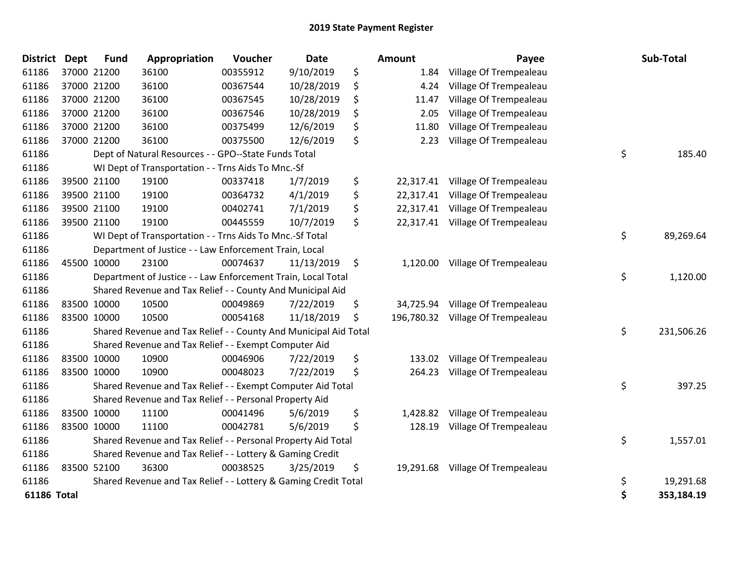| <b>District</b>    | <b>Dept</b> | <b>Fund</b> | Appropriation                                                    | Voucher  | <b>Date</b> | Amount           | Payee                            | Sub-Total        |
|--------------------|-------------|-------------|------------------------------------------------------------------|----------|-------------|------------------|----------------------------------|------------------|
| 61186              |             | 37000 21200 | 36100                                                            | 00355912 | 9/10/2019   | \$<br>1.84       | Village Of Trempealeau           |                  |
| 61186              |             | 37000 21200 | 36100                                                            | 00367544 | 10/28/2019  | \$<br>4.24       | Village Of Trempealeau           |                  |
| 61186              |             | 37000 21200 | 36100                                                            | 00367545 | 10/28/2019  | \$<br>11.47      | Village Of Trempealeau           |                  |
| 61186              |             | 37000 21200 | 36100                                                            | 00367546 | 10/28/2019  | \$<br>2.05       | Village Of Trempealeau           |                  |
| 61186              |             | 37000 21200 | 36100                                                            | 00375499 | 12/6/2019   | \$<br>11.80      | Village Of Trempealeau           |                  |
| 61186              |             | 37000 21200 | 36100                                                            | 00375500 | 12/6/2019   | \$<br>2.23       | Village Of Trempealeau           |                  |
| 61186              |             |             | Dept of Natural Resources - - GPO--State Funds Total             |          |             |                  |                                  | \$<br>185.40     |
| 61186              |             |             | WI Dept of Transportation - - Trns Aids To Mnc.-Sf               |          |             |                  |                                  |                  |
| 61186              |             | 39500 21100 | 19100                                                            | 00337418 | 1/7/2019    | \$<br>22,317.41  | Village Of Trempealeau           |                  |
| 61186              |             | 39500 21100 | 19100                                                            | 00364732 | 4/1/2019    | \$<br>22,317.41  | Village Of Trempealeau           |                  |
| 61186              |             | 39500 21100 | 19100                                                            | 00402741 | 7/1/2019    | \$<br>22,317.41  | Village Of Trempealeau           |                  |
| 61186              |             | 39500 21100 | 19100                                                            | 00445559 | 10/7/2019   | \$               | 22,317.41 Village Of Trempealeau |                  |
| 61186              |             |             | WI Dept of Transportation - - Trns Aids To Mnc.-Sf Total         |          |             |                  |                                  | \$<br>89,269.64  |
| 61186              |             |             | Department of Justice - - Law Enforcement Train, Local           |          |             |                  |                                  |                  |
| 61186              |             | 45500 10000 | 23100                                                            | 00074637 | 11/13/2019  | \$<br>1,120.00   | Village Of Trempealeau           |                  |
| 61186              |             |             | Department of Justice - - Law Enforcement Train, Local Total     |          |             |                  |                                  | \$<br>1,120.00   |
| 61186              |             |             | Shared Revenue and Tax Relief - - County And Municipal Aid       |          |             |                  |                                  |                  |
| 61186              |             | 83500 10000 | 10500                                                            | 00049869 | 7/22/2019   | \$<br>34,725.94  | Village Of Trempealeau           |                  |
| 61186              |             | 83500 10000 | 10500                                                            | 00054168 | 11/18/2019  | \$<br>196,780.32 | Village Of Trempealeau           |                  |
| 61186              |             |             | Shared Revenue and Tax Relief - - County And Municipal Aid Total |          |             |                  |                                  | \$<br>231,506.26 |
| 61186              |             |             | Shared Revenue and Tax Relief - - Exempt Computer Aid            |          |             |                  |                                  |                  |
| 61186              |             | 83500 10000 | 10900                                                            | 00046906 | 7/22/2019   | \$<br>133.02     | Village Of Trempealeau           |                  |
| 61186              |             | 83500 10000 | 10900                                                            | 00048023 | 7/22/2019   | \$<br>264.23     | Village Of Trempealeau           |                  |
| 61186              |             |             | Shared Revenue and Tax Relief - - Exempt Computer Aid Total      |          |             |                  |                                  | \$<br>397.25     |
| 61186              |             |             | Shared Revenue and Tax Relief - - Personal Property Aid          |          |             |                  |                                  |                  |
| 61186              |             | 83500 10000 | 11100                                                            | 00041496 | 5/6/2019    | \$<br>1,428.82   | Village Of Trempealeau           |                  |
| 61186              |             | 83500 10000 | 11100                                                            | 00042781 | 5/6/2019    | \$<br>128.19     | Village Of Trempealeau           |                  |
| 61186              |             |             | Shared Revenue and Tax Relief - - Personal Property Aid Total    |          |             |                  |                                  | \$<br>1,557.01   |
| 61186              |             |             | Shared Revenue and Tax Relief - - Lottery & Gaming Credit        |          |             |                  |                                  |                  |
| 61186              |             | 83500 52100 | 36300                                                            | 00038525 | 3/25/2019   | \$<br>19,291.68  | Village Of Trempealeau           |                  |
| 61186              |             |             | Shared Revenue and Tax Relief - - Lottery & Gaming Credit Total  |          |             |                  |                                  | \$<br>19,291.68  |
| <b>61186 Total</b> |             |             |                                                                  |          |             |                  |                                  | \$<br>353,184.19 |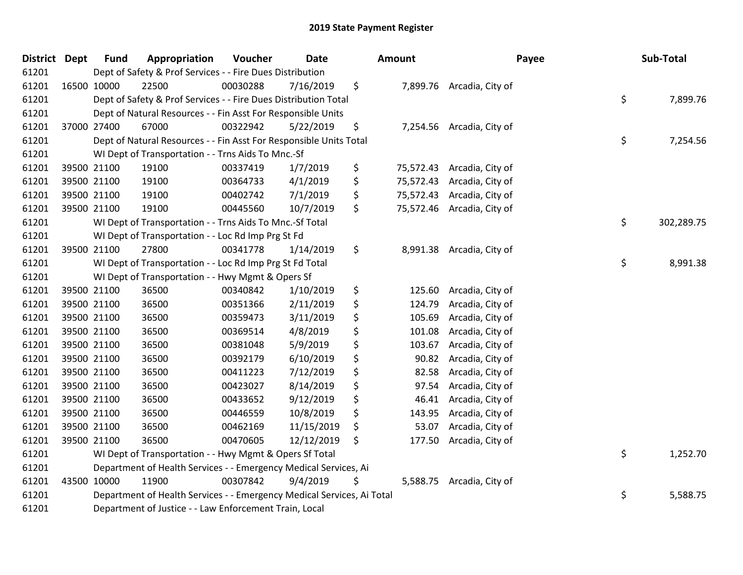| District Dept | <b>Fund</b> | Appropriation                                                          | Voucher  | <b>Date</b> | <b>Amount</b>   | Payee                      | Sub-Total        |
|---------------|-------------|------------------------------------------------------------------------|----------|-------------|-----------------|----------------------------|------------------|
| 61201         |             | Dept of Safety & Prof Services - - Fire Dues Distribution              |          |             |                 |                            |                  |
| 61201         | 16500 10000 | 22500                                                                  | 00030288 | 7/16/2019   | \$              | 7,899.76 Arcadia, City of  |                  |
| 61201         |             | Dept of Safety & Prof Services - - Fire Dues Distribution Total        |          |             |                 |                            | \$<br>7,899.76   |
| 61201         |             | Dept of Natural Resources - - Fin Asst For Responsible Units           |          |             |                 |                            |                  |
| 61201         | 37000 27400 | 67000                                                                  | 00322942 | 5/22/2019   | \$              | 7,254.56 Arcadia, City of  |                  |
| 61201         |             | Dept of Natural Resources - - Fin Asst For Responsible Units Total     |          |             |                 |                            | \$<br>7,254.56   |
| 61201         |             | WI Dept of Transportation - - Trns Aids To Mnc.-Sf                     |          |             |                 |                            |                  |
| 61201         | 39500 21100 | 19100                                                                  | 00337419 | 1/7/2019    | \$<br>75,572.43 | Arcadia, City of           |                  |
| 61201         | 39500 21100 | 19100                                                                  | 00364733 | 4/1/2019    | \$<br>75,572.43 | Arcadia, City of           |                  |
| 61201         | 39500 21100 | 19100                                                                  | 00402742 | 7/1/2019    | \$<br>75,572.43 | Arcadia, City of           |                  |
| 61201         | 39500 21100 | 19100                                                                  | 00445560 | 10/7/2019   | \$              | 75,572.46 Arcadia, City of |                  |
| 61201         |             | WI Dept of Transportation - - Trns Aids To Mnc.-Sf Total               |          |             |                 |                            | \$<br>302,289.75 |
| 61201         |             | WI Dept of Transportation - - Loc Rd Imp Prg St Fd                     |          |             |                 |                            |                  |
| 61201         | 39500 21100 | 27800                                                                  | 00341778 | 1/14/2019   | \$<br>8,991.38  | Arcadia, City of           |                  |
| 61201         |             | WI Dept of Transportation - - Loc Rd Imp Prg St Fd Total               |          |             |                 |                            | \$<br>8,991.38   |
| 61201         |             | WI Dept of Transportation - - Hwy Mgmt & Opers Sf                      |          |             |                 |                            |                  |
| 61201         | 39500 21100 | 36500                                                                  | 00340842 | 1/10/2019   | \$<br>125.60    | Arcadia, City of           |                  |
| 61201         | 39500 21100 | 36500                                                                  | 00351366 | 2/11/2019   | \$<br>124.79    | Arcadia, City of           |                  |
| 61201         | 39500 21100 | 36500                                                                  | 00359473 | 3/11/2019   | \$<br>105.69    | Arcadia, City of           |                  |
| 61201         | 39500 21100 | 36500                                                                  | 00369514 | 4/8/2019    | \$<br>101.08    | Arcadia, City of           |                  |
| 61201         | 39500 21100 | 36500                                                                  | 00381048 | 5/9/2019    | \$<br>103.67    | Arcadia, City of           |                  |
| 61201         | 39500 21100 | 36500                                                                  | 00392179 | 6/10/2019   | \$<br>90.82     | Arcadia, City of           |                  |
| 61201         | 39500 21100 | 36500                                                                  | 00411223 | 7/12/2019   | \$<br>82.58     | Arcadia, City of           |                  |
| 61201         | 39500 21100 | 36500                                                                  | 00423027 | 8/14/2019   | \$<br>97.54     | Arcadia, City of           |                  |
| 61201         | 39500 21100 | 36500                                                                  | 00433652 | 9/12/2019   | \$<br>46.41     | Arcadia, City of           |                  |
| 61201         | 39500 21100 | 36500                                                                  | 00446559 | 10/8/2019   | \$<br>143.95    | Arcadia, City of           |                  |
| 61201         | 39500 21100 | 36500                                                                  | 00462169 | 11/15/2019  | \$<br>53.07     | Arcadia, City of           |                  |
| 61201         | 39500 21100 | 36500                                                                  | 00470605 | 12/12/2019  | \$<br>177.50    | Arcadia, City of           |                  |
| 61201         |             | WI Dept of Transportation - - Hwy Mgmt & Opers Sf Total                |          |             |                 |                            | \$<br>1,252.70   |
| 61201         |             | Department of Health Services - - Emergency Medical Services, Ai       |          |             |                 |                            |                  |
| 61201         | 43500 10000 | 11900                                                                  | 00307842 | 9/4/2019    | \$              | 5,588.75 Arcadia, City of  |                  |
| 61201         |             | Department of Health Services - - Emergency Medical Services, Ai Total |          |             |                 |                            | \$<br>5,588.75   |
| 61201         |             | Department of Justice - - Law Enforcement Train, Local                 |          |             |                 |                            |                  |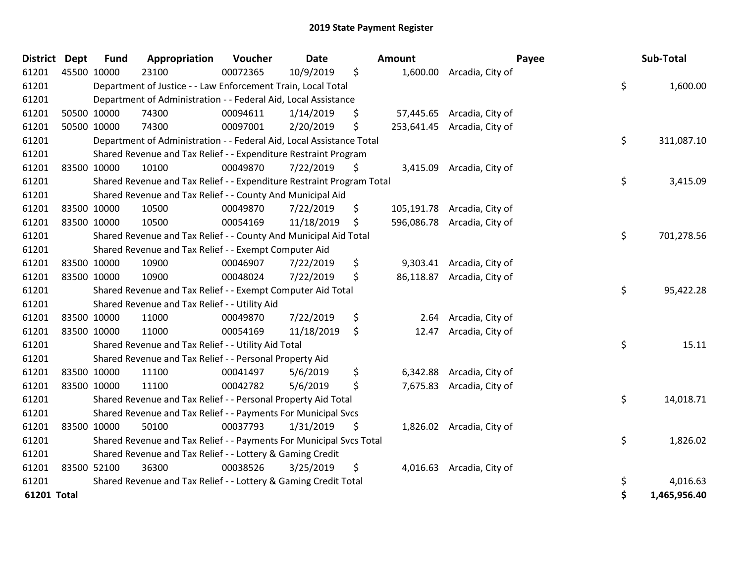| <b>District</b> | <b>Dept</b> | <b>Fund</b> | Appropriation                                                         | Voucher  | <b>Date</b> |     | Amount     | Payee                       | Sub-Total          |
|-----------------|-------------|-------------|-----------------------------------------------------------------------|----------|-------------|-----|------------|-----------------------------|--------------------|
| 61201           |             | 45500 10000 | 23100                                                                 | 00072365 | 10/9/2019   | \$  | 1,600.00   | Arcadia, City of            |                    |
| 61201           |             |             | Department of Justice - - Law Enforcement Train, Local Total          |          |             |     |            |                             | \$<br>1,600.00     |
| 61201           |             |             | Department of Administration - - Federal Aid, Local Assistance        |          |             |     |            |                             |                    |
| 61201           |             | 50500 10000 | 74300                                                                 | 00094611 | 1/14/2019   | \$  | 57,445.65  | Arcadia, City of            |                    |
| 61201           |             | 50500 10000 | 74300                                                                 | 00097001 | 2/20/2019   | \$  | 253,641.45 | Arcadia, City of            |                    |
| 61201           |             |             | Department of Administration - - Federal Aid, Local Assistance Total  |          |             |     |            |                             | \$<br>311,087.10   |
| 61201           |             |             | Shared Revenue and Tax Relief - - Expenditure Restraint Program       |          |             |     |            |                             |                    |
| 61201           | 83500 10000 |             | 10100                                                                 | 00049870 | 7/22/2019   | \$. | 3,415.09   | Arcadia, City of            |                    |
| 61201           |             |             | Shared Revenue and Tax Relief - - Expenditure Restraint Program Total |          |             |     |            |                             | \$<br>3,415.09     |
| 61201           |             |             | Shared Revenue and Tax Relief - - County And Municipal Aid            |          |             |     |            |                             |                    |
| 61201           |             | 83500 10000 | 10500                                                                 | 00049870 | 7/22/2019   | \$  |            | 105,191.78 Arcadia, City of |                    |
| 61201           | 83500 10000 |             | 10500                                                                 | 00054169 | 11/18/2019  | \$  | 596,086.78 | Arcadia, City of            |                    |
| 61201           |             |             | Shared Revenue and Tax Relief - - County And Municipal Aid Total      |          |             |     |            |                             | \$<br>701,278.56   |
| 61201           |             |             | Shared Revenue and Tax Relief - - Exempt Computer Aid                 |          |             |     |            |                             |                    |
| 61201           |             | 83500 10000 | 10900                                                                 | 00046907 | 7/22/2019   | \$  | 9,303.41   | Arcadia, City of            |                    |
| 61201           | 83500 10000 |             | 10900                                                                 | 00048024 | 7/22/2019   | \$  | 86,118.87  | Arcadia, City of            |                    |
| 61201           |             |             | Shared Revenue and Tax Relief - - Exempt Computer Aid Total           |          |             |     |            |                             | \$<br>95,422.28    |
| 61201           |             |             | Shared Revenue and Tax Relief - - Utility Aid                         |          |             |     |            |                             |                    |
| 61201           |             | 83500 10000 | 11000                                                                 | 00049870 | 7/22/2019   | \$  | 2.64       | Arcadia, City of            |                    |
| 61201           |             | 83500 10000 | 11000                                                                 | 00054169 | 11/18/2019  | \$  | 12.47      | Arcadia, City of            |                    |
| 61201           |             |             | Shared Revenue and Tax Relief - - Utility Aid Total                   |          |             |     |            |                             | \$<br>15.11        |
| 61201           |             |             | Shared Revenue and Tax Relief - - Personal Property Aid               |          |             |     |            |                             |                    |
| 61201           |             | 83500 10000 | 11100                                                                 | 00041497 | 5/6/2019    | \$  | 6,342.88   | Arcadia, City of            |                    |
| 61201           |             | 83500 10000 | 11100                                                                 | 00042782 | 5/6/2019    | \$  |            | 7,675.83 Arcadia, City of   |                    |
| 61201           |             |             | Shared Revenue and Tax Relief - - Personal Property Aid Total         |          |             |     |            |                             | \$<br>14,018.71    |
| 61201           |             |             | Shared Revenue and Tax Relief - - Payments For Municipal Svcs         |          |             |     |            |                             |                    |
| 61201           |             | 83500 10000 | 50100                                                                 | 00037793 | 1/31/2019   | \$  | 1,826.02   | Arcadia, City of            |                    |
| 61201           |             |             | Shared Revenue and Tax Relief - - Payments For Municipal Svcs Total   |          |             |     |            |                             | \$<br>1,826.02     |
| 61201           |             |             | Shared Revenue and Tax Relief - - Lottery & Gaming Credit             |          |             |     |            |                             |                    |
| 61201           | 83500 52100 |             | 36300                                                                 | 00038526 | 3/25/2019   | \$  | 4,016.63   | Arcadia, City of            |                    |
| 61201           |             |             | Shared Revenue and Tax Relief - - Lottery & Gaming Credit Total       |          |             |     |            |                             | \$<br>4,016.63     |
| 61201 Total     |             |             |                                                                       |          |             |     |            |                             | \$<br>1,465,956.40 |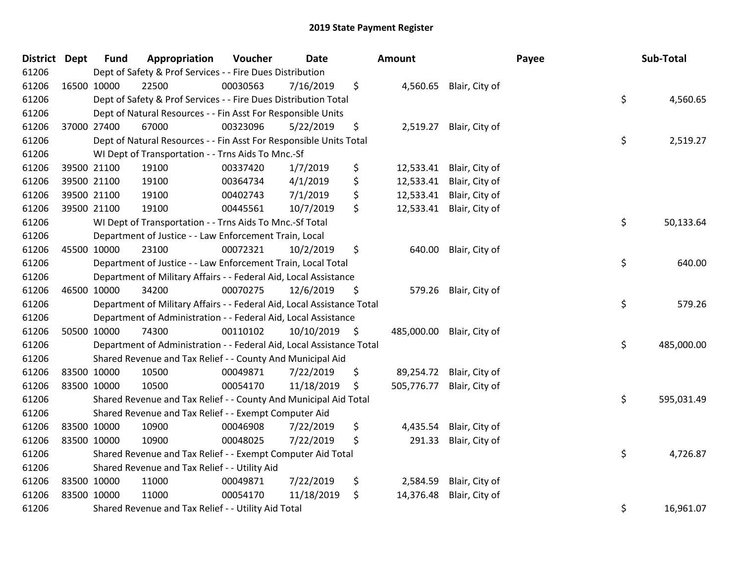| <b>District</b> | <b>Dept</b> | <b>Fund</b> | Appropriation                                                          | Voucher  | <b>Date</b>   |     | Amount     |                | Payee | Sub-Total  |
|-----------------|-------------|-------------|------------------------------------------------------------------------|----------|---------------|-----|------------|----------------|-------|------------|
| 61206           |             |             | Dept of Safety & Prof Services - - Fire Dues Distribution              |          |               |     |            |                |       |            |
| 61206           | 16500 10000 |             | 22500                                                                  | 00030563 | 7/16/2019     | \$  | 4,560.65   | Blair, City of |       |            |
| 61206           |             |             | Dept of Safety & Prof Services - - Fire Dues Distribution Total        |          |               |     |            |                | \$    | 4,560.65   |
| 61206           |             |             | Dept of Natural Resources - - Fin Asst For Responsible Units           |          |               |     |            |                |       |            |
| 61206           | 37000 27400 |             | 67000                                                                  | 00323096 | 5/22/2019     | \$  | 2,519.27   | Blair, City of |       |            |
| 61206           |             |             | Dept of Natural Resources - - Fin Asst For Responsible Units Total     |          |               |     |            |                | \$    | 2,519.27   |
| 61206           |             |             | WI Dept of Transportation - - Trns Aids To Mnc.-Sf                     |          |               |     |            |                |       |            |
| 61206           | 39500 21100 |             | 19100                                                                  | 00337420 | 1/7/2019      | \$  | 12,533.41  | Blair, City of |       |            |
| 61206           | 39500 21100 |             | 19100                                                                  | 00364734 | 4/1/2019      | \$  | 12,533.41  | Blair, City of |       |            |
| 61206           | 39500 21100 |             | 19100                                                                  | 00402743 | 7/1/2019      | \$  | 12,533.41  | Blair, City of |       |            |
| 61206           | 39500 21100 |             | 19100                                                                  | 00445561 | 10/7/2019     | \$. | 12,533.41  | Blair, City of |       |            |
| 61206           |             |             | WI Dept of Transportation - - Trns Aids To Mnc.-Sf Total               |          |               |     |            |                | \$    | 50,133.64  |
| 61206           |             |             | Department of Justice - - Law Enforcement Train, Local                 |          |               |     |            |                |       |            |
| 61206           | 45500 10000 |             | 23100                                                                  | 00072321 | 10/2/2019     | \$  | 640.00     | Blair, City of |       |            |
| 61206           |             |             | Department of Justice - - Law Enforcement Train, Local Total           |          |               |     |            |                | \$    | 640.00     |
| 61206           |             |             | Department of Military Affairs - - Federal Aid, Local Assistance       |          |               |     |            |                |       |            |
| 61206           | 46500 10000 |             | 34200                                                                  | 00070275 | 12/6/2019     | \$  | 579.26     | Blair, City of |       |            |
| 61206           |             |             | Department of Military Affairs - - Federal Aid, Local Assistance Total |          |               |     |            |                | \$    | 579.26     |
| 61206           |             |             | Department of Administration - - Federal Aid, Local Assistance         |          |               |     |            |                |       |            |
| 61206           | 50500 10000 |             | 74300                                                                  | 00110102 | 10/10/2019 \$ |     | 485,000.00 | Blair, City of |       |            |
| 61206           |             |             | Department of Administration - - Federal Aid, Local Assistance Total   |          |               |     |            |                | \$    | 485,000.00 |
| 61206           |             |             | Shared Revenue and Tax Relief - - County And Municipal Aid             |          |               |     |            |                |       |            |
| 61206           | 83500 10000 |             | 10500                                                                  | 00049871 | 7/22/2019     | \$  | 89,254.72  | Blair, City of |       |            |
| 61206           | 83500 10000 |             | 10500                                                                  | 00054170 | 11/18/2019    | \$  | 505,776.77 | Blair, City of |       |            |
| 61206           |             |             | Shared Revenue and Tax Relief - - County And Municipal Aid Total       |          |               |     |            |                | \$    | 595,031.49 |
| 61206           |             |             | Shared Revenue and Tax Relief - - Exempt Computer Aid                  |          |               |     |            |                |       |            |
| 61206           | 83500 10000 |             | 10900                                                                  | 00046908 | 7/22/2019     | \$  | 4,435.54   | Blair, City of |       |            |
| 61206           | 83500 10000 |             | 10900                                                                  | 00048025 | 7/22/2019     | \$  | 291.33     | Blair, City of |       |            |
| 61206           |             |             | Shared Revenue and Tax Relief - - Exempt Computer Aid Total            |          |               |     |            |                | \$    | 4,726.87   |
| 61206           |             |             | Shared Revenue and Tax Relief - - Utility Aid                          |          |               |     |            |                |       |            |
| 61206           | 83500 10000 |             | 11000                                                                  | 00049871 | 7/22/2019     | \$  | 2,584.59   | Blair, City of |       |            |
| 61206           | 83500 10000 |             | 11000                                                                  | 00054170 | 11/18/2019    | \$  | 14,376.48  | Blair, City of |       |            |
| 61206           |             |             | Shared Revenue and Tax Relief - - Utility Aid Total                    |          |               |     |            |                | \$    | 16,961.07  |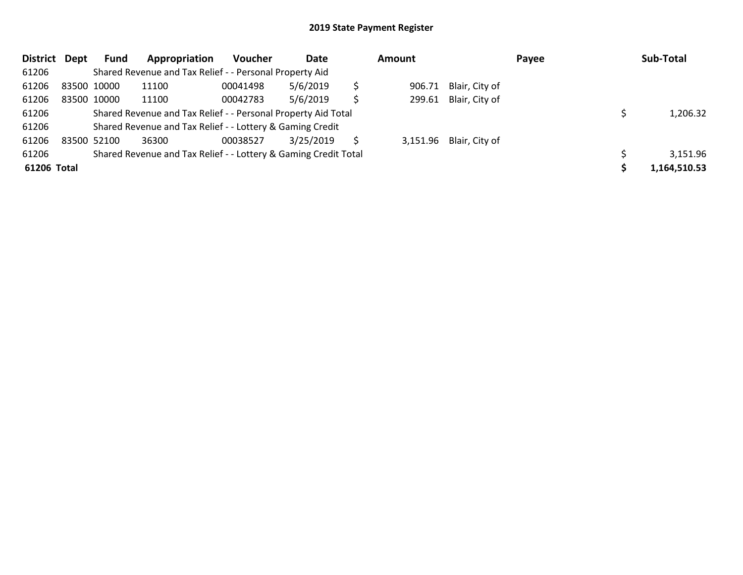| <b>District</b> | Dept | Fund        | Appropriation                                                   | <b>Voucher</b> | Date      |   | <b>Amount</b> |                         | Payee | Sub-Total    |
|-----------------|------|-------------|-----------------------------------------------------------------|----------------|-----------|---|---------------|-------------------------|-------|--------------|
| 61206           |      |             | Shared Revenue and Tax Relief - - Personal Property Aid         |                |           |   |               |                         |       |              |
| 61206           |      | 83500 10000 | 11100                                                           | 00041498       | 5/6/2019  |   | 906.71        | Blair, City of          |       |              |
| 61206           |      | 83500 10000 | 11100                                                           | 00042783       | 5/6/2019  | Ś |               | 299.61 Blair, City of   |       |              |
| 61206           |      |             | Shared Revenue and Tax Relief - - Personal Property Aid Total   |                |           |   |               |                         |       | 1,206.32     |
| 61206           |      |             | Shared Revenue and Tax Relief - - Lottery & Gaming Credit       |                |           |   |               |                         |       |              |
| 61206           |      | 83500 52100 | 36300                                                           | 00038527       | 3/25/2019 |   |               | 3,151.96 Blair, City of |       |              |
| 61206           |      |             | Shared Revenue and Tax Relief - - Lottery & Gaming Credit Total |                |           |   |               |                         |       | 3,151.96     |
| 61206 Total     |      |             |                                                                 |                |           |   |               |                         |       | 1,164,510.53 |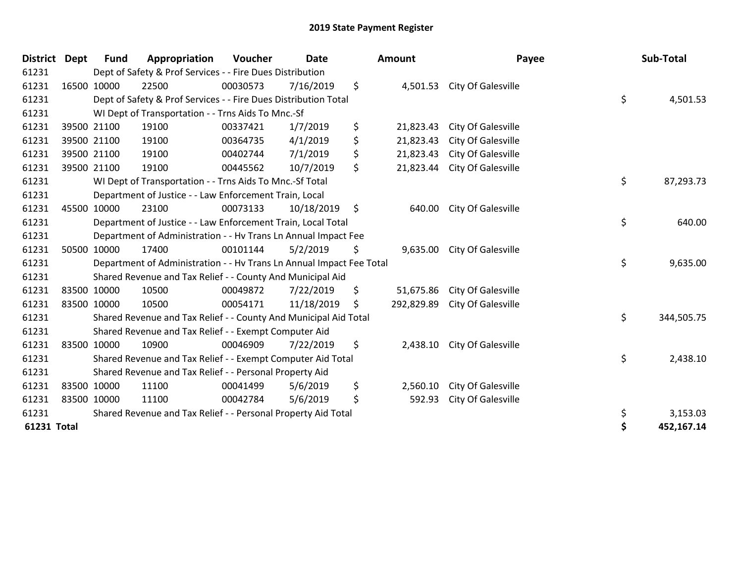| <b>District</b> | <b>Dept</b> | <b>Fund</b> | Appropriation                                                        | Voucher  | <b>Date</b> |    | Amount     | Payee              | Sub-Total        |
|-----------------|-------------|-------------|----------------------------------------------------------------------|----------|-------------|----|------------|--------------------|------------------|
| 61231           |             |             | Dept of Safety & Prof Services - - Fire Dues Distribution            |          |             |    |            |                    |                  |
| 61231           |             | 16500 10000 | 22500                                                                | 00030573 | 7/16/2019   | \$ | 4,501.53   | City Of Galesville |                  |
| 61231           |             |             | Dept of Safety & Prof Services - - Fire Dues Distribution Total      |          |             |    |            |                    | \$<br>4,501.53   |
| 61231           |             |             | WI Dept of Transportation - - Trns Aids To Mnc.-Sf                   |          |             |    |            |                    |                  |
| 61231           |             | 39500 21100 | 19100                                                                | 00337421 | 1/7/2019    | \$ | 21,823.43  | City Of Galesville |                  |
| 61231           |             | 39500 21100 | 19100                                                                | 00364735 | 4/1/2019    | \$ | 21,823.43  | City Of Galesville |                  |
| 61231           |             | 39500 21100 | 19100                                                                | 00402744 | 7/1/2019    | \$ | 21,823.43  | City Of Galesville |                  |
| 61231           |             | 39500 21100 | 19100                                                                | 00445562 | 10/7/2019   | \$ | 21,823.44  | City Of Galesville |                  |
| 61231           |             |             | WI Dept of Transportation - - Trns Aids To Mnc.-Sf Total             |          |             |    |            |                    | \$<br>87,293.73  |
| 61231           |             |             | Department of Justice - - Law Enforcement Train, Local               |          |             |    |            |                    |                  |
| 61231           |             | 45500 10000 | 23100                                                                | 00073133 | 10/18/2019  | \$ | 640.00     | City Of Galesville |                  |
| 61231           |             |             | Department of Justice - - Law Enforcement Train, Local Total         |          |             |    |            |                    | \$<br>640.00     |
| 61231           |             |             | Department of Administration - - Hv Trans Ln Annual Impact Fee       |          |             |    |            |                    |                  |
| 61231           |             | 50500 10000 | 17400                                                                | 00101144 | 5/2/2019    | \$ | 9,635.00   | City Of Galesville |                  |
| 61231           |             |             | Department of Administration - - Hv Trans Ln Annual Impact Fee Total |          |             |    |            |                    | \$<br>9,635.00   |
| 61231           |             |             | Shared Revenue and Tax Relief - - County And Municipal Aid           |          |             |    |            |                    |                  |
| 61231           |             | 83500 10000 | 10500                                                                | 00049872 | 7/22/2019   | \$ | 51,675.86  | City Of Galesville |                  |
| 61231           |             | 83500 10000 | 10500                                                                | 00054171 | 11/18/2019  | S  | 292,829.89 | City Of Galesville |                  |
| 61231           |             |             | Shared Revenue and Tax Relief - - County And Municipal Aid Total     |          |             |    |            |                    | \$<br>344,505.75 |
| 61231           |             |             | Shared Revenue and Tax Relief - - Exempt Computer Aid                |          |             |    |            |                    |                  |
| 61231           |             | 83500 10000 | 10900                                                                | 00046909 | 7/22/2019   | \$ | 2,438.10   | City Of Galesville |                  |
| 61231           |             |             | Shared Revenue and Tax Relief - - Exempt Computer Aid Total          |          |             |    |            |                    | \$<br>2,438.10   |
| 61231           |             |             | Shared Revenue and Tax Relief - - Personal Property Aid              |          |             |    |            |                    |                  |
| 61231           |             | 83500 10000 | 11100                                                                | 00041499 | 5/6/2019    | \$ | 2,560.10   | City Of Galesville |                  |
| 61231           |             | 83500 10000 | 11100                                                                | 00042784 | 5/6/2019    | \$ | 592.93     | City Of Galesville |                  |
| 61231           |             |             | Shared Revenue and Tax Relief - - Personal Property Aid Total        |          |             |    |            |                    | \$<br>3,153.03   |
| 61231 Total     |             |             |                                                                      |          |             |    |            |                    | \$<br>452,167.14 |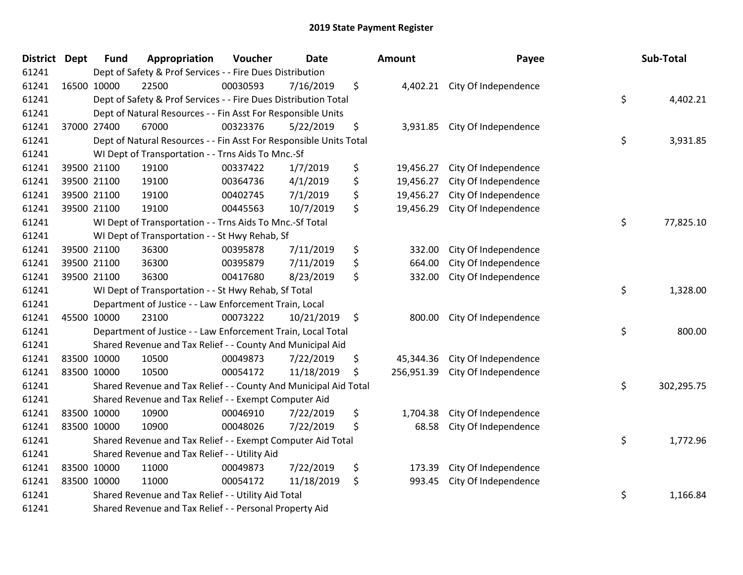| <b>District</b> | <b>Dept</b> | <b>Fund</b> | Appropriation                                                      | Voucher  | Date       | <b>Amount</b>    | Payee                         | Sub-Total        |
|-----------------|-------------|-------------|--------------------------------------------------------------------|----------|------------|------------------|-------------------------------|------------------|
| 61241           |             |             | Dept of Safety & Prof Services - - Fire Dues Distribution          |          |            |                  |                               |                  |
| 61241           |             | 16500 10000 | 22500                                                              | 00030593 | 7/16/2019  | \$               | 4,402.21 City Of Independence |                  |
| 61241           |             |             | Dept of Safety & Prof Services - - Fire Dues Distribution Total    |          |            |                  |                               | \$<br>4,402.21   |
| 61241           |             |             | Dept of Natural Resources - - Fin Asst For Responsible Units       |          |            |                  |                               |                  |
| 61241           |             | 37000 27400 | 67000                                                              | 00323376 | 5/22/2019  | \$<br>3,931.85   | City Of Independence          |                  |
| 61241           |             |             | Dept of Natural Resources - - Fin Asst For Responsible Units Total |          |            |                  |                               | \$<br>3,931.85   |
| 61241           |             |             | WI Dept of Transportation - - Trns Aids To Mnc.-Sf                 |          |            |                  |                               |                  |
| 61241           |             | 39500 21100 | 19100                                                              | 00337422 | 1/7/2019   | \$<br>19,456.27  | City Of Independence          |                  |
| 61241           |             | 39500 21100 | 19100                                                              | 00364736 | 4/1/2019   | \$<br>19,456.27  | City Of Independence          |                  |
| 61241           |             | 39500 21100 | 19100                                                              | 00402745 | 7/1/2019   | \$<br>19,456.27  | City Of Independence          |                  |
| 61241           |             | 39500 21100 | 19100                                                              | 00445563 | 10/7/2019  | \$<br>19,456.29  | City Of Independence          |                  |
| 61241           |             |             | WI Dept of Transportation - - Trns Aids To Mnc.-Sf Total           |          |            |                  |                               | \$<br>77,825.10  |
| 61241           |             |             | WI Dept of Transportation - - St Hwy Rehab, Sf                     |          |            |                  |                               |                  |
| 61241           |             | 39500 21100 | 36300                                                              | 00395878 | 7/11/2019  | \$<br>332.00     | City Of Independence          |                  |
| 61241           |             | 39500 21100 | 36300                                                              | 00395879 | 7/11/2019  | \$<br>664.00     | City Of Independence          |                  |
| 61241           |             | 39500 21100 | 36300                                                              | 00417680 | 8/23/2019  | \$<br>332.00     | City Of Independence          |                  |
| 61241           |             |             | WI Dept of Transportation - - St Hwy Rehab, Sf Total               |          |            |                  |                               | \$<br>1,328.00   |
| 61241           |             |             | Department of Justice - - Law Enforcement Train, Local             |          |            |                  |                               |                  |
| 61241           |             | 45500 10000 | 23100                                                              | 00073222 | 10/21/2019 | \$<br>800.00     | City Of Independence          |                  |
| 61241           |             |             | Department of Justice - - Law Enforcement Train, Local Total       |          |            |                  |                               | \$<br>800.00     |
| 61241           |             |             | Shared Revenue and Tax Relief - - County And Municipal Aid         |          |            |                  |                               |                  |
| 61241           |             | 83500 10000 | 10500                                                              | 00049873 | 7/22/2019  | \$<br>45,344.36  | City Of Independence          |                  |
| 61241           |             | 83500 10000 | 10500                                                              | 00054172 | 11/18/2019 | \$<br>256,951.39 | City Of Independence          |                  |
| 61241           |             |             | Shared Revenue and Tax Relief - - County And Municipal Aid Total   |          |            |                  |                               | \$<br>302,295.75 |
| 61241           |             |             | Shared Revenue and Tax Relief - - Exempt Computer Aid              |          |            |                  |                               |                  |
| 61241           |             | 83500 10000 | 10900                                                              | 00046910 | 7/22/2019  | \$<br>1,704.38   | City Of Independence          |                  |
| 61241           |             | 83500 10000 | 10900                                                              | 00048026 | 7/22/2019  | \$<br>68.58      | City Of Independence          |                  |
| 61241           |             |             | Shared Revenue and Tax Relief - - Exempt Computer Aid Total        |          |            |                  |                               | \$<br>1,772.96   |
| 61241           |             |             | Shared Revenue and Tax Relief - - Utility Aid                      |          |            |                  |                               |                  |
| 61241           |             | 83500 10000 | 11000                                                              | 00049873 | 7/22/2019  | \$<br>173.39     | City Of Independence          |                  |
| 61241           |             | 83500 10000 | 11000                                                              | 00054172 | 11/18/2019 | \$<br>993.45     | City Of Independence          |                  |
| 61241           |             |             | Shared Revenue and Tax Relief - - Utility Aid Total                |          |            |                  |                               | \$<br>1,166.84   |
| 61241           |             |             | Shared Revenue and Tax Relief - - Personal Property Aid            |          |            |                  |                               |                  |

| ount                                | Payee                                                                | Sub-Total        |
|-------------------------------------|----------------------------------------------------------------------|------------------|
| 4,402.21                            | City Of Independence                                                 | \$<br>4,402.21   |
| 3,931.85                            | City Of Independence                                                 | \$<br>3,931.85   |
| 19,456.27<br>19,456.27<br>19,456.27 | City Of Independence<br>City Of Independence<br>City Of Independence |                  |
| 19,456.29                           | City Of Independence                                                 | \$<br>77,825.10  |
| 332.00<br>664.00<br>332.00          | City Of Independence<br>City Of Independence<br>City Of Independence |                  |
|                                     |                                                                      | \$<br>1,328.00   |
| 800.00                              | City Of Independence                                                 | \$<br>800.00     |
| 45,344.36<br>!56,951.39             | City Of Independence<br>City Of Independence                         | \$<br>302,295.75 |
| 1,704.38<br>68.58                   | City Of Independence<br>City Of Independence                         | \$<br>1,772.96   |
| 173.39<br>993.45                    | City Of Independence<br>City Of Independence                         | \$<br>1,166.84   |
|                                     |                                                                      |                  |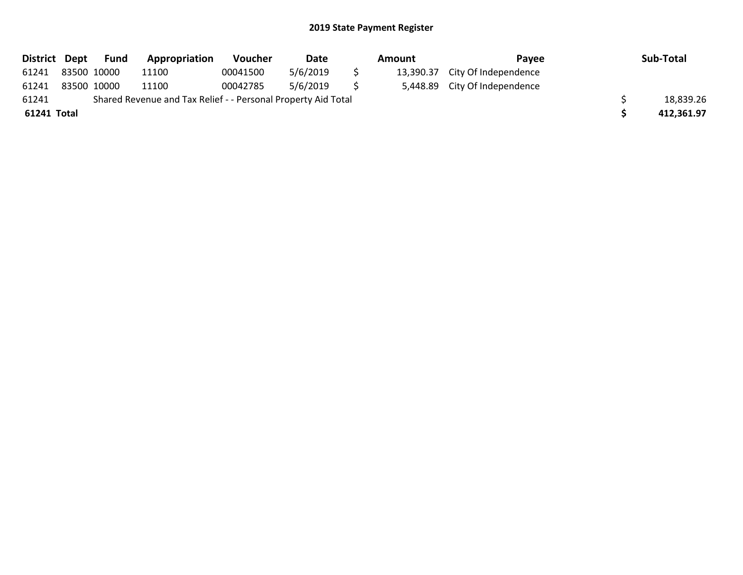| District    | Dept        | Fund | Appropriation                                                 | <b>Voucher</b> | Date     | Amount | Pavee                          | Sub-Total  |
|-------------|-------------|------|---------------------------------------------------------------|----------------|----------|--------|--------------------------------|------------|
| 61241       | 83500 10000 |      | 11100                                                         | 00041500       | 5/6/2019 |        | 13,390.37 City Of Independence |            |
| 61241       | 83500 10000 |      | 11100                                                         | 00042785       | 5/6/2019 |        | 5,448.89 City Of Independence  |            |
| 61241       |             |      | Shared Revenue and Tax Relief - - Personal Property Aid Total |                |          |        |                                | 18,839.26  |
| 61241 Total |             |      |                                                               |                |          |        |                                | 412,361.97 |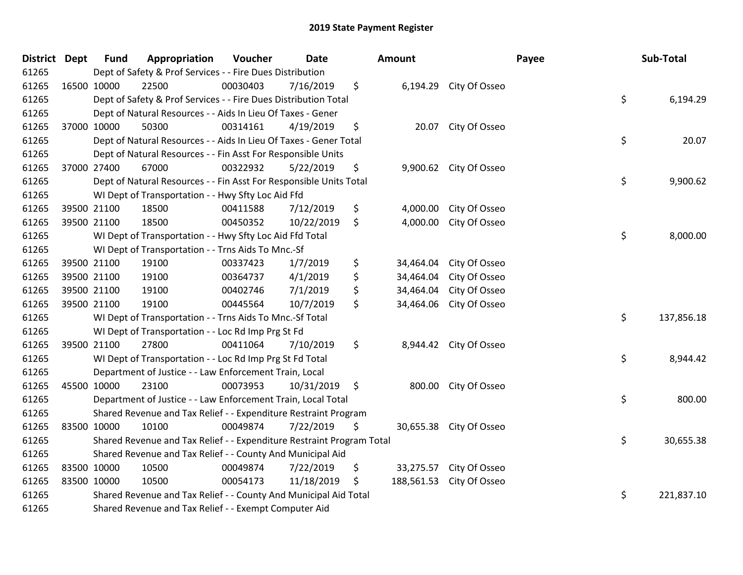| District Dept |             | <b>Fund</b>                                                | Appropriation                                                         | Voucher  | <b>Date</b> |               | Amount    |                          | Payee | Sub-Total  |
|---------------|-------------|------------------------------------------------------------|-----------------------------------------------------------------------|----------|-------------|---------------|-----------|--------------------------|-------|------------|
| 61265         |             |                                                            | Dept of Safety & Prof Services - - Fire Dues Distribution             |          |             |               |           |                          |       |            |
| 61265         | 16500 10000 |                                                            | 22500                                                                 | 00030403 | 7/16/2019   | \$            |           | 6,194.29 City Of Osseo   |       |            |
| 61265         |             |                                                            | Dept of Safety & Prof Services - - Fire Dues Distribution Total       |          |             |               |           |                          | \$    | 6,194.29   |
| 61265         |             |                                                            | Dept of Natural Resources - - Aids In Lieu Of Taxes - Gener           |          |             |               |           |                          |       |            |
| 61265         | 37000 10000 |                                                            | 50300                                                                 | 00314161 | 4/19/2019   | \$            |           | 20.07 City Of Osseo      |       |            |
| 61265         |             |                                                            | Dept of Natural Resources - - Aids In Lieu Of Taxes - Gener Total     |          |             |               |           |                          | \$    | 20.07      |
| 61265         |             |                                                            | Dept of Natural Resources - - Fin Asst For Responsible Units          |          |             |               |           |                          |       |            |
| 61265         | 37000 27400 |                                                            | 67000                                                                 | 00322932 | 5/22/2019   | \$            |           | 9,900.62 City Of Osseo   |       |            |
| 61265         |             |                                                            | Dept of Natural Resources - - Fin Asst For Responsible Units Total    |          |             |               |           |                          | \$    | 9,900.62   |
| 61265         |             |                                                            | WI Dept of Transportation - - Hwy Sfty Loc Aid Ffd                    |          |             |               |           |                          |       |            |
| 61265         | 39500 21100 |                                                            | 18500                                                                 | 00411588 | 7/12/2019   | \$            |           | 4,000.00 City Of Osseo   |       |            |
| 61265         | 39500 21100 |                                                            | 18500                                                                 | 00450352 | 10/22/2019  | \$            | 4,000.00  | City Of Osseo            |       |            |
| 61265         |             |                                                            | WI Dept of Transportation - - Hwy Sfty Loc Aid Ffd Total              |          |             |               |           |                          | \$    | 8,000.00   |
| 61265         |             |                                                            | WI Dept of Transportation - - Trns Aids To Mnc.-Sf                    |          |             |               |           |                          |       |            |
| 61265         | 39500 21100 |                                                            | 19100                                                                 | 00337423 | 1/7/2019    | \$            | 34,464.04 | City Of Osseo            |       |            |
| 61265         | 39500 21100 |                                                            | 19100                                                                 | 00364737 | 4/1/2019    | \$            | 34,464.04 | City Of Osseo            |       |            |
| 61265         | 39500 21100 |                                                            | 19100                                                                 | 00402746 | 7/1/2019    | \$            | 34,464.04 | City Of Osseo            |       |            |
| 61265         | 39500 21100 |                                                            | 19100                                                                 | 00445564 | 10/7/2019   | \$            | 34,464.06 | City Of Osseo            |       |            |
| 61265         |             |                                                            | WI Dept of Transportation - - Trns Aids To Mnc.-Sf Total              |          |             |               |           |                          | \$    | 137,856.18 |
| 61265         |             |                                                            | WI Dept of Transportation - - Loc Rd Imp Prg St Fd                    |          |             |               |           |                          |       |            |
| 61265         | 39500 21100 |                                                            | 27800                                                                 | 00411064 | 7/10/2019   | \$            |           | 8,944.42 City Of Osseo   |       |            |
| 61265         |             |                                                            | WI Dept of Transportation - - Loc Rd Imp Prg St Fd Total              |          |             |               |           |                          | \$    | 8,944.42   |
| 61265         |             |                                                            | Department of Justice - - Law Enforcement Train, Local                |          |             |               |           |                          |       |            |
| 61265         | 45500 10000 |                                                            | 23100                                                                 | 00073953 | 10/31/2019  | $\ddot{\phi}$ | 800.00    | City Of Osseo            |       |            |
| 61265         |             |                                                            | Department of Justice - - Law Enforcement Train, Local Total          |          |             |               |           |                          | \$    | 800.00     |
| 61265         |             |                                                            | Shared Revenue and Tax Relief - - Expenditure Restraint Program       |          |             |               |           |                          |       |            |
| 61265         | 83500 10000 |                                                            | 10100                                                                 | 00049874 | 7/22/2019   | \$            |           | 30,655.38 City Of Osseo  |       |            |
| 61265         |             |                                                            | Shared Revenue and Tax Relief - - Expenditure Restraint Program Total |          |             |               |           |                          | \$    | 30,655.38  |
| 61265         |             | Shared Revenue and Tax Relief - - County And Municipal Aid |                                                                       |          |             |               |           |                          |       |            |
| 61265         | 83500 10000 |                                                            | 10500                                                                 | 00049874 | 7/22/2019   | \$            |           | 33,275.57 City Of Osseo  |       |            |
| 61265         | 83500 10000 |                                                            | 10500                                                                 | 00054173 | 11/18/2019  | \$            |           | 188,561.53 City Of Osseo |       |            |
| 61265         |             |                                                            | Shared Revenue and Tax Relief - - County And Municipal Aid Total      |          |             |               |           |                          | \$    | 221,837.10 |
| 61265         |             | Shared Revenue and Tax Relief - - Exempt Computer Aid      |                                                                       |          |             |               |           |                          |       |            |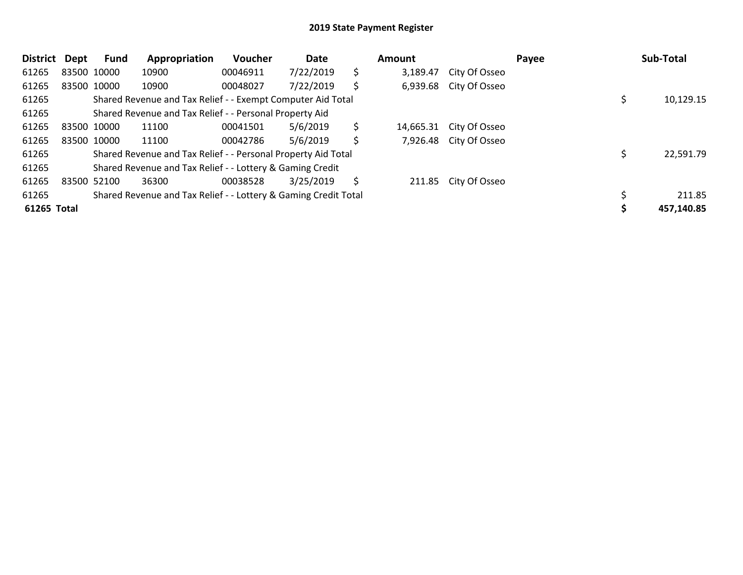| <b>District</b> | Dept        | Fund        | Appropriation                                                   | <b>Voucher</b> | Date      |    | <b>Amount</b> |                      | Payee | Sub-Total  |
|-----------------|-------------|-------------|-----------------------------------------------------------------|----------------|-----------|----|---------------|----------------------|-------|------------|
| 61265           |             | 83500 10000 | 10900                                                           | 00046911       | 7/22/2019 | \$ | 3,189.47      | City Of Osseo        |       |            |
| 61265           |             | 83500 10000 | 10900                                                           | 00048027       | 7/22/2019 | \$ | 6,939.68      | City Of Osseo        |       |            |
| 61265           |             |             | Shared Revenue and Tax Relief - - Exempt Computer Aid Total     |                |           |    |               |                      |       | 10,129.15  |
| 61265           |             |             | Shared Revenue and Tax Relief - - Personal Property Aid         |                |           |    |               |                      |       |            |
| 61265           | 83500 10000 |             | 11100                                                           | 00041501       | 5/6/2019  | \$ | 14,665.31     | City Of Osseo        |       |            |
| 61265           | 83500 10000 |             | 11100                                                           | 00042786       | 5/6/2019  | \$ | 7,926.48      | City Of Osseo        |       |            |
| 61265           |             |             | Shared Revenue and Tax Relief - - Personal Property Aid Total   |                |           |    |               |                      |       | 22,591.79  |
| 61265           |             |             | Shared Revenue and Tax Relief - - Lottery & Gaming Credit       |                |           |    |               |                      |       |            |
| 61265           |             | 83500 52100 | 36300                                                           | 00038528       | 3/25/2019 | Ŝ  |               | 211.85 City Of Osseo |       |            |
| 61265           |             |             | Shared Revenue and Tax Relief - - Lottery & Gaming Credit Total |                |           |    |               |                      |       | 211.85     |
| 61265 Total     |             |             |                                                                 |                |           |    |               |                      |       | 457,140.85 |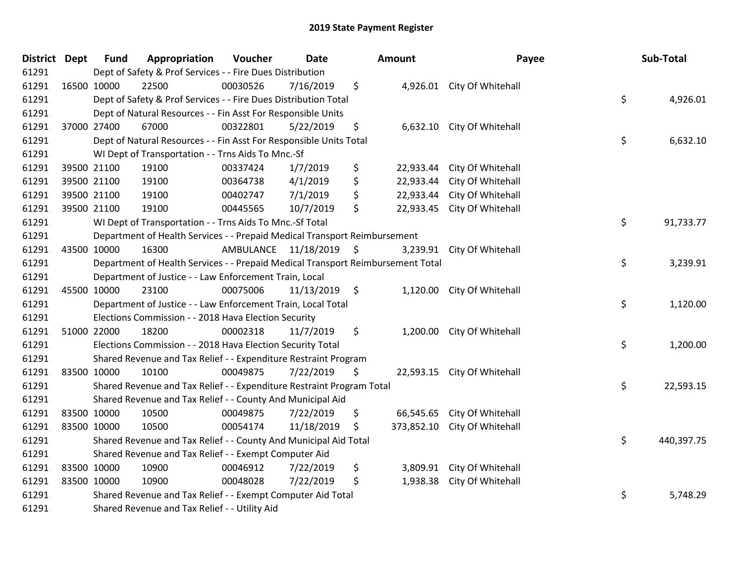| District Dept |             | <b>Fund</b>                                           | Appropriation                                                                   | Voucher   | <b>Date</b>     |      | Amount     | Payee                       |    | Sub-Total  |
|---------------|-------------|-------------------------------------------------------|---------------------------------------------------------------------------------|-----------|-----------------|------|------------|-----------------------------|----|------------|
| 61291         |             |                                                       | Dept of Safety & Prof Services - - Fire Dues Distribution                       |           |                 |      |            |                             |    |            |
| 61291         |             | 16500 10000                                           | 22500                                                                           | 00030526  | 7/16/2019       | \$   |            | 4,926.01 City Of Whitehall  |    |            |
| 61291         |             |                                                       | Dept of Safety & Prof Services - - Fire Dues Distribution Total                 |           |                 |      |            |                             | \$ | 4,926.01   |
| 61291         |             |                                                       | Dept of Natural Resources - - Fin Asst For Responsible Units                    |           |                 |      |            |                             |    |            |
| 61291         |             | 37000 27400                                           | 67000                                                                           | 00322801  | 5/22/2019       | \$   | 6,632.10   | City Of Whitehall           |    |            |
| 61291         |             |                                                       | Dept of Natural Resources - - Fin Asst For Responsible Units Total              |           |                 |      |            |                             | \$ | 6,632.10   |
| 61291         |             |                                                       | WI Dept of Transportation - - Trns Aids To Mnc.-Sf                              |           |                 |      |            |                             |    |            |
| 61291         |             | 39500 21100                                           | 19100                                                                           | 00337424  | 1/7/2019        | \$   | 22,933.44  | City Of Whitehall           |    |            |
| 61291         |             | 39500 21100                                           | 19100                                                                           | 00364738  | 4/1/2019        | \$   | 22,933.44  | City Of Whitehall           |    |            |
| 61291         |             | 39500 21100                                           | 19100                                                                           | 00402747  | 7/1/2019        | \$   | 22,933.44  | City Of Whitehall           |    |            |
| 61291         |             | 39500 21100                                           | 19100                                                                           | 00445565  | 10/7/2019       | \$   | 22,933.45  | City Of Whitehall           |    |            |
| 61291         |             |                                                       | WI Dept of Transportation - - Trns Aids To Mnc.-Sf Total                        |           |                 |      |            |                             | \$ | 91,733.77  |
| 61291         |             |                                                       | Department of Health Services - - Prepaid Medical Transport Reimbursement       |           |                 |      |            |                             |    |            |
| 61291         |             | 43500 10000                                           | 16300                                                                           | AMBULANCE | 11/18/2019      | - \$ | 3,239.91   | City Of Whitehall           |    |            |
| 61291         |             |                                                       | Department of Health Services - - Prepaid Medical Transport Reimbursement Total |           |                 |      |            |                             | \$ | 3,239.91   |
| 61291         |             |                                                       | Department of Justice - - Law Enforcement Train, Local                          |           |                 |      |            |                             |    |            |
| 61291         |             | 45500 10000                                           | 23100                                                                           | 00075006  | $11/13/2019$ \$ |      |            | 1,120.00 City Of Whitehall  |    |            |
| 61291         |             |                                                       | Department of Justice - - Law Enforcement Train, Local Total                    |           |                 |      |            |                             | \$ | 1,120.00   |
| 61291         |             |                                                       | Elections Commission - - 2018 Hava Election Security                            |           |                 |      |            |                             |    |            |
| 61291         |             | 51000 22000                                           | 18200                                                                           | 00002318  | 11/7/2019       | \$   | 1,200.00   | City Of Whitehall           |    |            |
| 61291         |             |                                                       | Elections Commission - - 2018 Hava Election Security Total                      |           |                 |      |            |                             | \$ | 1,200.00   |
| 61291         |             |                                                       | Shared Revenue and Tax Relief - - Expenditure Restraint Program                 |           |                 |      |            |                             |    |            |
| 61291         |             | 83500 10000                                           | 10100                                                                           | 00049875  | 7/22/2019       | \$   |            | 22,593.15 City Of Whitehall |    |            |
| 61291         |             |                                                       | Shared Revenue and Tax Relief - - Expenditure Restraint Program Total           |           |                 |      |            |                             | \$ | 22,593.15  |
| 61291         |             |                                                       | Shared Revenue and Tax Relief - - County And Municipal Aid                      |           |                 |      |            |                             |    |            |
| 61291         |             | 83500 10000                                           | 10500                                                                           | 00049875  | 7/22/2019       | \$   | 66,545.65  | City Of Whitehall           |    |            |
| 61291         | 83500 10000 |                                                       | 10500                                                                           | 00054174  | 11/18/2019      | \$   | 373,852.10 | City Of Whitehall           |    |            |
| 61291         |             |                                                       | Shared Revenue and Tax Relief - - County And Municipal Aid Total                |           |                 |      |            |                             | \$ | 440,397.75 |
| 61291         |             | Shared Revenue and Tax Relief - - Exempt Computer Aid |                                                                                 |           |                 |      |            |                             |    |            |
| 61291         |             | 83500 10000                                           | 10900                                                                           | 00046912  | 7/22/2019       | \$   | 3,809.91   | City Of Whitehall           |    |            |
| 61291         |             | 83500 10000                                           | 10900                                                                           | 00048028  | 7/22/2019       | \$   | 1,938.38   | City Of Whitehall           |    |            |
| 61291         |             |                                                       | Shared Revenue and Tax Relief - - Exempt Computer Aid Total                     |           |                 |      |            |                             | \$ | 5,748.29   |
| 61291         |             |                                                       | Shared Revenue and Tax Relief - - Utility Aid                                   |           |                 |      |            |                             |    |            |